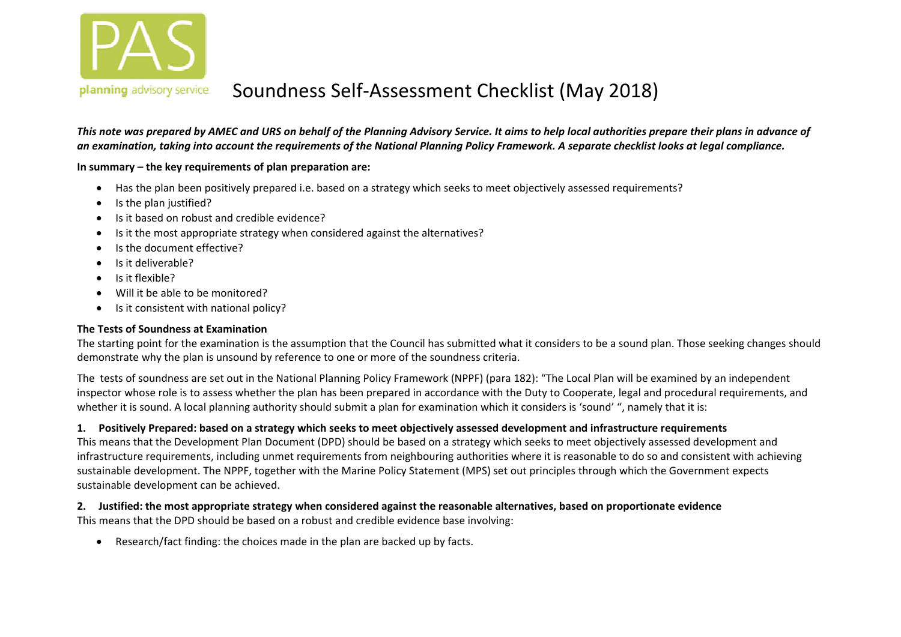

This note was prepared by AMEC and URS on behalf of the Planning Advisory Service. It aims to help local authorities prepare their plans in advance of an examination, taking into account the requirements of the National Planning Policy Framework. A separate checklist looks at legal compliance.

#### **In summary – the key requirements of plan preparation are:**

- Has the plan been positively prepared i.e. based on <sup>a</sup> strategy which seeks to meet objectively assessed requirements?
- Is the plan justified?
- Is it based on robust and credible evidence?
- . • Is it the most appropriate strategy when considered against the alternatives?
- . • Is the document effective?
- . Is it deliverable?
- Is it flexible?
- . Will it be able to be monitored?
- $\bullet$ • Is it consistent with national policy?

#### **The Tests of Soundness at Examination**

The starting point for the examination is the assumption that the Council has submitted what it considers to be <sup>a</sup> sound plan. Those seeking changes should demonstrate why the plan is unsound by reference to one or more of the soundness criteria.

The tests of soundness are set out in the National Planning Policy Framework (NPPF) (para 182): "The Local Plan will be examined by an independent inspector whose role is to assess whether the plan has been prepared in accordance with the Duty to Cooperate, legal and procedural requirements, and whether it is sound. A local planning authority should submit <sup>a</sup> plan for examination which it considers is 'sound' ", namely that it is:

#### 1. Positively Prepared: based on a strategy which seeks to meet objectively assessed development and infrastructure requirements

This means that the Development Plan Document (DPD) should be based on <sup>a</sup> strategy which seeks to meet objectively assessed development and infrastructure requirements, including unmet requirements from neighbouring authorities where it is reasonable to do so and consistent with achieving sustainable development. The NPPF, together with the Marine Policy Statement (MPS) set out principles through which the Government expects sustainable development can be achieved.

2. Justified: the most appropriate strategy when considered against the reasonable alternatives, based on proportionate evidence This means that the DPD should be based on <sup>a</sup> robust and credible evidence base involving:

 $\bullet$ Research/fact finding: the choices made in the plan are backed up by facts.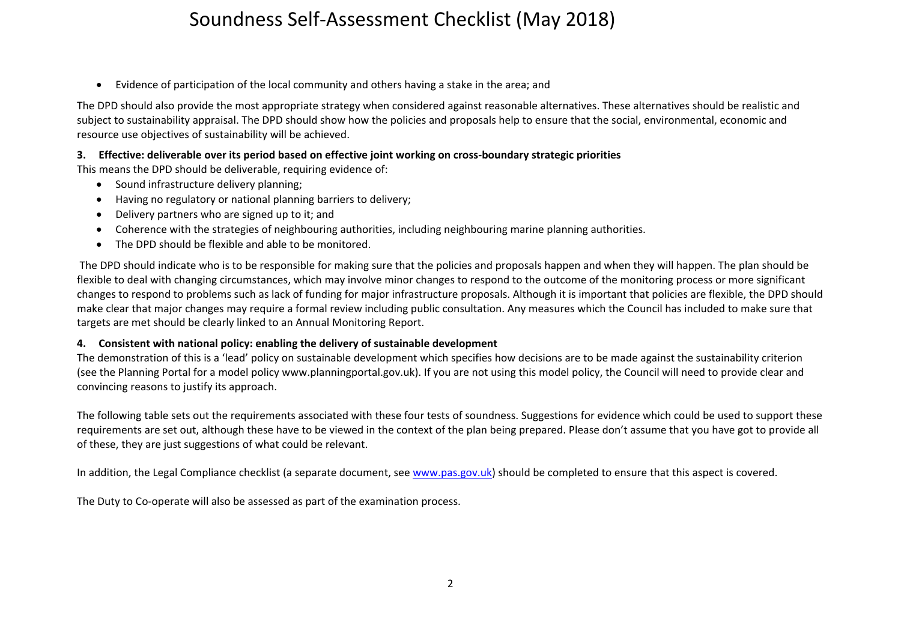$\bullet$ Evidence of participation of the local community and others having <sup>a</sup> stake in the area; and

The DPD should also provide the most appropriate strategy when considered against reasonable alternatives. These alternatives should be realistic and subject to sustainability appraisal. The DPD should show how the policies and proposals help to ensure that the social, environmental, economic and resource use objectives of sustainability will be achieved.

#### 3. Effective: deliverable over its period based on effective joint working on cross-boundary strategic priorities

This means the DPD should be deliverable, requiring evidence of:

- Sound infrastructure delivery planning;
- Having no regulatory or national planning barriers to delivery;
- $\bullet$ Delivery partners who are signed up to it; and
- Coherence with the strategies of neighbouring authorities, including neighbouring marine planning authorities.
- The DPD should be flexible and able to be monitored.

The DPD should indicate who is to be responsible for making sure that the policies and proposals happen and when they will happen. The plan should be flexible to deal with changing circumstances, which may involve minor changes to respond to the outcome of the monitoring process or more significant changes to respond to problems such as lack of funding for major infrastructure proposals. Although it is important that policies are flexible, the DPD should make clear that major changes may require <sup>a</sup> formal review including public consultation. Any measures which the Council has included to make sure that targets are met should be clearly linked to an Annual Monitoring Report.

#### **4. Consistent with national policy: enabling the delivery of sustainable development**

The demonstration of this is <sup>a</sup> 'lead' policy on sustainable development which specifies how decisions are to be made against the sustainability criterion (see the Planning Portal for <sup>a</sup> model policy www.planningportal.gov.uk). If you are not using this model policy, the Council will need to provide clear and convincing reasons to justify its approach.

The following table sets out the requirements associated with these four tests of soundness. Suggestions for evidence which could be used to support these requirements are set out, although these have to be viewed in the context of the plan being prepared. Please don't assume that you have got to provide all of these, they are just suggestions of what could be relevant.

In addition, the Legal Compliance checklist (a separate document, see www.pas.gov.uk) should be completed to ensure that this aspect is covered.

The Duty to Co‐operate will also be assessed as part of the examination process.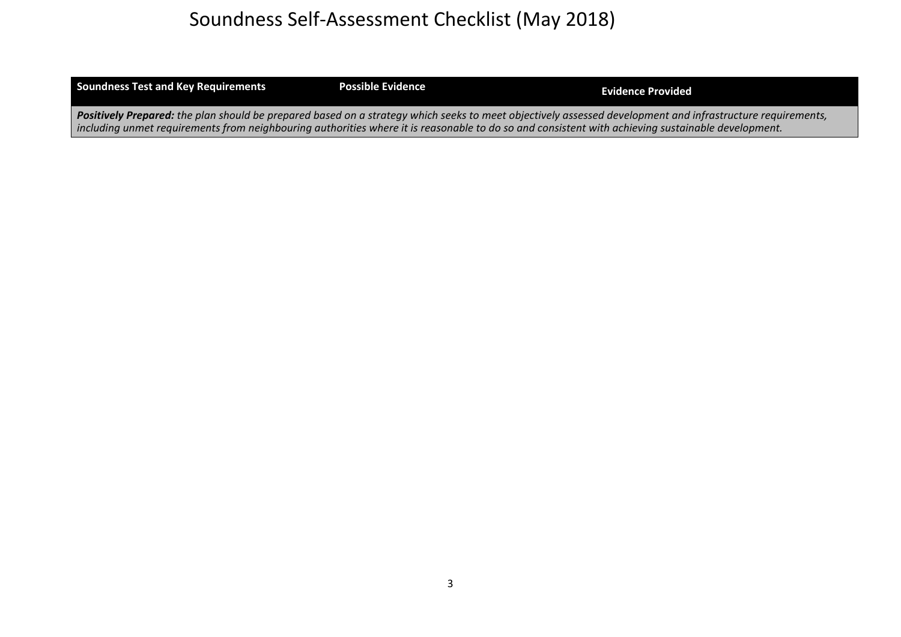| <b>Soundness Test and Key Requirements</b>                                                                                                                 | <b>Possible Evidence</b> | <b>Evidence Provided</b> |
|------------------------------------------------------------------------------------------------------------------------------------------------------------|--------------------------|--------------------------|
| Positively Prepared: the plan should be prepared based on a strategy which seeks to meet objectively assessed development and infrastructure requirements, |                          |                          |
| including unmet requirements from neighbouring authorities where it is reasonable to do so and consistent with achieving sustainable development.          |                          |                          |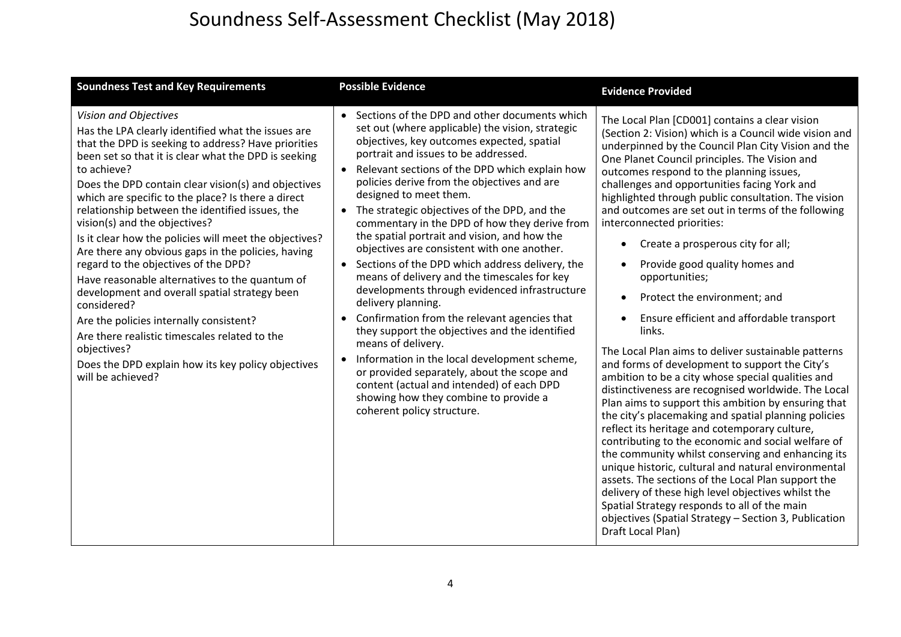| <b>Soundness Test and Key Requirements</b>                                                                                                                                                                                                                                                                                                                                                                                                                                                                                                                                                                                                                                                                                                                                                                                                                                 | <b>Possible Evidence</b>                                                                                                                                                                                                                                                                                                                                                                                                                                                                                                                                                                                                                                                                                                                                                                                                                                                                                                                                                                                                                                   | <b>Evidence Provided</b>                                                                                                                                                                                                                                                                                                                                                                                                                                                                                                                                                                                                                                                                                                                                                                                                                                                                                                                                                                                                                                                                                                                                                                                                                                                                                                                                                                                                                                                |
|----------------------------------------------------------------------------------------------------------------------------------------------------------------------------------------------------------------------------------------------------------------------------------------------------------------------------------------------------------------------------------------------------------------------------------------------------------------------------------------------------------------------------------------------------------------------------------------------------------------------------------------------------------------------------------------------------------------------------------------------------------------------------------------------------------------------------------------------------------------------------|------------------------------------------------------------------------------------------------------------------------------------------------------------------------------------------------------------------------------------------------------------------------------------------------------------------------------------------------------------------------------------------------------------------------------------------------------------------------------------------------------------------------------------------------------------------------------------------------------------------------------------------------------------------------------------------------------------------------------------------------------------------------------------------------------------------------------------------------------------------------------------------------------------------------------------------------------------------------------------------------------------------------------------------------------------|-------------------------------------------------------------------------------------------------------------------------------------------------------------------------------------------------------------------------------------------------------------------------------------------------------------------------------------------------------------------------------------------------------------------------------------------------------------------------------------------------------------------------------------------------------------------------------------------------------------------------------------------------------------------------------------------------------------------------------------------------------------------------------------------------------------------------------------------------------------------------------------------------------------------------------------------------------------------------------------------------------------------------------------------------------------------------------------------------------------------------------------------------------------------------------------------------------------------------------------------------------------------------------------------------------------------------------------------------------------------------------------------------------------------------------------------------------------------------|
| Vision and Objectives<br>Has the LPA clearly identified what the issues are<br>that the DPD is seeking to address? Have priorities<br>been set so that it is clear what the DPD is seeking<br>to achieve?<br>Does the DPD contain clear vision(s) and objectives<br>which are specific to the place? Is there a direct<br>relationship between the identified issues, the<br>vision(s) and the objectives?<br>Is it clear how the policies will meet the objectives?<br>Are there any obvious gaps in the policies, having<br>regard to the objectives of the DPD?<br>Have reasonable alternatives to the quantum of<br>development and overall spatial strategy been<br>considered?<br>Are the policies internally consistent?<br>Are there realistic timescales related to the<br>objectives?<br>Does the DPD explain how its key policy objectives<br>will be achieved? | Sections of the DPD and other documents which<br>set out (where applicable) the vision, strategic<br>objectives, key outcomes expected, spatial<br>portrait and issues to be addressed.<br>• Relevant sections of the DPD which explain how<br>policies derive from the objectives and are<br>designed to meet them.<br>• The strategic objectives of the DPD, and the<br>commentary in the DPD of how they derive from<br>the spatial portrait and vision, and how the<br>objectives are consistent with one another.<br>• Sections of the DPD which address delivery, the<br>means of delivery and the timescales for key<br>developments through evidenced infrastructure<br>delivery planning.<br>Confirmation from the relevant agencies that<br>they support the objectives and the identified<br>means of delivery.<br>Information in the local development scheme,<br>$\bullet$<br>or provided separately, about the scope and<br>content (actual and intended) of each DPD<br>showing how they combine to provide a<br>coherent policy structure. | The Local Plan [CD001] contains a clear vision<br>(Section 2: Vision) which is a Council wide vision and<br>underpinned by the Council Plan City Vision and the<br>One Planet Council principles. The Vision and<br>outcomes respond to the planning issues,<br>challenges and opportunities facing York and<br>highlighted through public consultation. The vision<br>and outcomes are set out in terms of the following<br>interconnected priorities:<br>Create a prosperous city for all;<br>٠<br>Provide good quality homes and<br>opportunities;<br>Protect the environment; and<br>$\bullet$<br>Ensure efficient and affordable transport<br>$\bullet$<br>links.<br>The Local Plan aims to deliver sustainable patterns<br>and forms of development to support the City's<br>ambition to be a city whose special qualities and<br>distinctiveness are recognised worldwide. The Local<br>Plan aims to support this ambition by ensuring that<br>the city's placemaking and spatial planning policies<br>reflect its heritage and cotemporary culture,<br>contributing to the economic and social welfare of<br>the community whilst conserving and enhancing its<br>unique historic, cultural and natural environmental<br>assets. The sections of the Local Plan support the<br>delivery of these high level objectives whilst the<br>Spatial Strategy responds to all of the main<br>objectives (Spatial Strategy - Section 3, Publication<br>Draft Local Plan) |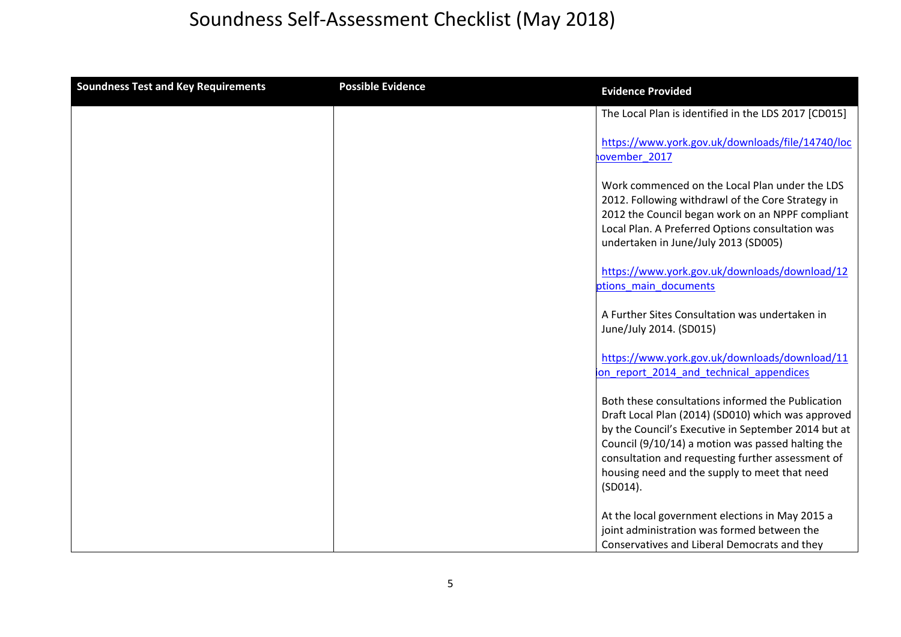| <b>Soundness Test and Key Requirements</b> | <b>Possible Evidence</b> | <b>Evidence Provided</b>                                                                                                                                                                                                                                                                                                                 |
|--------------------------------------------|--------------------------|------------------------------------------------------------------------------------------------------------------------------------------------------------------------------------------------------------------------------------------------------------------------------------------------------------------------------------------|
|                                            |                          | The Local Plan is identified in the LDS 2017 [CD015]                                                                                                                                                                                                                                                                                     |
|                                            |                          | https://www.york.gov.uk/downloads/file/14740/loc<br>hovember 2017                                                                                                                                                                                                                                                                        |
|                                            |                          | Work commenced on the Local Plan under the LDS<br>2012. Following withdrawl of the Core Strategy in<br>2012 the Council began work on an NPPF compliant<br>Local Plan. A Preferred Options consultation was<br>undertaken in June/July 2013 (SD005)                                                                                      |
|                                            |                          | https://www.york.gov.uk/downloads/download/12<br>ptions main documents                                                                                                                                                                                                                                                                   |
|                                            |                          | A Further Sites Consultation was undertaken in<br>June/July 2014. (SD015)                                                                                                                                                                                                                                                                |
|                                            |                          | https://www.york.gov.uk/downloads/download/11<br>on report 2014 and technical appendices                                                                                                                                                                                                                                                 |
|                                            |                          | Both these consultations informed the Publication<br>Draft Local Plan (2014) (SD010) which was approved<br>by the Council's Executive in September 2014 but at<br>Council (9/10/14) a motion was passed halting the<br>consultation and requesting further assessment of<br>housing need and the supply to meet that need<br>$(SD014)$ . |
|                                            |                          | At the local government elections in May 2015 a<br>joint administration was formed between the<br>Conservatives and Liberal Democrats and they                                                                                                                                                                                           |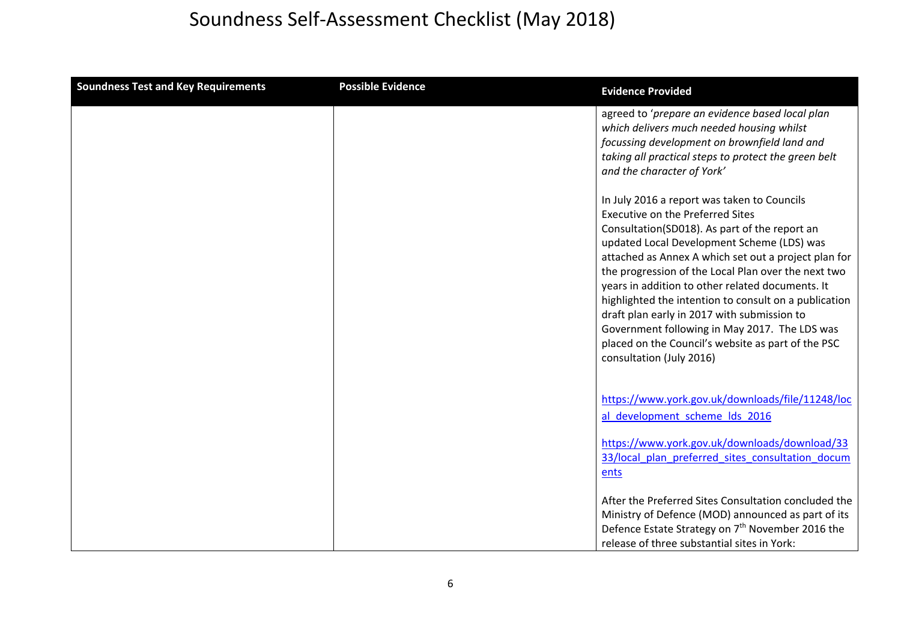| <b>Soundness Test and Key Requirements</b> | <b>Possible Evidence</b> | <b>Evidence Provided</b>                                                                                                                                                                                                                                                                                                                                                                                                                                                                                                                                                                            |
|--------------------------------------------|--------------------------|-----------------------------------------------------------------------------------------------------------------------------------------------------------------------------------------------------------------------------------------------------------------------------------------------------------------------------------------------------------------------------------------------------------------------------------------------------------------------------------------------------------------------------------------------------------------------------------------------------|
|                                            |                          | agreed to 'prepare an evidence based local plan<br>which delivers much needed housing whilst<br>focussing development on brownfield land and<br>taking all practical steps to protect the green belt<br>and the character of York'                                                                                                                                                                                                                                                                                                                                                                  |
|                                            |                          | In July 2016 a report was taken to Councils<br><b>Executive on the Preferred Sites</b><br>Consultation(SD018). As part of the report an<br>updated Local Development Scheme (LDS) was<br>attached as Annex A which set out a project plan for<br>the progression of the Local Plan over the next two<br>years in addition to other related documents. It<br>highlighted the intention to consult on a publication<br>draft plan early in 2017 with submission to<br>Government following in May 2017. The LDS was<br>placed on the Council's website as part of the PSC<br>consultation (July 2016) |
|                                            |                          | https://www.york.gov.uk/downloads/file/11248/loc<br>al development scheme lds 2016                                                                                                                                                                                                                                                                                                                                                                                                                                                                                                                  |
|                                            |                          | https://www.york.gov.uk/downloads/download/33<br>33/local plan preferred sites consultation docum<br>ents                                                                                                                                                                                                                                                                                                                                                                                                                                                                                           |
|                                            |                          | After the Preferred Sites Consultation concluded the<br>Ministry of Defence (MOD) announced as part of its<br>Defence Estate Strategy on 7 <sup>th</sup> November 2016 the<br>release of three substantial sites in York:                                                                                                                                                                                                                                                                                                                                                                           |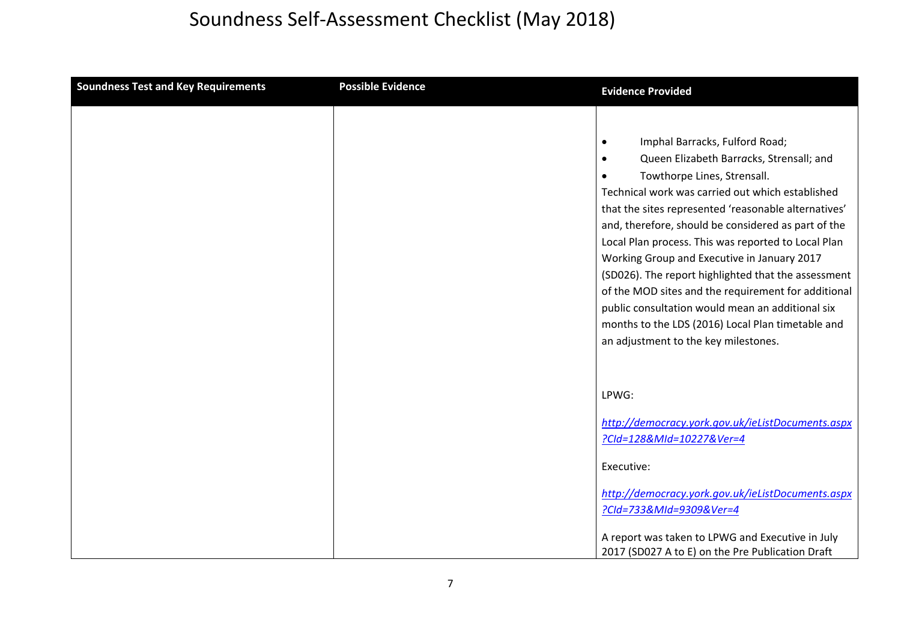| <b>Soundness Test and Key Requirements</b> | <b>Possible Evidence</b> | <b>Evidence Provided</b>                                                                             |
|--------------------------------------------|--------------------------|------------------------------------------------------------------------------------------------------|
|                                            |                          |                                                                                                      |
|                                            |                          | Imphal Barracks, Fulford Road;<br>$\bullet$                                                          |
|                                            |                          | Queen Elizabeth Barracks, Strensall; and<br>$\bullet$                                                |
|                                            |                          | Towthorpe Lines, Strensall.                                                                          |
|                                            |                          | Technical work was carried out which established                                                     |
|                                            |                          | that the sites represented 'reasonable alternatives'                                                 |
|                                            |                          | and, therefore, should be considered as part of the                                                  |
|                                            |                          | Local Plan process. This was reported to Local Plan                                                  |
|                                            |                          | Working Group and Executive in January 2017                                                          |
|                                            |                          | (SD026). The report highlighted that the assessment                                                  |
|                                            |                          | of the MOD sites and the requirement for additional                                                  |
|                                            |                          | public consultation would mean an additional six                                                     |
|                                            |                          | months to the LDS (2016) Local Plan timetable and<br>an adjustment to the key milestones.            |
|                                            |                          |                                                                                                      |
|                                            |                          |                                                                                                      |
|                                            |                          | LPWG:                                                                                                |
|                                            |                          |                                                                                                      |
|                                            |                          | http://democracy.york.gov.uk/ieListDocuments.aspx                                                    |
|                                            |                          | ?Cld=128&MId=10227&Ver=4                                                                             |
|                                            |                          |                                                                                                      |
|                                            |                          | Executive:                                                                                           |
|                                            |                          | http://democracy.york.gov.uk/ieListDocuments.aspx                                                    |
|                                            |                          | ?Cld=733&MId=9309&Ver=4                                                                              |
|                                            |                          |                                                                                                      |
|                                            |                          | A report was taken to LPWG and Executive in July<br>2017 (SD027 A to E) on the Pre Publication Draft |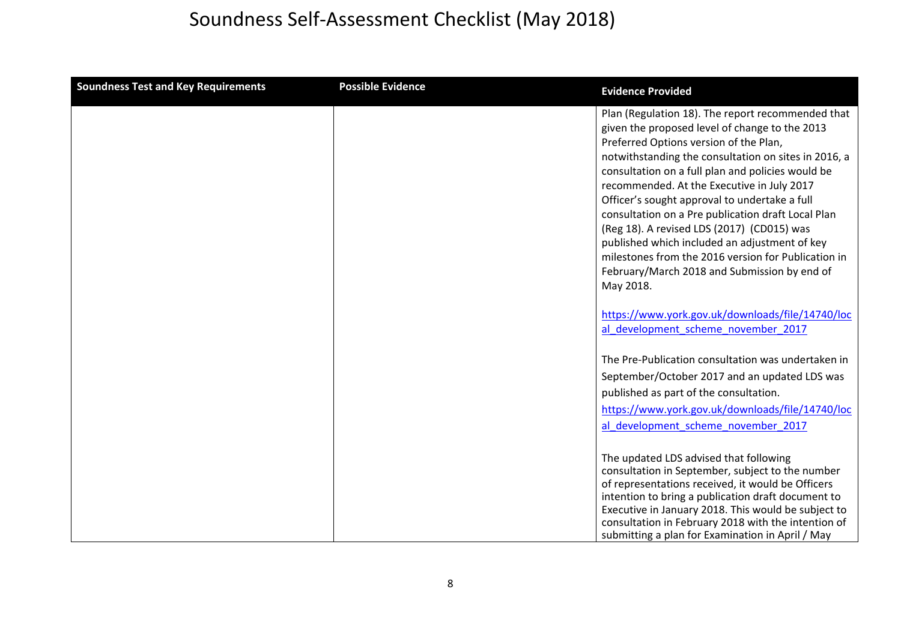| <b>Soundness Test and Key Requirements</b> | <b>Possible Evidence</b> | <b>Evidence Provided</b>                                                                                                                                                                                                                                                                                                                                                                                                                                                                                                                                                                                                           |
|--------------------------------------------|--------------------------|------------------------------------------------------------------------------------------------------------------------------------------------------------------------------------------------------------------------------------------------------------------------------------------------------------------------------------------------------------------------------------------------------------------------------------------------------------------------------------------------------------------------------------------------------------------------------------------------------------------------------------|
|                                            |                          | Plan (Regulation 18). The report recommended that<br>given the proposed level of change to the 2013<br>Preferred Options version of the Plan,<br>notwithstanding the consultation on sites in 2016, a<br>consultation on a full plan and policies would be<br>recommended. At the Executive in July 2017<br>Officer's sought approval to undertake a full<br>consultation on a Pre publication draft Local Plan<br>(Reg 18). A revised LDS (2017) (CD015) was<br>published which included an adjustment of key<br>milestones from the 2016 version for Publication in<br>February/March 2018 and Submission by end of<br>May 2018. |
|                                            |                          | https://www.york.gov.uk/downloads/file/14740/loc<br>al development scheme november 2017                                                                                                                                                                                                                                                                                                                                                                                                                                                                                                                                            |
|                                            |                          | The Pre-Publication consultation was undertaken in<br>September/October 2017 and an updated LDS was<br>published as part of the consultation.<br>https://www.york.gov.uk/downloads/file/14740/loc<br>al development scheme november 2017                                                                                                                                                                                                                                                                                                                                                                                           |
|                                            |                          | The updated LDS advised that following<br>consultation in September, subject to the number<br>of representations received, it would be Officers<br>intention to bring a publication draft document to<br>Executive in January 2018. This would be subject to<br>consultation in February 2018 with the intention of<br>submitting a plan for Examination in April / May                                                                                                                                                                                                                                                            |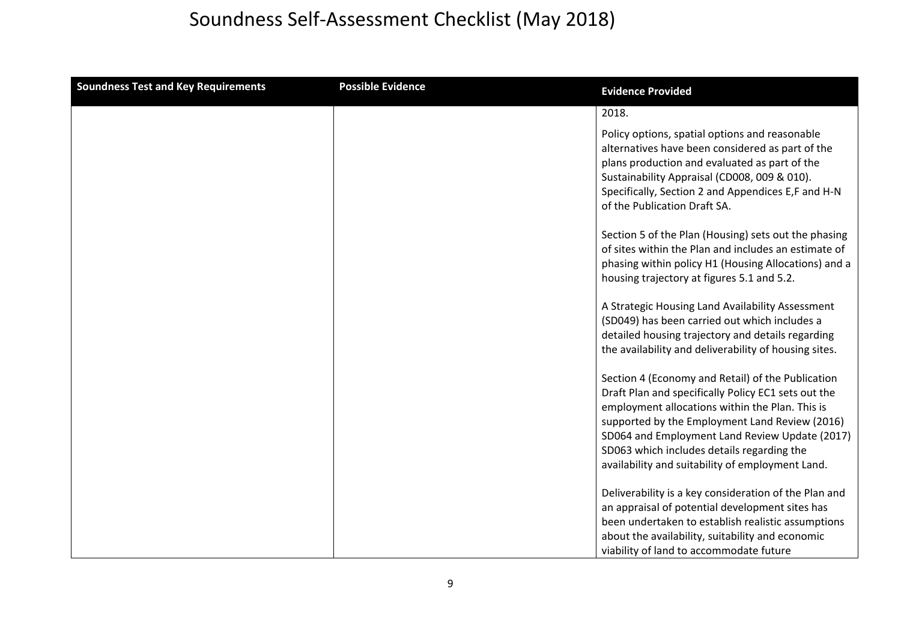| <b>Soundness Test and Key Requirements</b> | <b>Possible Evidence</b> | <b>Evidence Provided</b>                                                                                                                                                                                                                                                                                                                                          |
|--------------------------------------------|--------------------------|-------------------------------------------------------------------------------------------------------------------------------------------------------------------------------------------------------------------------------------------------------------------------------------------------------------------------------------------------------------------|
|                                            |                          | 2018.                                                                                                                                                                                                                                                                                                                                                             |
|                                            |                          | Policy options, spatial options and reasonable<br>alternatives have been considered as part of the<br>plans production and evaluated as part of the<br>Sustainability Appraisal (CD008, 009 & 010).<br>Specifically, Section 2 and Appendices E,F and H-N<br>of the Publication Draft SA.                                                                         |
|                                            |                          | Section 5 of the Plan (Housing) sets out the phasing<br>of sites within the Plan and includes an estimate of<br>phasing within policy H1 (Housing Allocations) and a<br>housing trajectory at figures 5.1 and 5.2.                                                                                                                                                |
|                                            |                          | A Strategic Housing Land Availability Assessment<br>(SD049) has been carried out which includes a<br>detailed housing trajectory and details regarding<br>the availability and deliverability of housing sites.                                                                                                                                                   |
|                                            |                          | Section 4 (Economy and Retail) of the Publication<br>Draft Plan and specifically Policy EC1 sets out the<br>employment allocations within the Plan. This is<br>supported by the Employment Land Review (2016)<br>SD064 and Employment Land Review Update (2017)<br>SD063 which includes details regarding the<br>availability and suitability of employment Land. |
|                                            |                          | Deliverability is a key consideration of the Plan and<br>an appraisal of potential development sites has<br>been undertaken to establish realistic assumptions<br>about the availability, suitability and economic<br>viability of land to accommodate future                                                                                                     |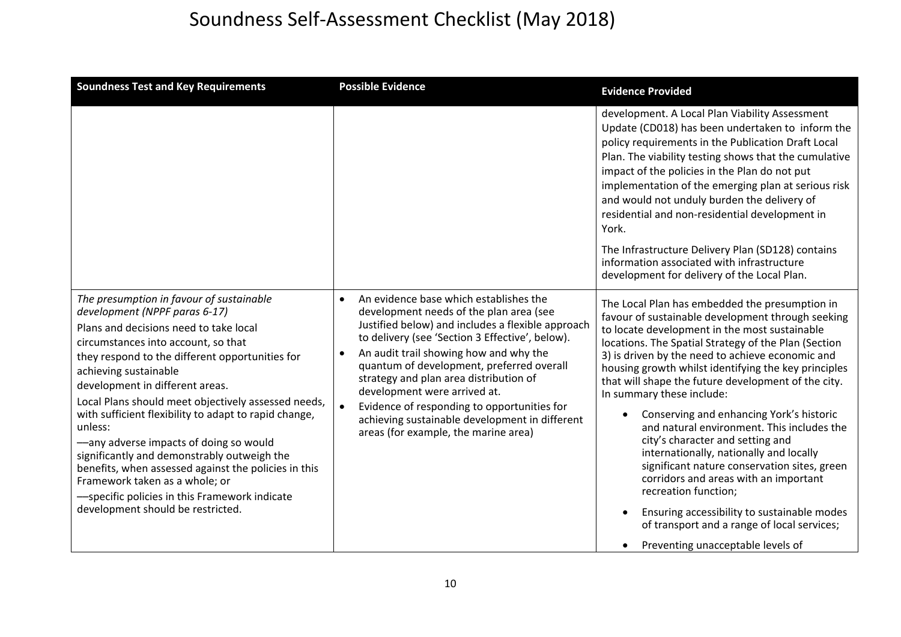| <b>Soundness Test and Key Requirements</b>                                                                                                                                                                                                                                                                                                                                                                                                                                                                                                                                                                                                                                    | <b>Possible Evidence</b>                                                                                                                                                                                                                                                                                                                                                                                                                                                                                                      | <b>Evidence Provided</b>                                                                                                                                                                                                                                                                                                                                                                                                                                                                                                                                                                                                                                                                                                                                                                                                                  |
|-------------------------------------------------------------------------------------------------------------------------------------------------------------------------------------------------------------------------------------------------------------------------------------------------------------------------------------------------------------------------------------------------------------------------------------------------------------------------------------------------------------------------------------------------------------------------------------------------------------------------------------------------------------------------------|-------------------------------------------------------------------------------------------------------------------------------------------------------------------------------------------------------------------------------------------------------------------------------------------------------------------------------------------------------------------------------------------------------------------------------------------------------------------------------------------------------------------------------|-------------------------------------------------------------------------------------------------------------------------------------------------------------------------------------------------------------------------------------------------------------------------------------------------------------------------------------------------------------------------------------------------------------------------------------------------------------------------------------------------------------------------------------------------------------------------------------------------------------------------------------------------------------------------------------------------------------------------------------------------------------------------------------------------------------------------------------------|
|                                                                                                                                                                                                                                                                                                                                                                                                                                                                                                                                                                                                                                                                               |                                                                                                                                                                                                                                                                                                                                                                                                                                                                                                                               | development. A Local Plan Viability Assessment<br>Update (CD018) has been undertaken to inform the<br>policy requirements in the Publication Draft Local<br>Plan. The viability testing shows that the cumulative<br>impact of the policies in the Plan do not put<br>implementation of the emerging plan at serious risk<br>and would not unduly burden the delivery of<br>residential and non-residential development in<br>York.<br>The Infrastructure Delivery Plan (SD128) contains<br>information associated with infrastructure<br>development for delivery of the Local Plan.                                                                                                                                                                                                                                                     |
| The presumption in favour of sustainable<br>development (NPPF paras 6-17)<br>Plans and decisions need to take local<br>circumstances into account, so that<br>they respond to the different opportunities for<br>achieving sustainable<br>development in different areas.<br>Local Plans should meet objectively assessed needs,<br>with sufficient flexibility to adapt to rapid change,<br>unless:<br>-any adverse impacts of doing so would<br>significantly and demonstrably outweigh the<br>benefits, when assessed against the policies in this<br>Framework taken as a whole; or<br>-specific policies in this Framework indicate<br>development should be restricted. | An evidence base which establishes the<br>development needs of the plan area (see<br>Justified below) and includes a flexible approach<br>to delivery (see 'Section 3 Effective', below).<br>An audit trail showing how and why the<br>$\bullet$<br>quantum of development, preferred overall<br>strategy and plan area distribution of<br>development were arrived at.<br>Evidence of responding to opportunities for<br>$\bullet$<br>achieving sustainable development in different<br>areas (for example, the marine area) | The Local Plan has embedded the presumption in<br>favour of sustainable development through seeking<br>to locate development in the most sustainable<br>locations. The Spatial Strategy of the Plan (Section<br>3) is driven by the need to achieve economic and<br>housing growth whilst identifying the key principles<br>that will shape the future development of the city.<br>In summary these include:<br>Conserving and enhancing York's historic<br>and natural environment. This includes the<br>city's character and setting and<br>internationally, nationally and locally<br>significant nature conservation sites, green<br>corridors and areas with an important<br>recreation function;<br>Ensuring accessibility to sustainable modes<br>of transport and a range of local services;<br>Preventing unacceptable levels of |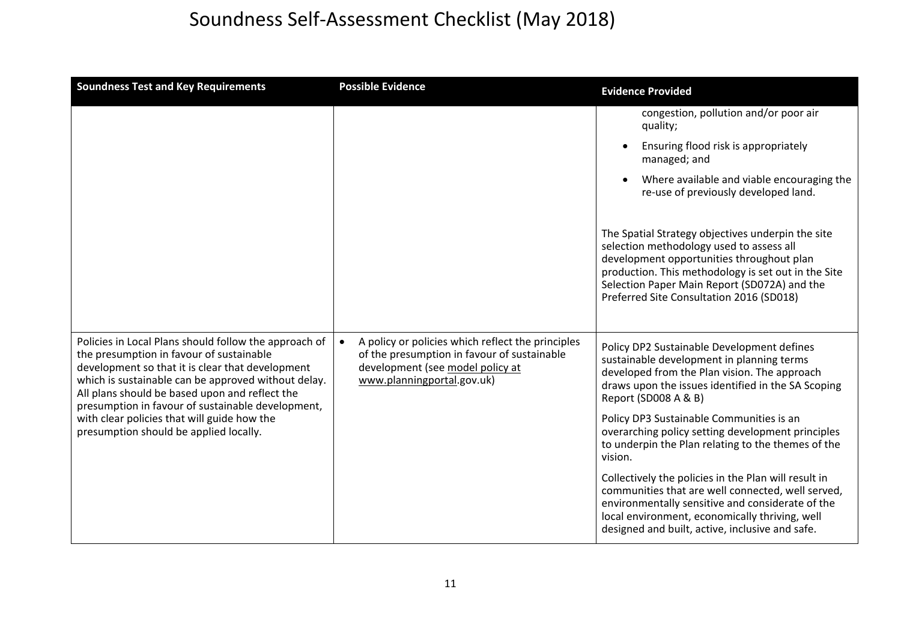| <b>Soundness Test and Key Requirements</b>                                                                                                                                                                                                                                                                                                                                                                   | <b>Possible Evidence</b>                                                                                                                                           | <b>Evidence Provided</b>                                                                                                                                                                                                                                                                      |
|--------------------------------------------------------------------------------------------------------------------------------------------------------------------------------------------------------------------------------------------------------------------------------------------------------------------------------------------------------------------------------------------------------------|--------------------------------------------------------------------------------------------------------------------------------------------------------------------|-----------------------------------------------------------------------------------------------------------------------------------------------------------------------------------------------------------------------------------------------------------------------------------------------|
|                                                                                                                                                                                                                                                                                                                                                                                                              |                                                                                                                                                                    | congestion, pollution and/or poor air<br>quality;                                                                                                                                                                                                                                             |
|                                                                                                                                                                                                                                                                                                                                                                                                              |                                                                                                                                                                    | Ensuring flood risk is appropriately<br>managed; and                                                                                                                                                                                                                                          |
|                                                                                                                                                                                                                                                                                                                                                                                                              |                                                                                                                                                                    | Where available and viable encouraging the<br>re-use of previously developed land.                                                                                                                                                                                                            |
|                                                                                                                                                                                                                                                                                                                                                                                                              |                                                                                                                                                                    | The Spatial Strategy objectives underpin the site<br>selection methodology used to assess all<br>development opportunities throughout plan<br>production. This methodology is set out in the Site<br>Selection Paper Main Report (SD072A) and the<br>Preferred Site Consultation 2016 (SD018) |
| Policies in Local Plans should follow the approach of<br>the presumption in favour of sustainable<br>development so that it is clear that development<br>which is sustainable can be approved without delay.<br>All plans should be based upon and reflect the<br>presumption in favour of sustainable development,<br>with clear policies that will guide how the<br>presumption should be applied locally. | A policy or policies which reflect the principles<br>of the presumption in favour of sustainable<br>development (see model policy at<br>www.planningportal.gov.uk) | Policy DP2 Sustainable Development defines<br>sustainable development in planning terms<br>developed from the Plan vision. The approach<br>draws upon the issues identified in the SA Scoping<br>Report (SD008 A & B)                                                                         |
|                                                                                                                                                                                                                                                                                                                                                                                                              |                                                                                                                                                                    | Policy DP3 Sustainable Communities is an<br>overarching policy setting development principles<br>to underpin the Plan relating to the themes of the<br>vision.                                                                                                                                |
|                                                                                                                                                                                                                                                                                                                                                                                                              |                                                                                                                                                                    | Collectively the policies in the Plan will result in<br>communities that are well connected, well served,<br>environmentally sensitive and considerate of the<br>local environment, economically thriving, well<br>designed and built, active, inclusive and safe.                            |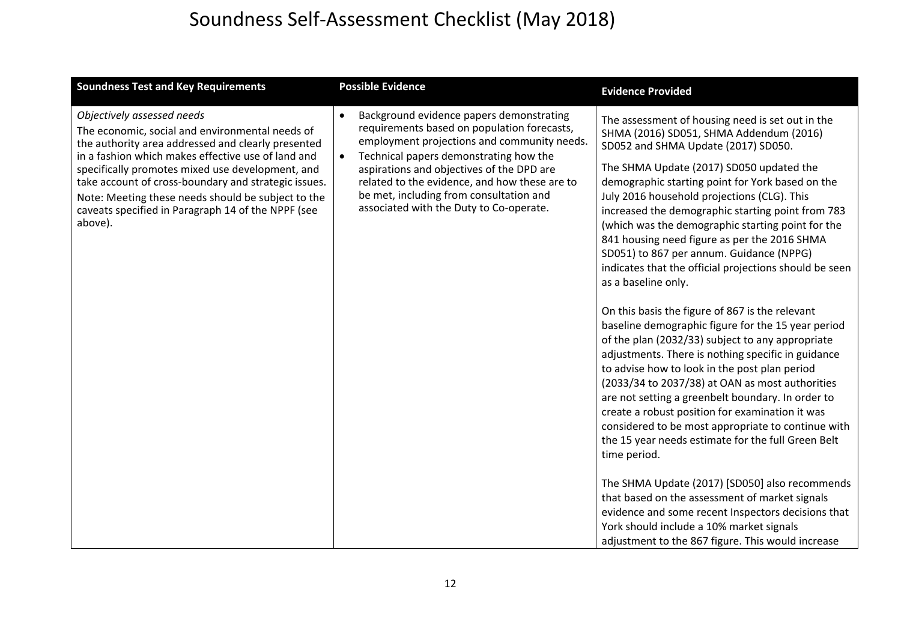| <b>Soundness Test and Key Requirements</b>                                                                                                                                                                                                                                                                                                                                                                                   | <b>Possible Evidence</b>                                                                                                                                                                                                                                                                                                                                                                       | <b>Evidence Provided</b>                                                                                                                                                                                                                                                                                                                                                                                                                                                                                                                                                                                                                                                                                                                                                                                                                                                                                                                                                                                                                                                                                                                                                                                                                                                                                                                                                                       |
|------------------------------------------------------------------------------------------------------------------------------------------------------------------------------------------------------------------------------------------------------------------------------------------------------------------------------------------------------------------------------------------------------------------------------|------------------------------------------------------------------------------------------------------------------------------------------------------------------------------------------------------------------------------------------------------------------------------------------------------------------------------------------------------------------------------------------------|------------------------------------------------------------------------------------------------------------------------------------------------------------------------------------------------------------------------------------------------------------------------------------------------------------------------------------------------------------------------------------------------------------------------------------------------------------------------------------------------------------------------------------------------------------------------------------------------------------------------------------------------------------------------------------------------------------------------------------------------------------------------------------------------------------------------------------------------------------------------------------------------------------------------------------------------------------------------------------------------------------------------------------------------------------------------------------------------------------------------------------------------------------------------------------------------------------------------------------------------------------------------------------------------------------------------------------------------------------------------------------------------|
| Objectively assessed needs<br>The economic, social and environmental needs of<br>the authority area addressed and clearly presented<br>in a fashion which makes effective use of land and<br>specifically promotes mixed use development, and<br>take account of cross-boundary and strategic issues.<br>Note: Meeting these needs should be subject to the<br>caveats specified in Paragraph 14 of the NPPF (see<br>above). | Background evidence papers demonstrating<br>$\bullet$<br>requirements based on population forecasts,<br>employment projections and community needs.<br>Technical papers demonstrating how the<br>$\bullet$<br>aspirations and objectives of the DPD are<br>related to the evidence, and how these are to<br>be met, including from consultation and<br>associated with the Duty to Co-operate. | The assessment of housing need is set out in the<br>SHMA (2016) SD051, SHMA Addendum (2016)<br>SD052 and SHMA Update (2017) SD050.<br>The SHMA Update (2017) SD050 updated the<br>demographic starting point for York based on the<br>July 2016 household projections (CLG). This<br>increased the demographic starting point from 783<br>(which was the demographic starting point for the<br>841 housing need figure as per the 2016 SHMA<br>SD051) to 867 per annum. Guidance (NPPG)<br>indicates that the official projections should be seen<br>as a baseline only.<br>On this basis the figure of 867 is the relevant<br>baseline demographic figure for the 15 year period<br>of the plan (2032/33) subject to any appropriate<br>adjustments. There is nothing specific in guidance<br>to advise how to look in the post plan period<br>(2033/34 to 2037/38) at OAN as most authorities<br>are not setting a greenbelt boundary. In order to<br>create a robust position for examination it was<br>considered to be most appropriate to continue with<br>the 15 year needs estimate for the full Green Belt<br>time period.<br>The SHMA Update (2017) [SD050] also recommends<br>that based on the assessment of market signals<br>evidence and some recent Inspectors decisions that<br>York should include a 10% market signals<br>adjustment to the 867 figure. This would increase |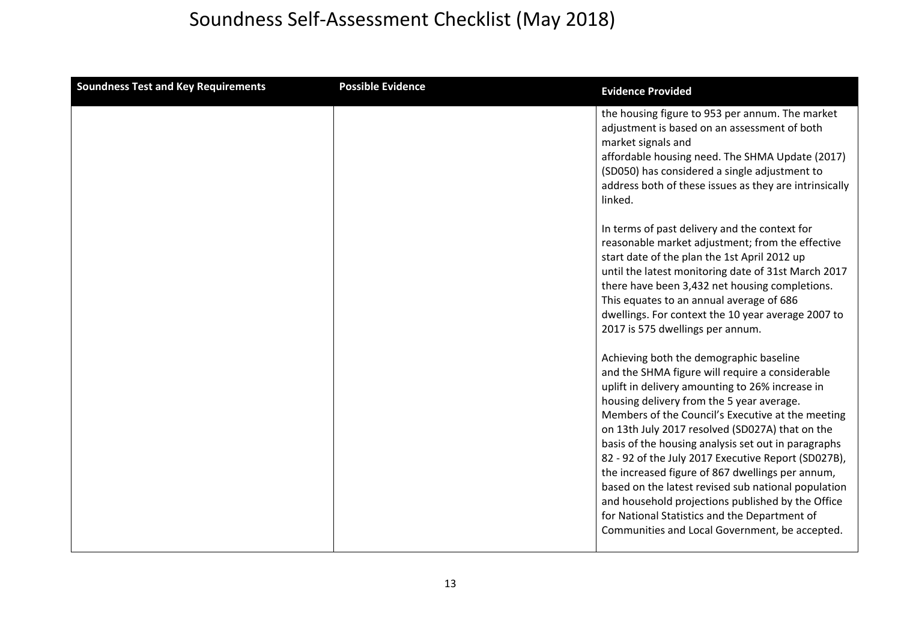| <b>Soundness Test and Key Requirements</b> | <b>Possible Evidence</b> | <b>Evidence Provided</b>                                                                                                                                                                                                                                                                                                                                                                                                                                                                                                                                                                                                                                                            |
|--------------------------------------------|--------------------------|-------------------------------------------------------------------------------------------------------------------------------------------------------------------------------------------------------------------------------------------------------------------------------------------------------------------------------------------------------------------------------------------------------------------------------------------------------------------------------------------------------------------------------------------------------------------------------------------------------------------------------------------------------------------------------------|
|                                            |                          | the housing figure to 953 per annum. The market<br>adjustment is based on an assessment of both<br>market signals and<br>affordable housing need. The SHMA Update (2017)<br>(SD050) has considered a single adjustment to<br>address both of these issues as they are intrinsically<br>linked.                                                                                                                                                                                                                                                                                                                                                                                      |
|                                            |                          | In terms of past delivery and the context for<br>reasonable market adjustment; from the effective<br>start date of the plan the 1st April 2012 up<br>until the latest monitoring date of 31st March 2017<br>there have been 3,432 net housing completions.<br>This equates to an annual average of 686<br>dwellings. For context the 10 year average 2007 to<br>2017 is 575 dwellings per annum.                                                                                                                                                                                                                                                                                    |
|                                            |                          | Achieving both the demographic baseline<br>and the SHMA figure will require a considerable<br>uplift in delivery amounting to 26% increase in<br>housing delivery from the 5 year average.<br>Members of the Council's Executive at the meeting<br>on 13th July 2017 resolved (SD027A) that on the<br>basis of the housing analysis set out in paragraphs<br>82 - 92 of the July 2017 Executive Report (SD027B),<br>the increased figure of 867 dwellings per annum,<br>based on the latest revised sub national population<br>and household projections published by the Office<br>for National Statistics and the Department of<br>Communities and Local Government, be accepted. |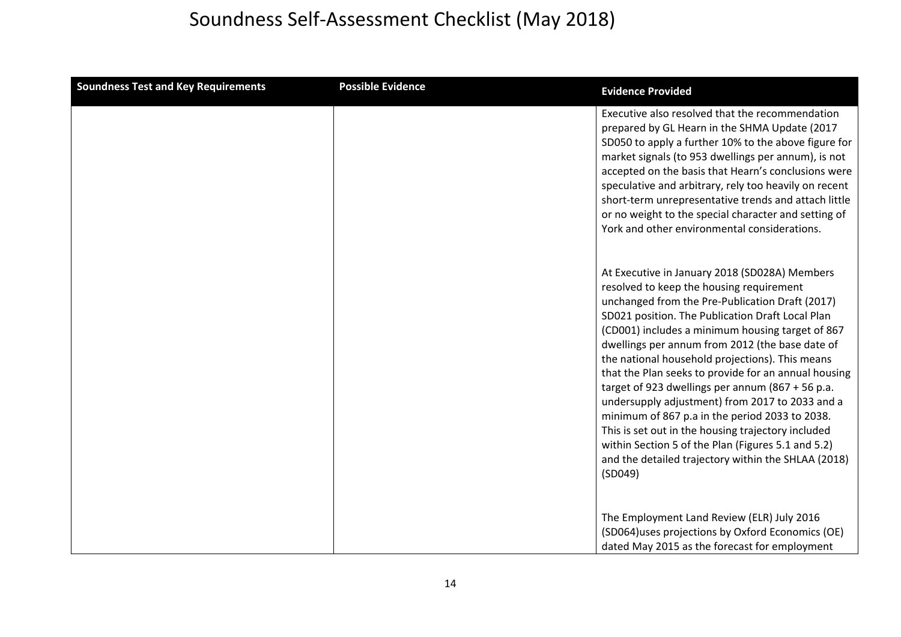| <b>Soundness Test and Key Requirements</b> | <b>Possible Evidence</b> | <b>Evidence Provided</b>                                                                                                                                                                                                                                                                                                                                                                                                                                                                                                                                                                                                                                                                                                                                  |
|--------------------------------------------|--------------------------|-----------------------------------------------------------------------------------------------------------------------------------------------------------------------------------------------------------------------------------------------------------------------------------------------------------------------------------------------------------------------------------------------------------------------------------------------------------------------------------------------------------------------------------------------------------------------------------------------------------------------------------------------------------------------------------------------------------------------------------------------------------|
|                                            |                          | Executive also resolved that the recommendation<br>prepared by GL Hearn in the SHMA Update (2017<br>SD050 to apply a further 10% to the above figure for<br>market signals (to 953 dwellings per annum), is not<br>accepted on the basis that Hearn's conclusions were<br>speculative and arbitrary, rely too heavily on recent<br>short-term unrepresentative trends and attach little<br>or no weight to the special character and setting of<br>York and other environmental considerations.                                                                                                                                                                                                                                                           |
|                                            |                          | At Executive in January 2018 (SD028A) Members<br>resolved to keep the housing requirement<br>unchanged from the Pre-Publication Draft (2017)<br>SD021 position. The Publication Draft Local Plan<br>(CD001) includes a minimum housing target of 867<br>dwellings per annum from 2012 (the base date of<br>the national household projections). This means<br>that the Plan seeks to provide for an annual housing<br>target of 923 dwellings per annum (867 + 56 p.a.<br>undersupply adjustment) from 2017 to 2033 and a<br>minimum of 867 p.a in the period 2033 to 2038.<br>This is set out in the housing trajectory included<br>within Section 5 of the Plan (Figures 5.1 and 5.2)<br>and the detailed trajectory within the SHLAA (2018)<br>(SD049) |
|                                            |                          | The Employment Land Review (ELR) July 2016<br>(SD064)uses projections by Oxford Economics (OE)<br>dated May 2015 as the forecast for employment                                                                                                                                                                                                                                                                                                                                                                                                                                                                                                                                                                                                           |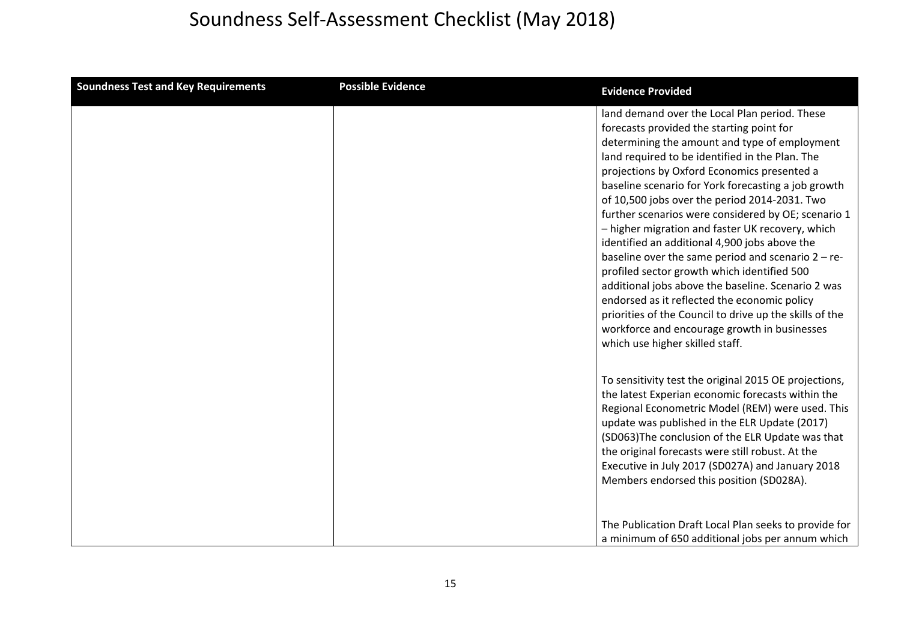| <b>Soundness Test and Key Requirements</b> | <b>Possible Evidence</b> | <b>Evidence Provided</b>                                                                                                                                                                                                                                                                                                                                                                                                                                                                                                                                                                                                                                                                                                                                                                                                                                                     |
|--------------------------------------------|--------------------------|------------------------------------------------------------------------------------------------------------------------------------------------------------------------------------------------------------------------------------------------------------------------------------------------------------------------------------------------------------------------------------------------------------------------------------------------------------------------------------------------------------------------------------------------------------------------------------------------------------------------------------------------------------------------------------------------------------------------------------------------------------------------------------------------------------------------------------------------------------------------------|
|                                            |                          | land demand over the Local Plan period. These<br>forecasts provided the starting point for<br>determining the amount and type of employment<br>land required to be identified in the Plan. The<br>projections by Oxford Economics presented a<br>baseline scenario for York forecasting a job growth<br>of 10,500 jobs over the period 2014-2031. Two<br>further scenarios were considered by OE; scenario 1<br>- higher migration and faster UK recovery, which<br>identified an additional 4,900 jobs above the<br>baseline over the same period and scenario $2 - re-$<br>profiled sector growth which identified 500<br>additional jobs above the baseline. Scenario 2 was<br>endorsed as it reflected the economic policy<br>priorities of the Council to drive up the skills of the<br>workforce and encourage growth in businesses<br>which use higher skilled staff. |
|                                            |                          | To sensitivity test the original 2015 OE projections,<br>the latest Experian economic forecasts within the<br>Regional Econometric Model (REM) were used. This<br>update was published in the ELR Update (2017)<br>(SD063)The conclusion of the ELR Update was that<br>the original forecasts were still robust. At the<br>Executive in July 2017 (SD027A) and January 2018<br>Members endorsed this position (SD028A).                                                                                                                                                                                                                                                                                                                                                                                                                                                      |
|                                            |                          | The Publication Draft Local Plan seeks to provide for<br>a minimum of 650 additional jobs per annum which                                                                                                                                                                                                                                                                                                                                                                                                                                                                                                                                                                                                                                                                                                                                                                    |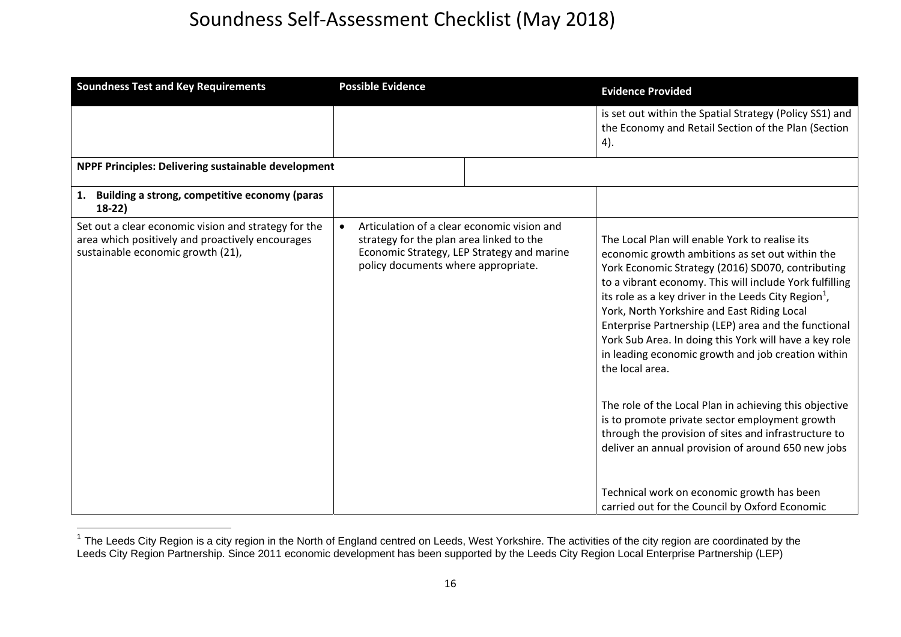| <b>Soundness Test and Key Requirements</b>                                                                                                    | <b>Possible Evidence</b>                                                                                                                                                                  | <b>Evidence Provided</b>                                                                                                                                                                                                                                                                                                                                                                                                                                                                                                                                                                                                                                                                                                                                                                                                                                  |
|-----------------------------------------------------------------------------------------------------------------------------------------------|-------------------------------------------------------------------------------------------------------------------------------------------------------------------------------------------|-----------------------------------------------------------------------------------------------------------------------------------------------------------------------------------------------------------------------------------------------------------------------------------------------------------------------------------------------------------------------------------------------------------------------------------------------------------------------------------------------------------------------------------------------------------------------------------------------------------------------------------------------------------------------------------------------------------------------------------------------------------------------------------------------------------------------------------------------------------|
|                                                                                                                                               |                                                                                                                                                                                           | is set out within the Spatial Strategy (Policy SS1) and<br>the Economy and Retail Section of the Plan (Section<br>4).                                                                                                                                                                                                                                                                                                                                                                                                                                                                                                                                                                                                                                                                                                                                     |
| NPPF Principles: Delivering sustainable development                                                                                           |                                                                                                                                                                                           |                                                                                                                                                                                                                                                                                                                                                                                                                                                                                                                                                                                                                                                                                                                                                                                                                                                           |
| Building a strong, competitive economy (paras<br>$18-22)$                                                                                     |                                                                                                                                                                                           |                                                                                                                                                                                                                                                                                                                                                                                                                                                                                                                                                                                                                                                                                                                                                                                                                                                           |
| Set out a clear economic vision and strategy for the<br>area which positively and proactively encourages<br>sustainable economic growth (21), | Articulation of a clear economic vision and<br>$\bullet$<br>strategy for the plan area linked to the<br>Economic Strategy, LEP Strategy and marine<br>policy documents where appropriate. | The Local Plan will enable York to realise its<br>economic growth ambitions as set out within the<br>York Economic Strategy (2016) SD070, contributing<br>to a vibrant economy. This will include York fulfilling<br>its role as a key driver in the Leeds City Region <sup>1</sup> ,<br>York, North Yorkshire and East Riding Local<br>Enterprise Partnership (LEP) area and the functional<br>York Sub Area. In doing this York will have a key role<br>in leading economic growth and job creation within<br>the local area.<br>The role of the Local Plan in achieving this objective<br>is to promote private sector employment growth<br>through the provision of sites and infrastructure to<br>deliver an annual provision of around 650 new jobs<br>Technical work on economic growth has been<br>carried out for the Council by Oxford Economic |

 $1$  The Leeds City Region is a city region in the North of England centred on Leeds, West Yorkshire. The activities of the city region are coordinated by the Leeds City Region Partnership. Since 2011 economic development has been supported by the Leeds City Region Local Enterprise Partnership (LEP)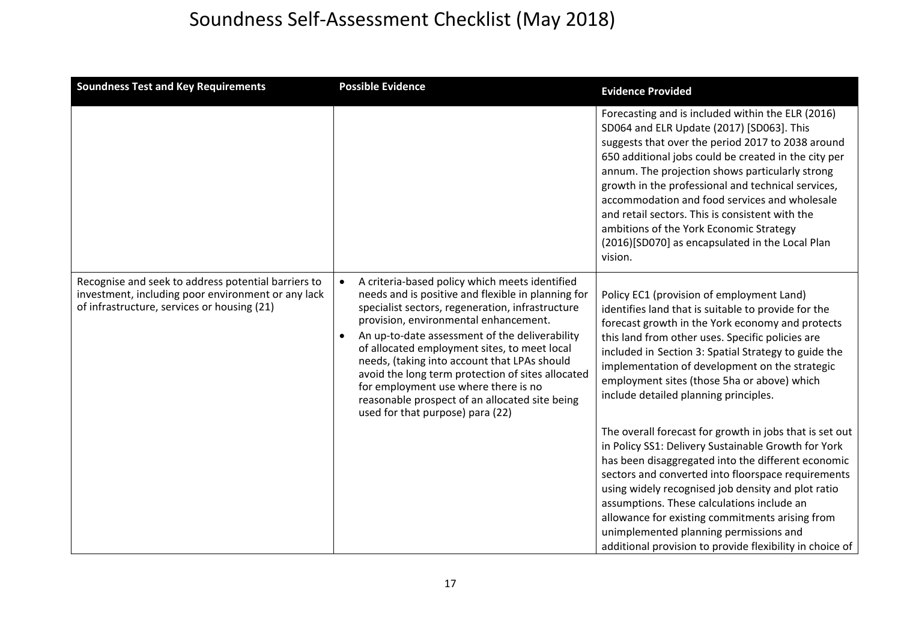| <b>Soundness Test and Key Requirements</b>                                                                                                               | <b>Possible Evidence</b>                                                                                                                                                                                                                                                                                                                                                                                                                                                                                                               | <b>Evidence Provided</b>                                                                                                                                                                                                                                                                                                                                                                                                                                                                                                          |
|----------------------------------------------------------------------------------------------------------------------------------------------------------|----------------------------------------------------------------------------------------------------------------------------------------------------------------------------------------------------------------------------------------------------------------------------------------------------------------------------------------------------------------------------------------------------------------------------------------------------------------------------------------------------------------------------------------|-----------------------------------------------------------------------------------------------------------------------------------------------------------------------------------------------------------------------------------------------------------------------------------------------------------------------------------------------------------------------------------------------------------------------------------------------------------------------------------------------------------------------------------|
|                                                                                                                                                          |                                                                                                                                                                                                                                                                                                                                                                                                                                                                                                                                        | Forecasting and is included within the ELR (2016)<br>SD064 and ELR Update (2017) [SD063]. This<br>suggests that over the period 2017 to 2038 around<br>650 additional jobs could be created in the city per<br>annum. The projection shows particularly strong<br>growth in the professional and technical services,<br>accommodation and food services and wholesale<br>and retail sectors. This is consistent with the<br>ambitions of the York Economic Strategy<br>(2016)[SD070] as encapsulated in the Local Plan<br>vision. |
| Recognise and seek to address potential barriers to<br>investment, including poor environment or any lack<br>of infrastructure, services or housing (21) | A criteria-based policy which meets identified<br>needs and is positive and flexible in planning for<br>specialist sectors, regeneration, infrastructure<br>provision, environmental enhancement.<br>An up-to-date assessment of the deliverability<br>of allocated employment sites, to meet local<br>needs, (taking into account that LPAs should<br>avoid the long term protection of sites allocated<br>for employment use where there is no<br>reasonable prospect of an allocated site being<br>used for that purpose) para (22) | Policy EC1 (provision of employment Land)<br>identifies land that is suitable to provide for the<br>forecast growth in the York economy and protects<br>this land from other uses. Specific policies are<br>included in Section 3: Spatial Strategy to guide the<br>implementation of development on the strategic<br>employment sites (those 5ha or above) which<br>include detailed planning principles.                                                                                                                        |
|                                                                                                                                                          |                                                                                                                                                                                                                                                                                                                                                                                                                                                                                                                                        | The overall forecast for growth in jobs that is set out<br>in Policy SS1: Delivery Sustainable Growth for York<br>has been disaggregated into the different economic<br>sectors and converted into floorspace requirements<br>using widely recognised job density and plot ratio<br>assumptions. These calculations include an<br>allowance for existing commitments arising from<br>unimplemented planning permissions and<br>additional provision to provide flexibility in choice of                                           |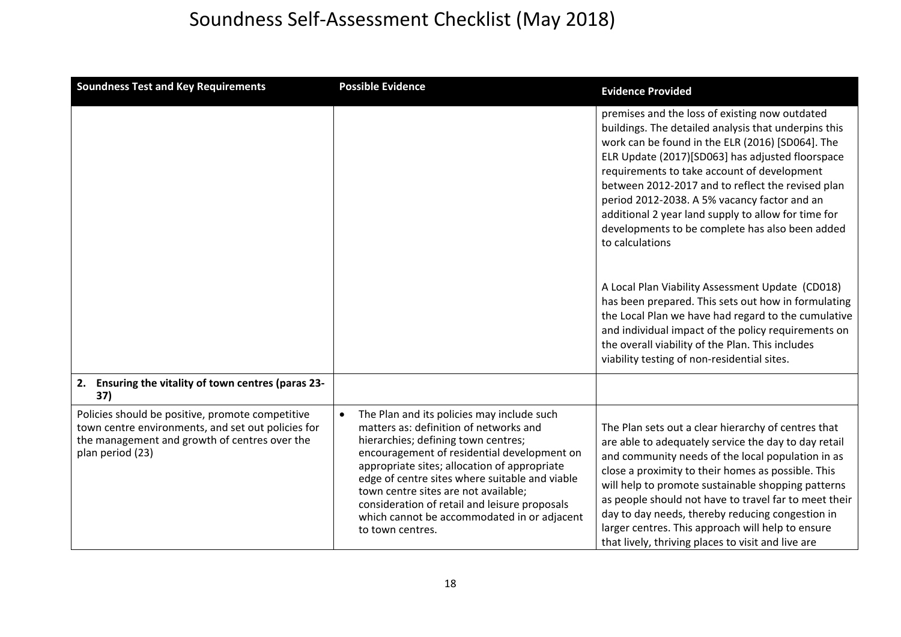| <b>Soundness Test and Key Requirements</b>                                                                                                                                  | <b>Possible Evidence</b>                                                                                                                                                                                                                                                                                                                                                                                                                 | <b>Evidence Provided</b>                                                                                                                                                                                                                                                                                                                                                                                                                                                                                                                                                                                                                                                                                                                                                                                                    |
|-----------------------------------------------------------------------------------------------------------------------------------------------------------------------------|------------------------------------------------------------------------------------------------------------------------------------------------------------------------------------------------------------------------------------------------------------------------------------------------------------------------------------------------------------------------------------------------------------------------------------------|-----------------------------------------------------------------------------------------------------------------------------------------------------------------------------------------------------------------------------------------------------------------------------------------------------------------------------------------------------------------------------------------------------------------------------------------------------------------------------------------------------------------------------------------------------------------------------------------------------------------------------------------------------------------------------------------------------------------------------------------------------------------------------------------------------------------------------|
|                                                                                                                                                                             |                                                                                                                                                                                                                                                                                                                                                                                                                                          | premises and the loss of existing now outdated<br>buildings. The detailed analysis that underpins this<br>work can be found in the ELR (2016) [SD064]. The<br>ELR Update (2017)[SD063] has adjusted floorspace<br>requirements to take account of development<br>between 2012-2017 and to reflect the revised plan<br>period 2012-2038. A 5% vacancy factor and an<br>additional 2 year land supply to allow for time for<br>developments to be complete has also been added<br>to calculations<br>A Local Plan Viability Assessment Update (CD018)<br>has been prepared. This sets out how in formulating<br>the Local Plan we have had regard to the cumulative<br>and individual impact of the policy requirements on<br>the overall viability of the Plan. This includes<br>viability testing of non-residential sites. |
| Ensuring the vitality of town centres (paras 23-<br>2.<br>37)                                                                                                               |                                                                                                                                                                                                                                                                                                                                                                                                                                          |                                                                                                                                                                                                                                                                                                                                                                                                                                                                                                                                                                                                                                                                                                                                                                                                                             |
| Policies should be positive, promote competitive<br>town centre environments, and set out policies for<br>the management and growth of centres over the<br>plan period (23) | The Plan and its policies may include such<br>matters as: definition of networks and<br>hierarchies; defining town centres;<br>encouragement of residential development on<br>appropriate sites; allocation of appropriate<br>edge of centre sites where suitable and viable<br>town centre sites are not available;<br>consideration of retail and leisure proposals<br>which cannot be accommodated in or adjacent<br>to town centres. | The Plan sets out a clear hierarchy of centres that<br>are able to adequately service the day to day retail<br>and community needs of the local population in as<br>close a proximity to their homes as possible. This<br>will help to promote sustainable shopping patterns<br>as people should not have to travel far to meet their<br>day to day needs, thereby reducing congestion in<br>larger centres. This approach will help to ensure<br>that lively, thriving places to visit and live are                                                                                                                                                                                                                                                                                                                        |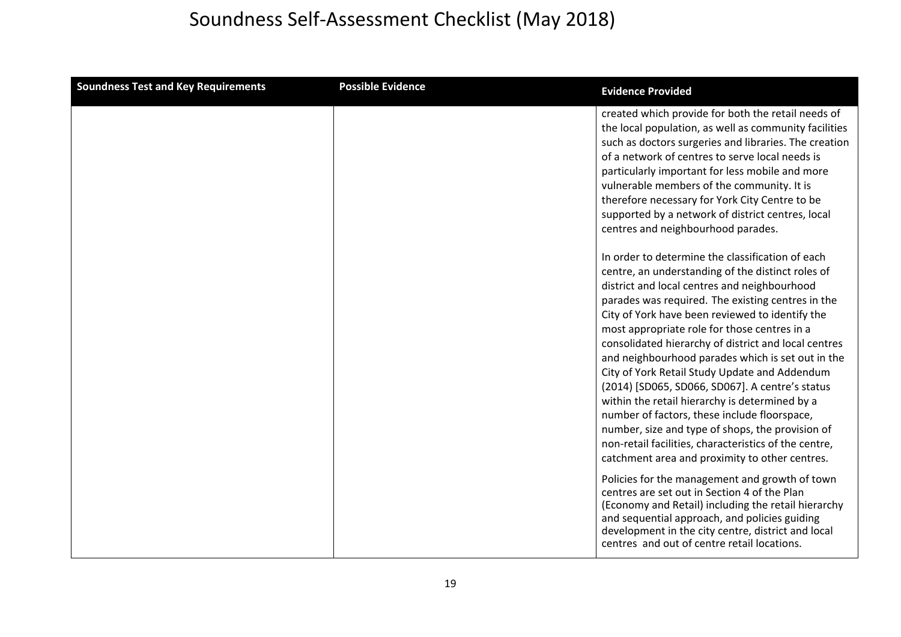| <b>Soundness Test and Key Requirements</b> | <b>Possible Evidence</b> | <b>Evidence Provided</b>                                                                                                                                                                                                                                                                                                                                                                                                                                                                                                                                                                                                                                                                                                                                                                        |
|--------------------------------------------|--------------------------|-------------------------------------------------------------------------------------------------------------------------------------------------------------------------------------------------------------------------------------------------------------------------------------------------------------------------------------------------------------------------------------------------------------------------------------------------------------------------------------------------------------------------------------------------------------------------------------------------------------------------------------------------------------------------------------------------------------------------------------------------------------------------------------------------|
|                                            |                          | created which provide for both the retail needs of<br>the local population, as well as community facilities<br>such as doctors surgeries and libraries. The creation<br>of a network of centres to serve local needs is<br>particularly important for less mobile and more<br>vulnerable members of the community. It is<br>therefore necessary for York City Centre to be<br>supported by a network of district centres, local<br>centres and neighbourhood parades.                                                                                                                                                                                                                                                                                                                           |
|                                            |                          | In order to determine the classification of each<br>centre, an understanding of the distinct roles of<br>district and local centres and neighbourhood<br>parades was required. The existing centres in the<br>City of York have been reviewed to identify the<br>most appropriate role for those centres in a<br>consolidated hierarchy of district and local centres<br>and neighbourhood parades which is set out in the<br>City of York Retail Study Update and Addendum<br>(2014) [SD065, SD066, SD067]. A centre's status<br>within the retail hierarchy is determined by a<br>number of factors, these include floorspace,<br>number, size and type of shops, the provision of<br>non-retail facilities, characteristics of the centre,<br>catchment area and proximity to other centres. |
|                                            |                          | Policies for the management and growth of town<br>centres are set out in Section 4 of the Plan<br>(Economy and Retail) including the retail hierarchy<br>and sequential approach, and policies guiding<br>development in the city centre, district and local<br>centres and out of centre retail locations.                                                                                                                                                                                                                                                                                                                                                                                                                                                                                     |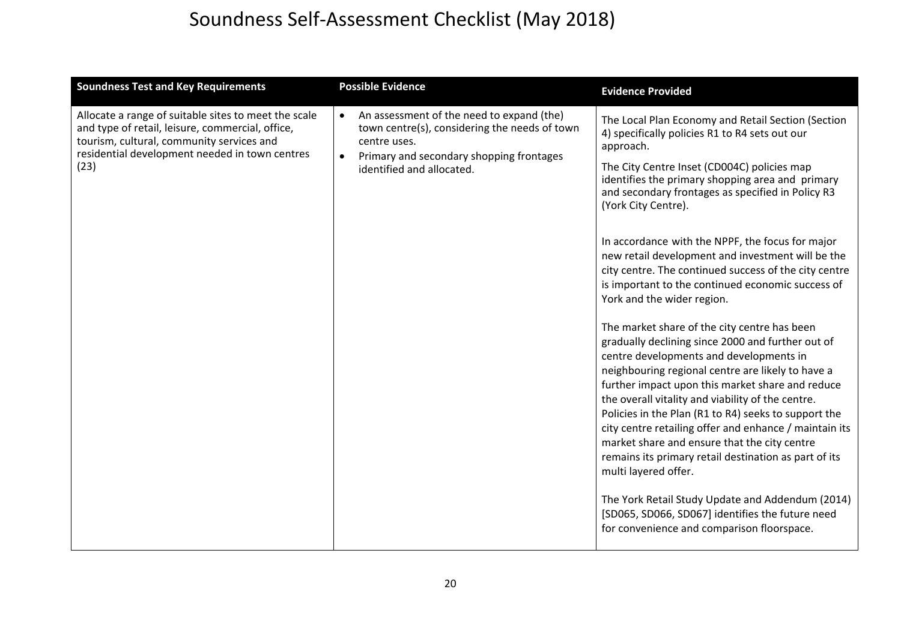| <b>Soundness Test and Key Requirements</b>                                                                                                                                                                      | <b>Possible Evidence</b>                                                                                                                                                                         | <b>Evidence Provided</b>                                                                                                                                                                                                                                                                                                                                                                                                                                                                                                                                                                                                                                                                                                                                                                                                                                                                                                                                                                                                                                                                                                                                                                                                                                                     |
|-----------------------------------------------------------------------------------------------------------------------------------------------------------------------------------------------------------------|--------------------------------------------------------------------------------------------------------------------------------------------------------------------------------------------------|------------------------------------------------------------------------------------------------------------------------------------------------------------------------------------------------------------------------------------------------------------------------------------------------------------------------------------------------------------------------------------------------------------------------------------------------------------------------------------------------------------------------------------------------------------------------------------------------------------------------------------------------------------------------------------------------------------------------------------------------------------------------------------------------------------------------------------------------------------------------------------------------------------------------------------------------------------------------------------------------------------------------------------------------------------------------------------------------------------------------------------------------------------------------------------------------------------------------------------------------------------------------------|
| Allocate a range of suitable sites to meet the scale<br>and type of retail, leisure, commercial, office,<br>tourism, cultural, community services and<br>residential development needed in town centres<br>(23) | An assessment of the need to expand (the)<br>town centre(s), considering the needs of town<br>centre uses.<br>Primary and secondary shopping frontages<br>$\bullet$<br>identified and allocated. | The Local Plan Economy and Retail Section (Section<br>4) specifically policies R1 to R4 sets out our<br>approach.<br>The City Centre Inset (CD004C) policies map<br>identifies the primary shopping area and primary<br>and secondary frontages as specified in Policy R3<br>(York City Centre).<br>In accordance with the NPPF, the focus for major<br>new retail development and investment will be the<br>city centre. The continued success of the city centre<br>is important to the continued economic success of<br>York and the wider region.<br>The market share of the city centre has been<br>gradually declining since 2000 and further out of<br>centre developments and developments in<br>neighbouring regional centre are likely to have a<br>further impact upon this market share and reduce<br>the overall vitality and viability of the centre.<br>Policies in the Plan (R1 to R4) seeks to support the<br>city centre retailing offer and enhance / maintain its<br>market share and ensure that the city centre<br>remains its primary retail destination as part of its<br>multi layered offer.<br>The York Retail Study Update and Addendum (2014)<br>[SD065, SD066, SD067] identifies the future need<br>for convenience and comparison floorspace. |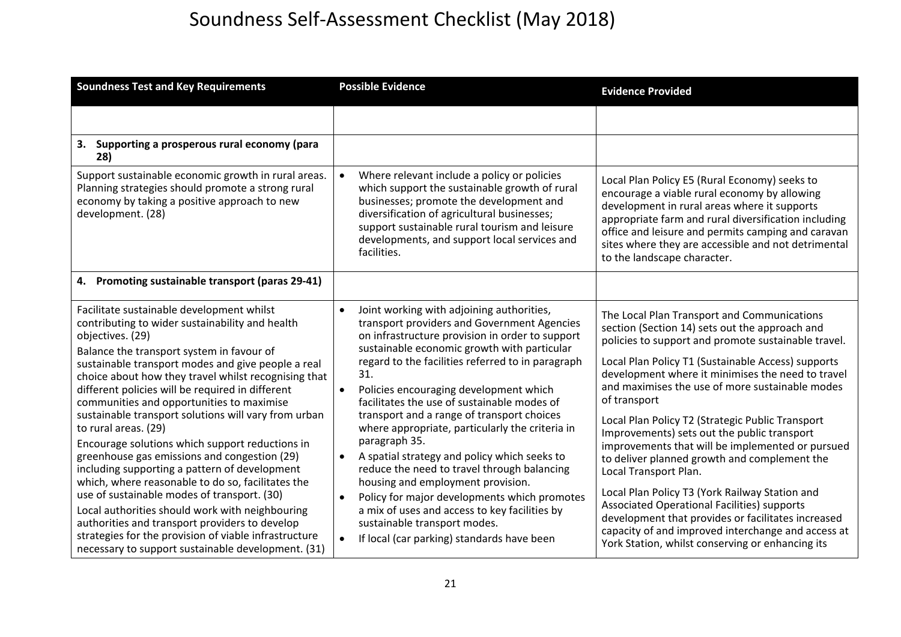| <b>Soundness Test and Key Requirements</b>                                                                                                                                                                                                                                                                                                                                                                                                                                                                                                                                                                                                                                                                                                                                                                                                                                                                                               | <b>Possible Evidence</b>                                                                                                                                                                                                                                                                                                                                                                                                                                                                                                                                                                                                                                                                                                                                                                                                    | <b>Evidence Provided</b>                                                                                                                                                                                                                                                                                                                                                                                                                                                                                                                                                                                                                                                                                                                                                                                                            |
|------------------------------------------------------------------------------------------------------------------------------------------------------------------------------------------------------------------------------------------------------------------------------------------------------------------------------------------------------------------------------------------------------------------------------------------------------------------------------------------------------------------------------------------------------------------------------------------------------------------------------------------------------------------------------------------------------------------------------------------------------------------------------------------------------------------------------------------------------------------------------------------------------------------------------------------|-----------------------------------------------------------------------------------------------------------------------------------------------------------------------------------------------------------------------------------------------------------------------------------------------------------------------------------------------------------------------------------------------------------------------------------------------------------------------------------------------------------------------------------------------------------------------------------------------------------------------------------------------------------------------------------------------------------------------------------------------------------------------------------------------------------------------------|-------------------------------------------------------------------------------------------------------------------------------------------------------------------------------------------------------------------------------------------------------------------------------------------------------------------------------------------------------------------------------------------------------------------------------------------------------------------------------------------------------------------------------------------------------------------------------------------------------------------------------------------------------------------------------------------------------------------------------------------------------------------------------------------------------------------------------------|
|                                                                                                                                                                                                                                                                                                                                                                                                                                                                                                                                                                                                                                                                                                                                                                                                                                                                                                                                          |                                                                                                                                                                                                                                                                                                                                                                                                                                                                                                                                                                                                                                                                                                                                                                                                                             |                                                                                                                                                                                                                                                                                                                                                                                                                                                                                                                                                                                                                                                                                                                                                                                                                                     |
| 3. Supporting a prosperous rural economy (para<br>28)                                                                                                                                                                                                                                                                                                                                                                                                                                                                                                                                                                                                                                                                                                                                                                                                                                                                                    |                                                                                                                                                                                                                                                                                                                                                                                                                                                                                                                                                                                                                                                                                                                                                                                                                             |                                                                                                                                                                                                                                                                                                                                                                                                                                                                                                                                                                                                                                                                                                                                                                                                                                     |
| Support sustainable economic growth in rural areas.<br>Planning strategies should promote a strong rural<br>economy by taking a positive approach to new<br>development. (28)                                                                                                                                                                                                                                                                                                                                                                                                                                                                                                                                                                                                                                                                                                                                                            | Where relevant include a policy or policies<br>$\bullet$<br>which support the sustainable growth of rural<br>businesses; promote the development and<br>diversification of agricultural businesses;<br>support sustainable rural tourism and leisure<br>developments, and support local services and<br>facilities.                                                                                                                                                                                                                                                                                                                                                                                                                                                                                                         | Local Plan Policy E5 (Rural Economy) seeks to<br>encourage a viable rural economy by allowing<br>development in rural areas where it supports<br>appropriate farm and rural diversification including<br>office and leisure and permits camping and caravan<br>sites where they are accessible and not detrimental<br>to the landscape character.                                                                                                                                                                                                                                                                                                                                                                                                                                                                                   |
| Promoting sustainable transport (paras 29-41)<br>4.                                                                                                                                                                                                                                                                                                                                                                                                                                                                                                                                                                                                                                                                                                                                                                                                                                                                                      |                                                                                                                                                                                                                                                                                                                                                                                                                                                                                                                                                                                                                                                                                                                                                                                                                             |                                                                                                                                                                                                                                                                                                                                                                                                                                                                                                                                                                                                                                                                                                                                                                                                                                     |
| Facilitate sustainable development whilst<br>contributing to wider sustainability and health<br>objectives. (29)<br>Balance the transport system in favour of<br>sustainable transport modes and give people a real<br>choice about how they travel whilst recognising that<br>different policies will be required in different<br>communities and opportunities to maximise<br>sustainable transport solutions will vary from urban<br>to rural areas. (29)<br>Encourage solutions which support reductions in<br>greenhouse gas emissions and congestion (29)<br>including supporting a pattern of development<br>which, where reasonable to do so, facilitates the<br>use of sustainable modes of transport. (30)<br>Local authorities should work with neighbouring<br>authorities and transport providers to develop<br>strategies for the provision of viable infrastructure<br>necessary to support sustainable development. (31) | Joint working with adjoining authorities,<br>$\bullet$<br>transport providers and Government Agencies<br>on infrastructure provision in order to support<br>sustainable economic growth with particular<br>regard to the facilities referred to in paragraph<br>31.<br>Policies encouraging development which<br>facilitates the use of sustainable modes of<br>transport and a range of transport choices<br>where appropriate, particularly the criteria in<br>paragraph 35.<br>A spatial strategy and policy which seeks to<br>$\bullet$<br>reduce the need to travel through balancing<br>housing and employment provision.<br>Policy for major developments which promotes<br>$\bullet$<br>a mix of uses and access to key facilities by<br>sustainable transport modes.<br>If local (car parking) standards have been | The Local Plan Transport and Communications<br>section (Section 14) sets out the approach and<br>policies to support and promote sustainable travel.<br>Local Plan Policy T1 (Sustainable Access) supports<br>development where it minimises the need to travel<br>and maximises the use of more sustainable modes<br>of transport<br>Local Plan Policy T2 (Strategic Public Transport<br>Improvements) sets out the public transport<br>improvements that will be implemented or pursued<br>to deliver planned growth and complement the<br>Local Transport Plan.<br>Local Plan Policy T3 (York Railway Station and<br>Associated Operational Facilities) supports<br>development that provides or facilitates increased<br>capacity of and improved interchange and access at<br>York Station, whilst conserving or enhancing its |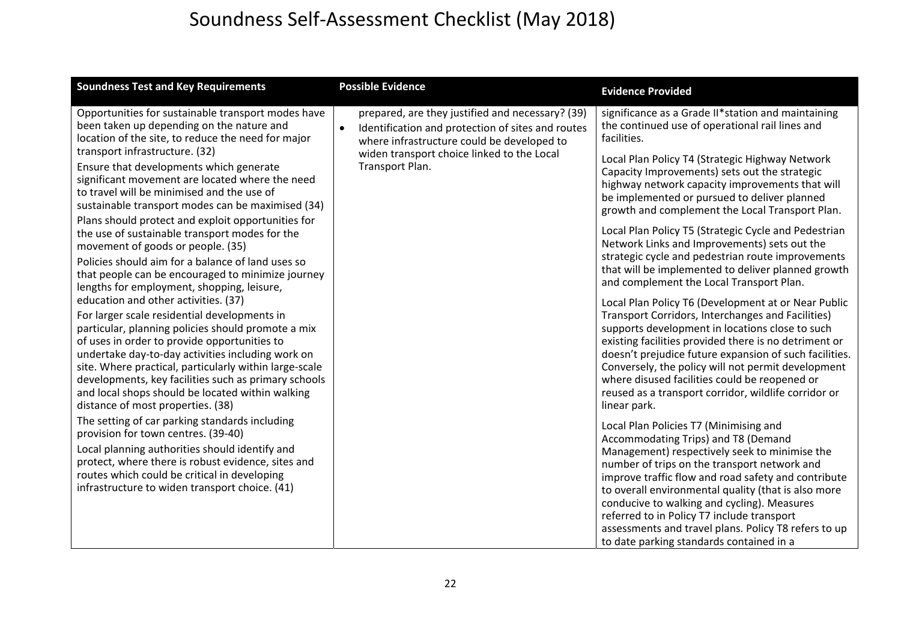| <b>Soundness Test and Key Requirements</b>                                                                                                                                                                                                                                                                                                                                                                                                                 | <b>Possible Evidence</b>                                                                                                                                         | <b>Evidence Provided</b>                                                                                                                                                                                                                                                                                                                                                                                                                                                                      |
|------------------------------------------------------------------------------------------------------------------------------------------------------------------------------------------------------------------------------------------------------------------------------------------------------------------------------------------------------------------------------------------------------------------------------------------------------------|------------------------------------------------------------------------------------------------------------------------------------------------------------------|-----------------------------------------------------------------------------------------------------------------------------------------------------------------------------------------------------------------------------------------------------------------------------------------------------------------------------------------------------------------------------------------------------------------------------------------------------------------------------------------------|
| Opportunities for sustainable transport modes have<br>been taken up depending on the nature and<br>location of the site, to reduce the need for major                                                                                                                                                                                                                                                                                                      | prepared, are they justified and necessary? (39)<br>Identification and protection of sites and routes<br>$\bullet$<br>where infrastructure could be developed to | significance as a Grade II*station and maintaining<br>the continued use of operational rail lines and<br>facilities.                                                                                                                                                                                                                                                                                                                                                                          |
| transport infrastructure. (32)<br>Ensure that developments which generate<br>significant movement are located where the need<br>to travel will be minimised and the use of<br>sustainable transport modes can be maximised (34)<br>Plans should protect and exploit opportunities for                                                                                                                                                                      | widen transport choice linked to the Local<br>Transport Plan.                                                                                                    | Local Plan Policy T4 (Strategic Highway Network<br>Capacity Improvements) sets out the strategic<br>highway network capacity improvements that will<br>be implemented or pursued to deliver planned<br>growth and complement the Local Transport Plan.                                                                                                                                                                                                                                        |
| the use of sustainable transport modes for the<br>movement of goods or people. (35)<br>Policies should aim for a balance of land uses so<br>that people can be encouraged to minimize journey<br>lengths for employment, shopping, leisure,                                                                                                                                                                                                                |                                                                                                                                                                  | Local Plan Policy T5 (Strategic Cycle and Pedestrian<br>Network Links and Improvements) sets out the<br>strategic cycle and pedestrian route improvements<br>that will be implemented to deliver planned growth<br>and complement the Local Transport Plan.                                                                                                                                                                                                                                   |
| education and other activities. (37)<br>For larger scale residential developments in<br>particular, planning policies should promote a mix<br>of uses in order to provide opportunities to<br>undertake day-to-day activities including work on<br>site. Where practical, particularly within large-scale<br>developments, key facilities such as primary schools<br>and local shops should be located within walking<br>distance of most properties. (38) |                                                                                                                                                                  | Local Plan Policy T6 (Development at or Near Public<br>Transport Corridors, Interchanges and Facilities)<br>supports development in locations close to such<br>existing facilities provided there is no detriment or<br>doesn't prejudice future expansion of such facilities.<br>Conversely, the policy will not permit development<br>where disused facilities could be reopened or<br>reused as a transport corridor, wildlife corridor or<br>linear park.                                 |
| The setting of car parking standards including<br>provision for town centres. (39-40)<br>Local planning authorities should identify and<br>protect, where there is robust evidence, sites and<br>routes which could be critical in developing<br>infrastructure to widen transport choice. (41)                                                                                                                                                            |                                                                                                                                                                  | Local Plan Policies T7 (Minimising and<br>Accommodating Trips) and T8 (Demand<br>Management) respectively seek to minimise the<br>number of trips on the transport network and<br>improve traffic flow and road safety and contribute<br>to overall environmental quality (that is also more<br>conducive to walking and cycling). Measures<br>referred to in Policy T7 include transport<br>assessments and travel plans. Policy T8 refers to up<br>to date parking standards contained in a |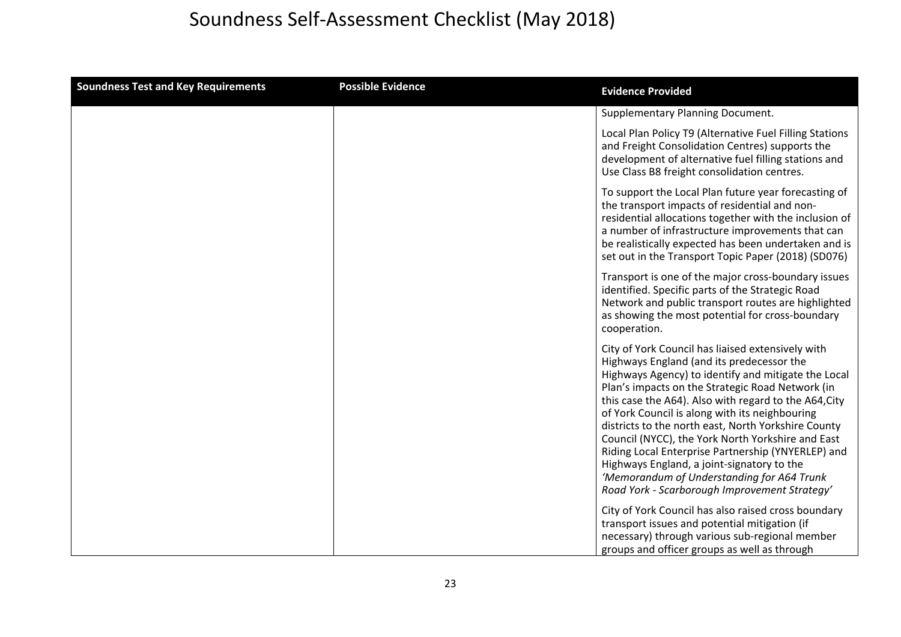| <b>Soundness Test and Key Requirements</b> | <b>Possible Evidence</b> | <b>Evidence Provided</b>                                                                                                                                                                                                                                                                                                                                                                                                                                                                                                                                                                                                            |
|--------------------------------------------|--------------------------|-------------------------------------------------------------------------------------------------------------------------------------------------------------------------------------------------------------------------------------------------------------------------------------------------------------------------------------------------------------------------------------------------------------------------------------------------------------------------------------------------------------------------------------------------------------------------------------------------------------------------------------|
|                                            |                          | Supplementary Planning Document.                                                                                                                                                                                                                                                                                                                                                                                                                                                                                                                                                                                                    |
|                                            |                          | Local Plan Policy T9 (Alternative Fuel Filling Stations<br>and Freight Consolidation Centres) supports the<br>development of alternative fuel filling stations and<br>Use Class B8 freight consolidation centres.                                                                                                                                                                                                                                                                                                                                                                                                                   |
|                                            |                          | To support the Local Plan future year forecasting of<br>the transport impacts of residential and non-<br>residential allocations together with the inclusion of<br>a number of infrastructure improvements that can<br>be realistically expected has been undertaken and is<br>set out in the Transport Topic Paper (2018) (SD076)                                                                                                                                                                                                                                                                                                  |
|                                            |                          | Transport is one of the major cross-boundary issues<br>identified. Specific parts of the Strategic Road<br>Network and public transport routes are highlighted<br>as showing the most potential for cross-boundary<br>cooperation.                                                                                                                                                                                                                                                                                                                                                                                                  |
|                                            |                          | City of York Council has liaised extensively with<br>Highways England (and its predecessor the<br>Highways Agency) to identify and mitigate the Local<br>Plan's impacts on the Strategic Road Network (in<br>this case the A64). Also with regard to the A64, City<br>of York Council is along with its neighbouring<br>districts to the north east, North Yorkshire County<br>Council (NYCC), the York North Yorkshire and East<br>Riding Local Enterprise Partnership (YNYERLEP) and<br>Highways England, a joint-signatory to the<br>'Memorandum of Understanding for A64 Trunk<br>Road York - Scarborough Improvement Strategy' |
|                                            |                          | City of York Council has also raised cross boundary<br>transport issues and potential mitigation (if<br>necessary) through various sub-regional member<br>groups and officer groups as well as through                                                                                                                                                                                                                                                                                                                                                                                                                              |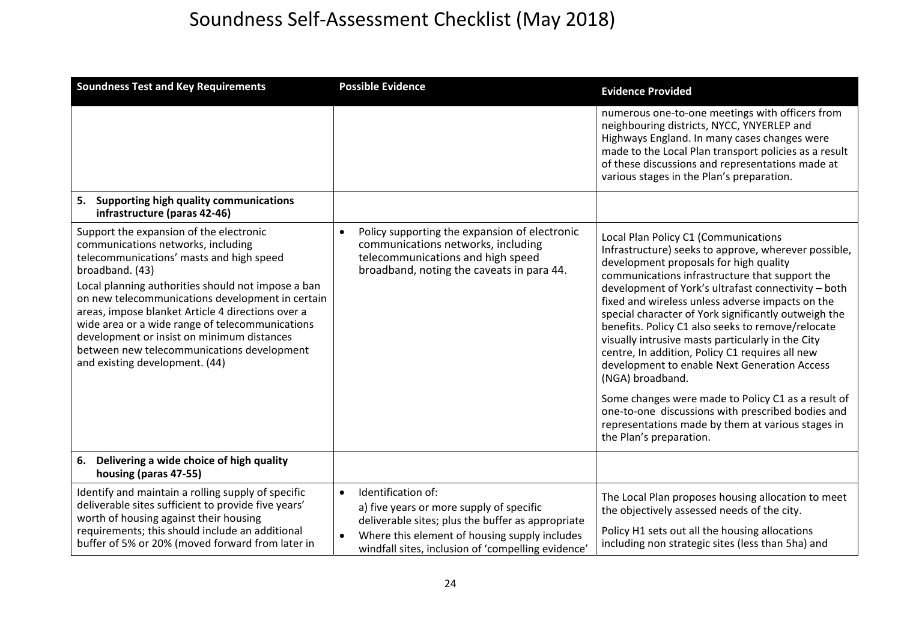| <b>Soundness Test and Key Requirements</b>                                                                                                                                                                                                                                                                                                                                                                                                                                                   | <b>Possible Evidence</b>                                                                                                                                                                                                                             | <b>Evidence Provided</b>                                                                                                                                                                                                                                                                                                                                                                                                                                                                                                                                                                                                                                                                                                                                                                |
|----------------------------------------------------------------------------------------------------------------------------------------------------------------------------------------------------------------------------------------------------------------------------------------------------------------------------------------------------------------------------------------------------------------------------------------------------------------------------------------------|------------------------------------------------------------------------------------------------------------------------------------------------------------------------------------------------------------------------------------------------------|-----------------------------------------------------------------------------------------------------------------------------------------------------------------------------------------------------------------------------------------------------------------------------------------------------------------------------------------------------------------------------------------------------------------------------------------------------------------------------------------------------------------------------------------------------------------------------------------------------------------------------------------------------------------------------------------------------------------------------------------------------------------------------------------|
| Supporting high quality communications<br>5.                                                                                                                                                                                                                                                                                                                                                                                                                                                 |                                                                                                                                                                                                                                                      | numerous one-to-one meetings with officers from<br>neighbouring districts, NYCC, YNYERLEP and<br>Highways England. In many cases changes were<br>made to the Local Plan transport policies as a result<br>of these discussions and representations made at<br>various stages in the Plan's preparation.                                                                                                                                                                                                                                                                                                                                                                                                                                                                                 |
| infrastructure (paras 42-46)                                                                                                                                                                                                                                                                                                                                                                                                                                                                 |                                                                                                                                                                                                                                                      |                                                                                                                                                                                                                                                                                                                                                                                                                                                                                                                                                                                                                                                                                                                                                                                         |
| Support the expansion of the electronic<br>communications networks, including<br>telecommunications' masts and high speed<br>broadband. (43)<br>Local planning authorities should not impose a ban<br>on new telecommunications development in certain<br>areas, impose blanket Article 4 directions over a<br>wide area or a wide range of telecommunications<br>development or insist on minimum distances<br>between new telecommunications development<br>and existing development. (44) | Policy supporting the expansion of electronic<br>communications networks, including<br>telecommunications and high speed<br>broadband, noting the caveats in para 44.                                                                                | Local Plan Policy C1 (Communications<br>Infrastructure) seeks to approve, wherever possible,<br>development proposals for high quality<br>communications infrastructure that support the<br>development of York's ultrafast connectivity - both<br>fixed and wireless unless adverse impacts on the<br>special character of York significantly outweigh the<br>benefits. Policy C1 also seeks to remove/relocate<br>visually intrusive masts particularly in the City<br>centre, In addition, Policy C1 requires all new<br>development to enable Next Generation Access<br>(NGA) broadband.<br>Some changes were made to Policy C1 as a result of<br>one-to-one discussions with prescribed bodies and<br>representations made by them at various stages in<br>the Plan's preparation. |
| Delivering a wide choice of high quality<br>6.<br>housing (paras 47-55)                                                                                                                                                                                                                                                                                                                                                                                                                      |                                                                                                                                                                                                                                                      |                                                                                                                                                                                                                                                                                                                                                                                                                                                                                                                                                                                                                                                                                                                                                                                         |
| Identify and maintain a rolling supply of specific<br>deliverable sites sufficient to provide five years'<br>worth of housing against their housing<br>requirements; this should include an additional<br>buffer of 5% or 20% (moved forward from later in                                                                                                                                                                                                                                   | Identification of:<br>$\bullet$<br>a) five years or more supply of specific<br>deliverable sites; plus the buffer as appropriate<br>Where this element of housing supply includes<br>$\bullet$<br>windfall sites, inclusion of 'compelling evidence' | The Local Plan proposes housing allocation to meet<br>the objectively assessed needs of the city.<br>Policy H1 sets out all the housing allocations<br>including non strategic sites (less than 5ha) and                                                                                                                                                                                                                                                                                                                                                                                                                                                                                                                                                                                |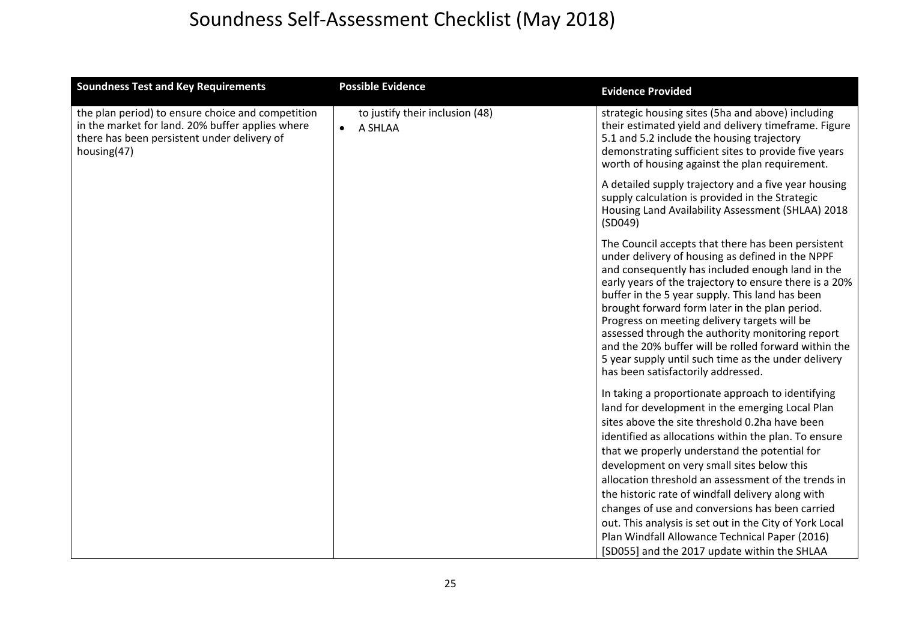| <b>Soundness Test and Key Requirements</b>                                                                                                                          | <b>Possible Evidence</b>                                | <b>Evidence Provided</b>                                                                                                                                                                                                                                                                                                                                                                                                                                                                                                                                                           |
|---------------------------------------------------------------------------------------------------------------------------------------------------------------------|---------------------------------------------------------|------------------------------------------------------------------------------------------------------------------------------------------------------------------------------------------------------------------------------------------------------------------------------------------------------------------------------------------------------------------------------------------------------------------------------------------------------------------------------------------------------------------------------------------------------------------------------------|
| the plan period) to ensure choice and competition<br>in the market for land. 20% buffer applies where<br>there has been persistent under delivery of<br>housing(47) | to justify their inclusion (48)<br>$\bullet$<br>A SHLAA | strategic housing sites (5ha and above) including<br>their estimated yield and delivery timeframe. Figure<br>5.1 and 5.2 include the housing trajectory<br>demonstrating sufficient sites to provide five years<br>worth of housing against the plan requirement.                                                                                                                                                                                                                                                                                                                  |
|                                                                                                                                                                     |                                                         | A detailed supply trajectory and a five year housing<br>supply calculation is provided in the Strategic<br>Housing Land Availability Assessment (SHLAA) 2018<br>(SD049)                                                                                                                                                                                                                                                                                                                                                                                                            |
|                                                                                                                                                                     |                                                         | The Council accepts that there has been persistent<br>under delivery of housing as defined in the NPPF<br>and consequently has included enough land in the<br>early years of the trajectory to ensure there is a 20%<br>buffer in the 5 year supply. This land has been<br>brought forward form later in the plan period.<br>Progress on meeting delivery targets will be<br>assessed through the authority monitoring report<br>and the 20% buffer will be rolled forward within the<br>5 year supply until such time as the under delivery<br>has been satisfactorily addressed. |
|                                                                                                                                                                     |                                                         | In taking a proportionate approach to identifying<br>land for development in the emerging Local Plan<br>sites above the site threshold 0.2ha have been<br>identified as allocations within the plan. To ensure<br>that we properly understand the potential for<br>development on very small sites below this<br>allocation threshold an assessment of the trends in<br>the historic rate of windfall delivery along with<br>changes of use and conversions has been carried<br>out. This analysis is set out in the City of York Local                                            |
|                                                                                                                                                                     |                                                         | Plan Windfall Allowance Technical Paper (2016)<br>[SD055] and the 2017 update within the SHLAA                                                                                                                                                                                                                                                                                                                                                                                                                                                                                     |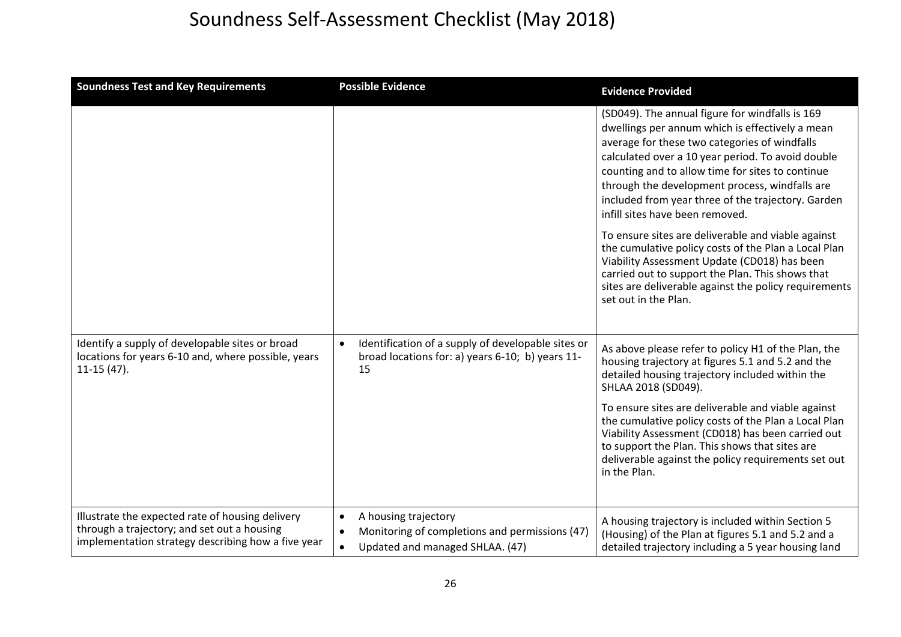| <b>Soundness Test and Key Requirements</b>                                                                                                            | <b>Possible Evidence</b>                                                                                                  | <b>Evidence Provided</b>                                                                                                                                                                                                                                                                                                                                                                                                                                                                                                                                                                                                                                                                                   |
|-------------------------------------------------------------------------------------------------------------------------------------------------------|---------------------------------------------------------------------------------------------------------------------------|------------------------------------------------------------------------------------------------------------------------------------------------------------------------------------------------------------------------------------------------------------------------------------------------------------------------------------------------------------------------------------------------------------------------------------------------------------------------------------------------------------------------------------------------------------------------------------------------------------------------------------------------------------------------------------------------------------|
|                                                                                                                                                       |                                                                                                                           | (SD049). The annual figure for windfalls is 169<br>dwellings per annum which is effectively a mean<br>average for these two categories of windfalls<br>calculated over a 10 year period. To avoid double<br>counting and to allow time for sites to continue<br>through the development process, windfalls are<br>included from year three of the trajectory. Garden<br>infill sites have been removed.<br>To ensure sites are deliverable and viable against<br>the cumulative policy costs of the Plan a Local Plan<br>Viability Assessment Update (CD018) has been<br>carried out to support the Plan. This shows that<br>sites are deliverable against the policy requirements<br>set out in the Plan. |
| Identify a supply of developable sites or broad<br>locations for years 6-10 and, where possible, years<br>$11-15(47)$ .                               | Identification of a supply of developable sites or<br>$\bullet$<br>broad locations for: a) years 6-10; b) years 11-<br>15 | As above please refer to policy H1 of the Plan, the<br>housing trajectory at figures 5.1 and 5.2 and the<br>detailed housing trajectory included within the<br>SHLAA 2018 (SD049).<br>To ensure sites are deliverable and viable against<br>the cumulative policy costs of the Plan a Local Plan<br>Viability Assessment (CD018) has been carried out<br>to support the Plan. This shows that sites are<br>deliverable against the policy requirements set out<br>in the Plan.                                                                                                                                                                                                                             |
| Illustrate the expected rate of housing delivery<br>through a trajectory; and set out a housing<br>implementation strategy describing how a five year | A housing trajectory<br>$\bullet$<br>Monitoring of completions and permissions (47)<br>Updated and managed SHLAA. (47)    | A housing trajectory is included within Section 5<br>(Housing) of the Plan at figures 5.1 and 5.2 and a<br>detailed trajectory including a 5 year housing land                                                                                                                                                                                                                                                                                                                                                                                                                                                                                                                                             |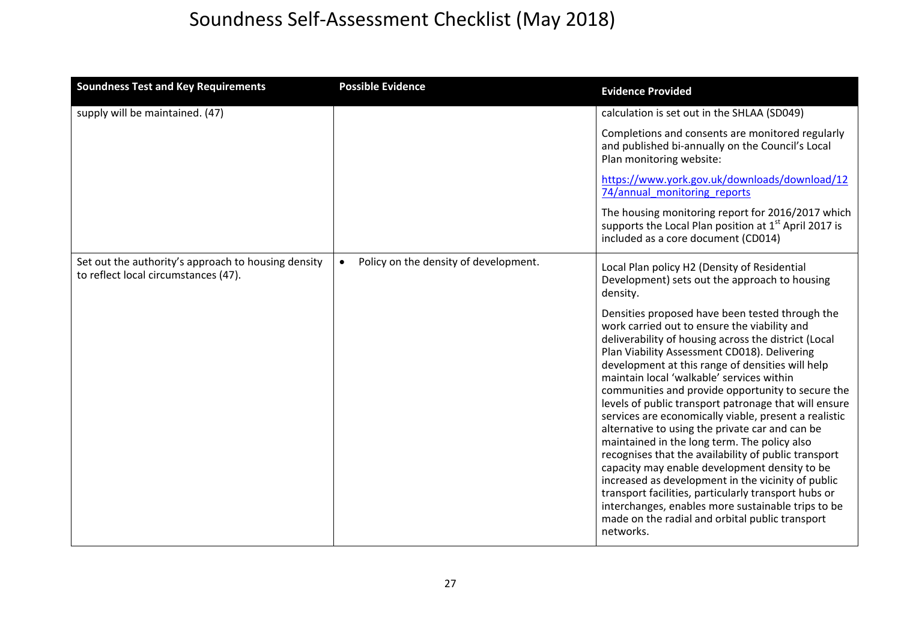| <b>Soundness Test and Key Requirements</b>                                                  | <b>Possible Evidence</b>                           | <b>Evidence Provided</b>                                                                                                                                                                                                                                                                                                                                                                                                                                                                                                                                                                                                                                                                                                                                                                                                                                                                                                        |
|---------------------------------------------------------------------------------------------|----------------------------------------------------|---------------------------------------------------------------------------------------------------------------------------------------------------------------------------------------------------------------------------------------------------------------------------------------------------------------------------------------------------------------------------------------------------------------------------------------------------------------------------------------------------------------------------------------------------------------------------------------------------------------------------------------------------------------------------------------------------------------------------------------------------------------------------------------------------------------------------------------------------------------------------------------------------------------------------------|
| supply will be maintained. (47)                                                             |                                                    | calculation is set out in the SHLAA (SD049)                                                                                                                                                                                                                                                                                                                                                                                                                                                                                                                                                                                                                                                                                                                                                                                                                                                                                     |
|                                                                                             |                                                    | Completions and consents are monitored regularly<br>and published bi-annually on the Council's Local<br>Plan monitoring website:                                                                                                                                                                                                                                                                                                                                                                                                                                                                                                                                                                                                                                                                                                                                                                                                |
|                                                                                             |                                                    | https://www.york.gov.uk/downloads/download/12<br>74/annual monitoring reports                                                                                                                                                                                                                                                                                                                                                                                                                                                                                                                                                                                                                                                                                                                                                                                                                                                   |
|                                                                                             |                                                    | The housing monitoring report for 2016/2017 which<br>supports the Local Plan position at $1st$ April 2017 is<br>included as a core document (CD014)                                                                                                                                                                                                                                                                                                                                                                                                                                                                                                                                                                                                                                                                                                                                                                             |
| Set out the authority's approach to housing density<br>to reflect local circumstances (47). | Policy on the density of development.<br>$\bullet$ | Local Plan policy H2 (Density of Residential<br>Development) sets out the approach to housing<br>density.                                                                                                                                                                                                                                                                                                                                                                                                                                                                                                                                                                                                                                                                                                                                                                                                                       |
|                                                                                             |                                                    | Densities proposed have been tested through the<br>work carried out to ensure the viability and<br>deliverability of housing across the district (Local<br>Plan Viability Assessment CD018). Delivering<br>development at this range of densities will help<br>maintain local 'walkable' services within<br>communities and provide opportunity to secure the<br>levels of public transport patronage that will ensure<br>services are economically viable, present a realistic<br>alternative to using the private car and can be<br>maintained in the long term. The policy also<br>recognises that the availability of public transport<br>capacity may enable development density to be<br>increased as development in the vicinity of public<br>transport facilities, particularly transport hubs or<br>interchanges, enables more sustainable trips to be<br>made on the radial and orbital public transport<br>networks. |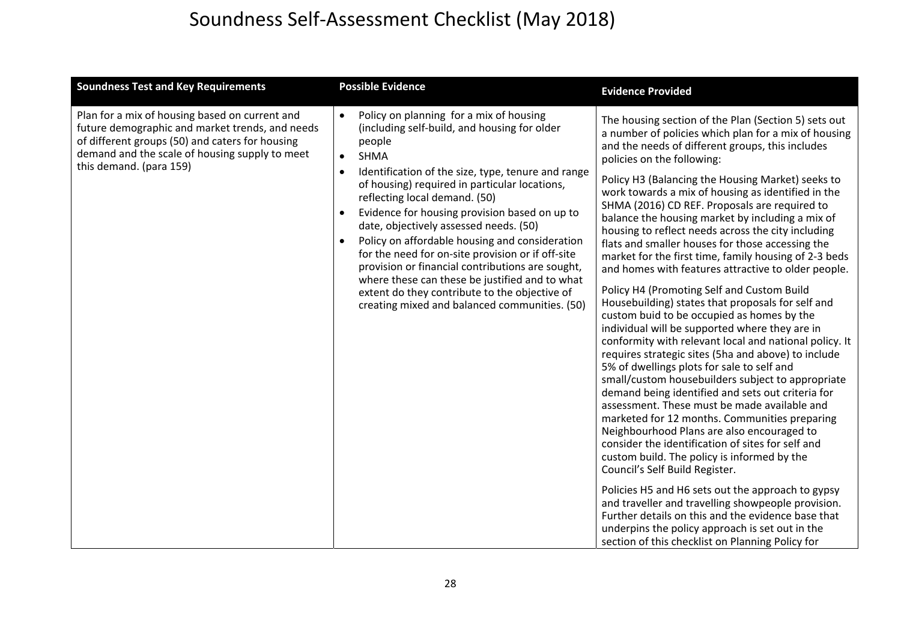| <b>Soundness Test and Key Requirements</b>                                                                                                                                                                                        | <b>Possible Evidence</b>                                                                                                                                                                                                                                                                                                                                                                                                                                                                                                                                                                                                                                                                                  | <b>Evidence Provided</b>                                                                                                                                                                                                                                                                                                                                                                                                                                                                                                                                                                                                                                                                                                                                                                                                                                                                                                                                                                                                                                                                                                                                                                                                                                                                                                                                                                                                                                                                                                                                                                                                                                                          |
|-----------------------------------------------------------------------------------------------------------------------------------------------------------------------------------------------------------------------------------|-----------------------------------------------------------------------------------------------------------------------------------------------------------------------------------------------------------------------------------------------------------------------------------------------------------------------------------------------------------------------------------------------------------------------------------------------------------------------------------------------------------------------------------------------------------------------------------------------------------------------------------------------------------------------------------------------------------|-----------------------------------------------------------------------------------------------------------------------------------------------------------------------------------------------------------------------------------------------------------------------------------------------------------------------------------------------------------------------------------------------------------------------------------------------------------------------------------------------------------------------------------------------------------------------------------------------------------------------------------------------------------------------------------------------------------------------------------------------------------------------------------------------------------------------------------------------------------------------------------------------------------------------------------------------------------------------------------------------------------------------------------------------------------------------------------------------------------------------------------------------------------------------------------------------------------------------------------------------------------------------------------------------------------------------------------------------------------------------------------------------------------------------------------------------------------------------------------------------------------------------------------------------------------------------------------------------------------------------------------------------------------------------------------|
| Plan for a mix of housing based on current and<br>future demographic and market trends, and needs<br>of different groups (50) and caters for housing<br>demand and the scale of housing supply to meet<br>this demand. (para 159) | Policy on planning for a mix of housing<br>$\bullet$<br>(including self-build, and housing for older<br>people<br><b>SHMA</b><br>$\bullet$<br>Identification of the size, type, tenure and range<br>of housing) required in particular locations,<br>reflecting local demand. (50)<br>Evidence for housing provision based on up to<br>$\bullet$<br>date, objectively assessed needs. (50)<br>Policy on affordable housing and consideration<br>for the need for on-site provision or if off-site<br>provision or financial contributions are sought,<br>where these can these be justified and to what<br>extent do they contribute to the objective of<br>creating mixed and balanced communities. (50) | The housing section of the Plan (Section 5) sets out<br>a number of policies which plan for a mix of housing<br>and the needs of different groups, this includes<br>policies on the following:<br>Policy H3 (Balancing the Housing Market) seeks to<br>work towards a mix of housing as identified in the<br>SHMA (2016) CD REF. Proposals are required to<br>balance the housing market by including a mix of<br>housing to reflect needs across the city including<br>flats and smaller houses for those accessing the<br>market for the first time, family housing of 2-3 beds<br>and homes with features attractive to older people.<br>Policy H4 (Promoting Self and Custom Build<br>Housebuilding) states that proposals for self and<br>custom buid to be occupied as homes by the<br>individual will be supported where they are in<br>conformity with relevant local and national policy. It<br>requires strategic sites (5ha and above) to include<br>5% of dwellings plots for sale to self and<br>small/custom housebuilders subject to appropriate<br>demand being identified and sets out criteria for<br>assessment. These must be made available and<br>marketed for 12 months. Communities preparing<br>Neighbourhood Plans are also encouraged to<br>consider the identification of sites for self and<br>custom build. The policy is informed by the<br>Council's Self Build Register.<br>Policies H5 and H6 sets out the approach to gypsy<br>and traveller and travelling showpeople provision.<br>Further details on this and the evidence base that<br>underpins the policy approach is set out in the<br>section of this checklist on Planning Policy for |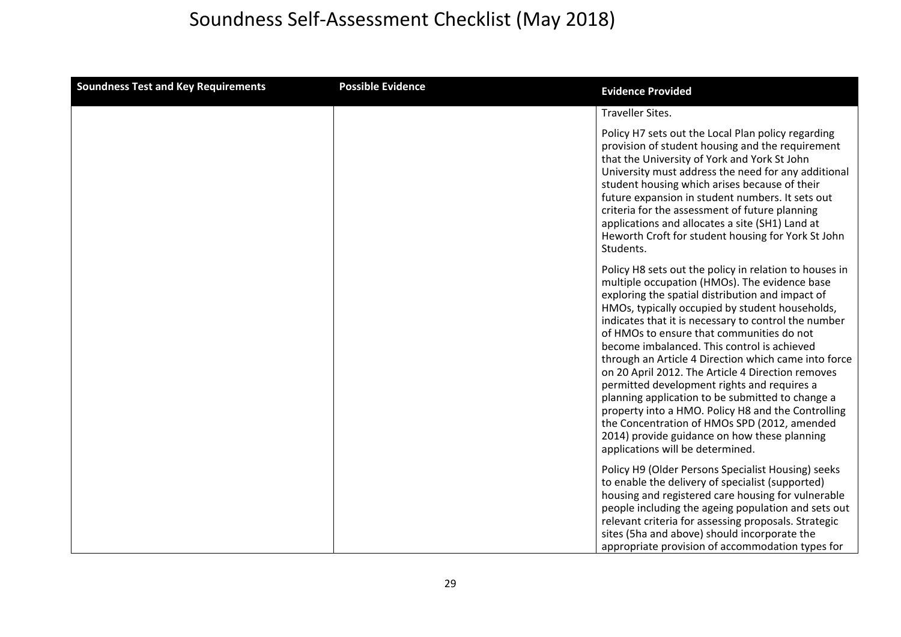| <b>Soundness Test and Key Requirements</b> | <b>Possible Evidence</b> | <b>Evidence Provided</b>                                                                                                                                                                                                                                                                                                                                                                                                                                                                                                                                                                                                                                                                                                                                                     |
|--------------------------------------------|--------------------------|------------------------------------------------------------------------------------------------------------------------------------------------------------------------------------------------------------------------------------------------------------------------------------------------------------------------------------------------------------------------------------------------------------------------------------------------------------------------------------------------------------------------------------------------------------------------------------------------------------------------------------------------------------------------------------------------------------------------------------------------------------------------------|
|                                            |                          | <b>Traveller Sites.</b>                                                                                                                                                                                                                                                                                                                                                                                                                                                                                                                                                                                                                                                                                                                                                      |
|                                            |                          | Policy H7 sets out the Local Plan policy regarding<br>provision of student housing and the requirement<br>that the University of York and York St John<br>University must address the need for any additional<br>student housing which arises because of their<br>future expansion in student numbers. It sets out<br>criteria for the assessment of future planning<br>applications and allocates a site (SH1) Land at<br>Heworth Croft for student housing for York St John<br>Students.                                                                                                                                                                                                                                                                                   |
|                                            |                          | Policy H8 sets out the policy in relation to houses in<br>multiple occupation (HMOs). The evidence base<br>exploring the spatial distribution and impact of<br>HMOs, typically occupied by student households,<br>indicates that it is necessary to control the number<br>of HMOs to ensure that communities do not<br>become imbalanced. This control is achieved<br>through an Article 4 Direction which came into force<br>on 20 April 2012. The Article 4 Direction removes<br>permitted development rights and requires a<br>planning application to be submitted to change a<br>property into a HMO. Policy H8 and the Controlling<br>the Concentration of HMOs SPD (2012, amended<br>2014) provide guidance on how these planning<br>applications will be determined. |
|                                            |                          | Policy H9 (Older Persons Specialist Housing) seeks<br>to enable the delivery of specialist (supported)<br>housing and registered care housing for vulnerable<br>people including the ageing population and sets out<br>relevant criteria for assessing proposals. Strategic<br>sites (5ha and above) should incorporate the<br>appropriate provision of accommodation types for                                                                                                                                                                                                                                                                                                                                                                                              |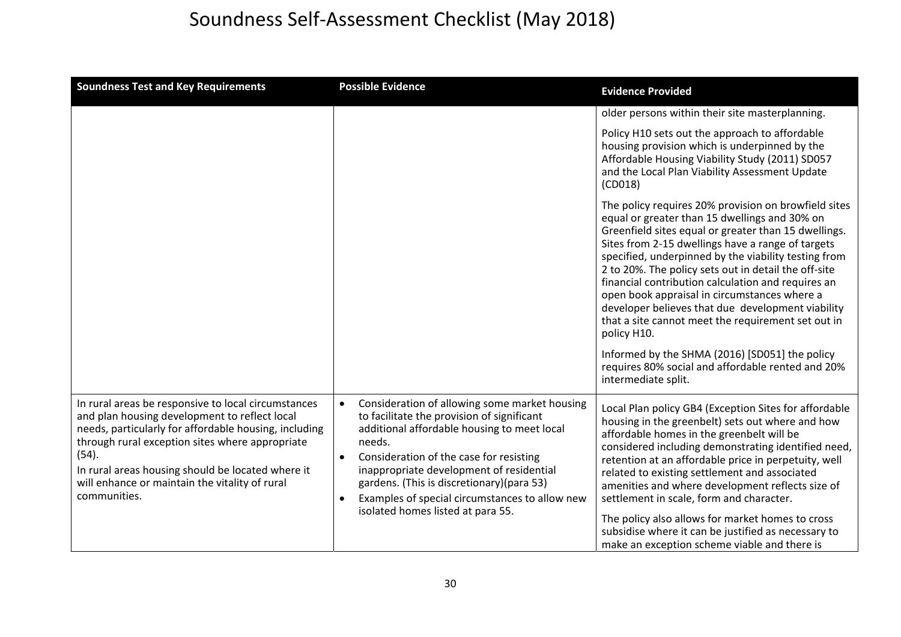| <b>Soundness Test and Key Requirements</b>                                                                                                                                                                                                                                                                                                       | <b>Possible Evidence</b>                                                                                                                                                                                                                                                                                                                                                                                  | <b>Evidence Provided</b>                                                                                                                                                                                                                                                                                                                                                                                                                                                                                                                                                                                             |
|--------------------------------------------------------------------------------------------------------------------------------------------------------------------------------------------------------------------------------------------------------------------------------------------------------------------------------------------------|-----------------------------------------------------------------------------------------------------------------------------------------------------------------------------------------------------------------------------------------------------------------------------------------------------------------------------------------------------------------------------------------------------------|----------------------------------------------------------------------------------------------------------------------------------------------------------------------------------------------------------------------------------------------------------------------------------------------------------------------------------------------------------------------------------------------------------------------------------------------------------------------------------------------------------------------------------------------------------------------------------------------------------------------|
|                                                                                                                                                                                                                                                                                                                                                  |                                                                                                                                                                                                                                                                                                                                                                                                           | older persons within their site masterplanning.                                                                                                                                                                                                                                                                                                                                                                                                                                                                                                                                                                      |
|                                                                                                                                                                                                                                                                                                                                                  |                                                                                                                                                                                                                                                                                                                                                                                                           | Policy H10 sets out the approach to affordable<br>housing provision which is underpinned by the<br>Affordable Housing Viability Study (2011) SD057<br>and the Local Plan Viability Assessment Update<br>(CD018)                                                                                                                                                                                                                                                                                                                                                                                                      |
|                                                                                                                                                                                                                                                                                                                                                  |                                                                                                                                                                                                                                                                                                                                                                                                           | The policy requires 20% provision on browfield sites<br>equal or greater than 15 dwellings and 30% on<br>Greenfield sites equal or greater than 15 dwellings.<br>Sites from 2-15 dwellings have a range of targets<br>specified, underpinned by the viability testing from<br>2 to 20%. The policy sets out in detail the off-site<br>financial contribution calculation and requires an<br>open book appraisal in circumstances where a<br>developer believes that due development viability<br>that a site cannot meet the requirement set out in<br>policy H10.<br>Informed by the SHMA (2016) [SD051] the policy |
|                                                                                                                                                                                                                                                                                                                                                  |                                                                                                                                                                                                                                                                                                                                                                                                           | requires 80% social and affordable rented and 20%<br>intermediate split.                                                                                                                                                                                                                                                                                                                                                                                                                                                                                                                                             |
| In rural areas be responsive to local circumstances<br>and plan housing development to reflect local<br>needs, particularly for affordable housing, including<br>through rural exception sites where appropriate<br>(54).<br>In rural areas housing should be located where it<br>will enhance or maintain the vitality of rural<br>communities. | Consideration of allowing some market housing<br>$\bullet$<br>to facilitate the provision of significant<br>additional affordable housing to meet local<br>needs.<br>Consideration of the case for resisting<br>$\bullet$<br>inappropriate development of residential<br>gardens. (This is discretionary)(para 53)<br>Examples of special circumstances to allow new<br>isolated homes listed at para 55. | Local Plan policy GB4 (Exception Sites for affordable<br>housing in the greenbelt) sets out where and how<br>affordable homes in the greenbelt will be<br>considered including demonstrating identified need,<br>retention at an affordable price in perpetuity, well<br>related to existing settlement and associated<br>amenities and where development reflects size of<br>settlement in scale, form and character.<br>The policy also allows for market homes to cross<br>subsidise where it can be justified as necessary to<br>make an exception scheme viable and there is                                    |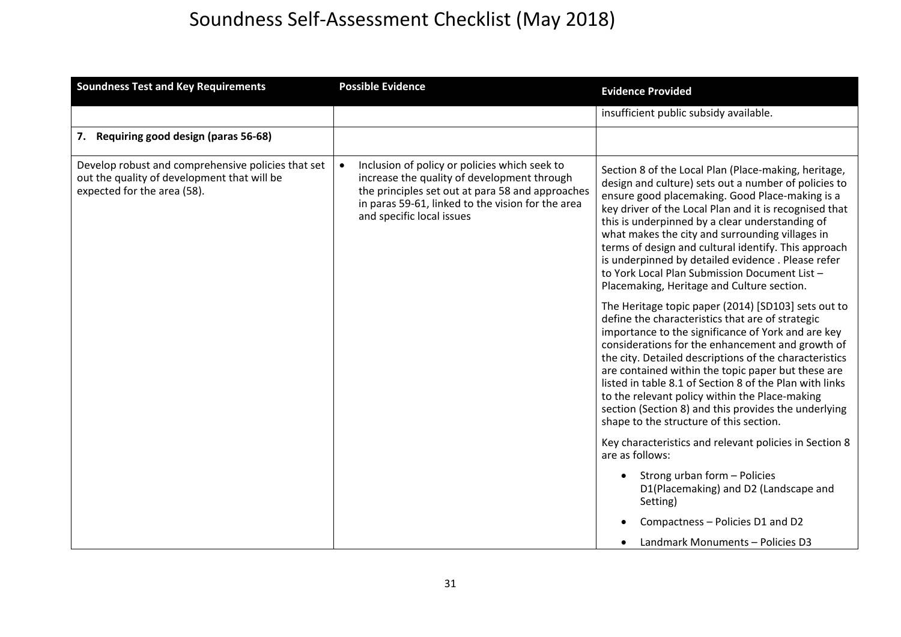| <b>Soundness Test and Key Requirements</b>                                                                                       | <b>Possible Evidence</b>                                                                                                                                                                                                                        | <b>Evidence Provided</b>                                                                                                                                                                                                                                                                                                                                                                                                                                                                                                                          |
|----------------------------------------------------------------------------------------------------------------------------------|-------------------------------------------------------------------------------------------------------------------------------------------------------------------------------------------------------------------------------------------------|---------------------------------------------------------------------------------------------------------------------------------------------------------------------------------------------------------------------------------------------------------------------------------------------------------------------------------------------------------------------------------------------------------------------------------------------------------------------------------------------------------------------------------------------------|
|                                                                                                                                  |                                                                                                                                                                                                                                                 | insufficient public subsidy available.                                                                                                                                                                                                                                                                                                                                                                                                                                                                                                            |
| Requiring good design (paras 56-68)<br>7.                                                                                        |                                                                                                                                                                                                                                                 |                                                                                                                                                                                                                                                                                                                                                                                                                                                                                                                                                   |
| Develop robust and comprehensive policies that set<br>out the quality of development that will be<br>expected for the area (58). | Inclusion of policy or policies which seek to<br>$\bullet$<br>increase the quality of development through<br>the principles set out at para 58 and approaches<br>in paras 59-61, linked to the vision for the area<br>and specific local issues | Section 8 of the Local Plan (Place-making, heritage,<br>design and culture) sets out a number of policies to<br>ensure good placemaking. Good Place-making is a<br>key driver of the Local Plan and it is recognised that<br>this is underpinned by a clear understanding of<br>what makes the city and surrounding villages in<br>terms of design and cultural identify. This approach<br>is underpinned by detailed evidence. Please refer<br>to York Local Plan Submission Document List-<br>Placemaking, Heritage and Culture section.        |
|                                                                                                                                  |                                                                                                                                                                                                                                                 | The Heritage topic paper (2014) [SD103] sets out to<br>define the characteristics that are of strategic<br>importance to the significance of York and are key<br>considerations for the enhancement and growth of<br>the city. Detailed descriptions of the characteristics<br>are contained within the topic paper but these are<br>listed in table 8.1 of Section 8 of the Plan with links<br>to the relevant policy within the Place-making<br>section (Section 8) and this provides the underlying<br>shape to the structure of this section. |
|                                                                                                                                  |                                                                                                                                                                                                                                                 | Key characteristics and relevant policies in Section 8<br>are as follows:                                                                                                                                                                                                                                                                                                                                                                                                                                                                         |
|                                                                                                                                  |                                                                                                                                                                                                                                                 | Strong urban form - Policies<br>$\bullet$<br>D1(Placemaking) and D2 (Landscape and<br>Setting)                                                                                                                                                                                                                                                                                                                                                                                                                                                    |
|                                                                                                                                  |                                                                                                                                                                                                                                                 | Compactness - Policies D1 and D2                                                                                                                                                                                                                                                                                                                                                                                                                                                                                                                  |
|                                                                                                                                  |                                                                                                                                                                                                                                                 | Landmark Monuments - Policies D3                                                                                                                                                                                                                                                                                                                                                                                                                                                                                                                  |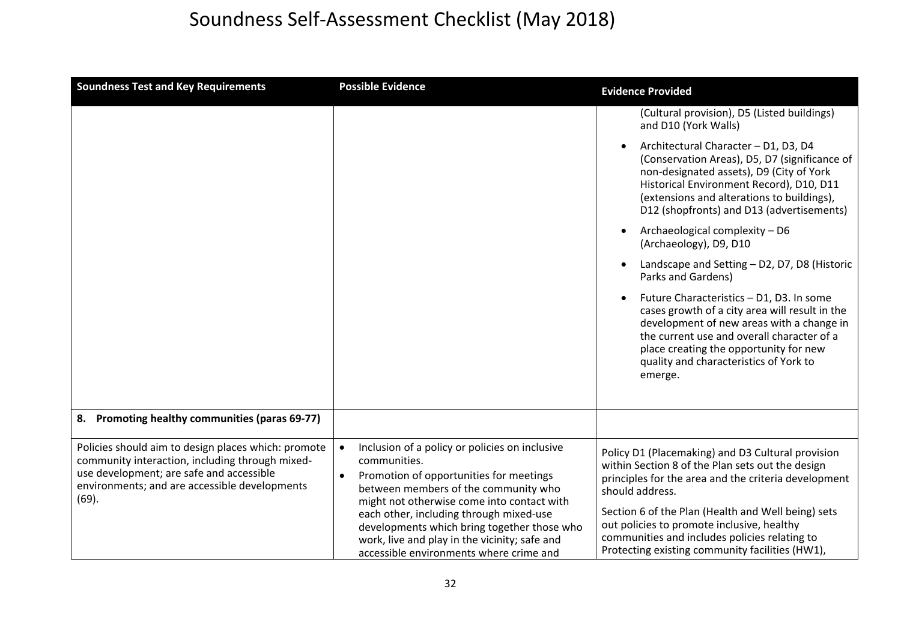| <b>Soundness Test and Key Requirements</b>                                                                                                                                                                   | <b>Possible Evidence</b>                                                                                                                                                                                                                                                                                                                                                                           | <b>Evidence Provided</b>                                                                                                                                                                                                                                                                                                                                                                 |
|--------------------------------------------------------------------------------------------------------------------------------------------------------------------------------------------------------------|----------------------------------------------------------------------------------------------------------------------------------------------------------------------------------------------------------------------------------------------------------------------------------------------------------------------------------------------------------------------------------------------------|------------------------------------------------------------------------------------------------------------------------------------------------------------------------------------------------------------------------------------------------------------------------------------------------------------------------------------------------------------------------------------------|
|                                                                                                                                                                                                              |                                                                                                                                                                                                                                                                                                                                                                                                    | (Cultural provision), D5 (Listed buildings)<br>and D10 (York Walls)                                                                                                                                                                                                                                                                                                                      |
|                                                                                                                                                                                                              |                                                                                                                                                                                                                                                                                                                                                                                                    | Architectural Character - D1, D3, D4<br>(Conservation Areas), D5, D7 (significance of<br>non-designated assets), D9 (City of York<br>Historical Environment Record), D10, D11<br>(extensions and alterations to buildings),<br>D12 (shopfronts) and D13 (advertisements)                                                                                                                 |
|                                                                                                                                                                                                              |                                                                                                                                                                                                                                                                                                                                                                                                    | Archaeological complexity - D6<br>$\bullet$<br>(Archaeology), D9, D10                                                                                                                                                                                                                                                                                                                    |
|                                                                                                                                                                                                              |                                                                                                                                                                                                                                                                                                                                                                                                    | Landscape and Setting - D2, D7, D8 (Historic<br>Parks and Gardens)                                                                                                                                                                                                                                                                                                                       |
|                                                                                                                                                                                                              |                                                                                                                                                                                                                                                                                                                                                                                                    | Future Characteristics - D1, D3. In some<br>$\bullet$<br>cases growth of a city area will result in the<br>development of new areas with a change in<br>the current use and overall character of a<br>place creating the opportunity for new<br>quality and characteristics of York to<br>emerge.                                                                                        |
| 8. Promoting healthy communities (paras 69-77)                                                                                                                                                               |                                                                                                                                                                                                                                                                                                                                                                                                    |                                                                                                                                                                                                                                                                                                                                                                                          |
| Policies should aim to design places which: promote<br>community interaction, including through mixed-<br>use development; are safe and accessible<br>environments; and are accessible developments<br>(69). | Inclusion of a policy or policies on inclusive<br>$\bullet$<br>communities.<br>Promotion of opportunities for meetings<br>between members of the community who<br>might not otherwise come into contact with<br>each other, including through mixed-use<br>developments which bring together those who<br>work, live and play in the vicinity; safe and<br>accessible environments where crime and | Policy D1 (Placemaking) and D3 Cultural provision<br>within Section 8 of the Plan sets out the design<br>principles for the area and the criteria development<br>should address.<br>Section 6 of the Plan (Health and Well being) sets<br>out policies to promote inclusive, healthy<br>communities and includes policies relating to<br>Protecting existing community facilities (HW1), |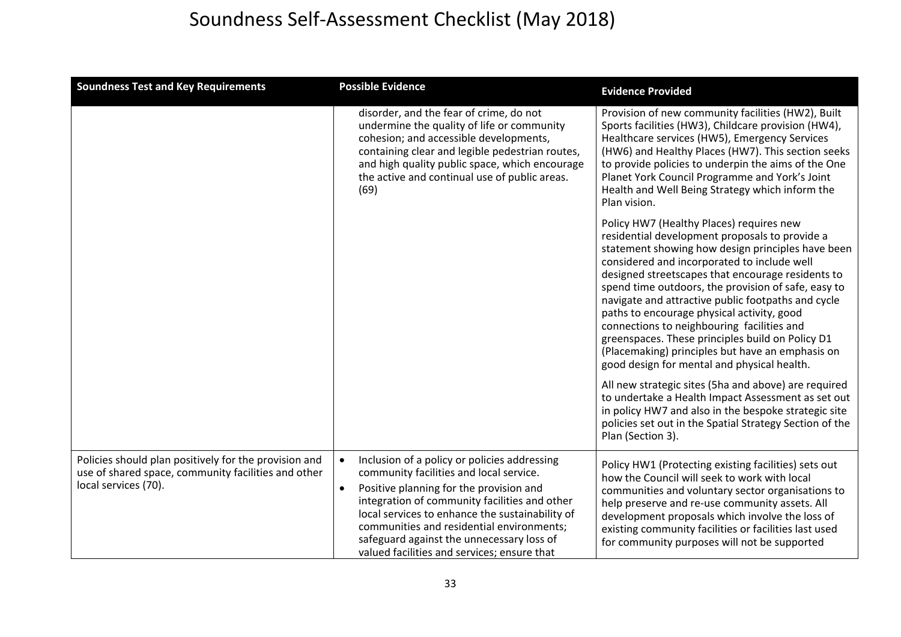| <b>Soundness Test and Key Requirements</b>                                                                                           | <b>Possible Evidence</b>                                                                                                                                                                                                                                                                                                                                                                                  | <b>Evidence Provided</b>                                                                                                                                                                                                                                                                                                                                                                                                                                                                                                                                                                                            |
|--------------------------------------------------------------------------------------------------------------------------------------|-----------------------------------------------------------------------------------------------------------------------------------------------------------------------------------------------------------------------------------------------------------------------------------------------------------------------------------------------------------------------------------------------------------|---------------------------------------------------------------------------------------------------------------------------------------------------------------------------------------------------------------------------------------------------------------------------------------------------------------------------------------------------------------------------------------------------------------------------------------------------------------------------------------------------------------------------------------------------------------------------------------------------------------------|
|                                                                                                                                      | disorder, and the fear of crime, do not<br>undermine the quality of life or community<br>cohesion; and accessible developments,<br>containing clear and legible pedestrian routes,<br>and high quality public space, which encourage<br>the active and continual use of public areas.<br>(69)                                                                                                             | Provision of new community facilities (HW2), Built<br>Sports facilities (HW3), Childcare provision (HW4),<br>Healthcare services (HW5), Emergency Services<br>(HW6) and Healthy Places (HW7). This section seeks<br>to provide policies to underpin the aims of the One<br>Planet York Council Programme and York's Joint<br>Health and Well Being Strategy which inform the<br>Plan vision.                                                                                                                                                                                                                        |
|                                                                                                                                      |                                                                                                                                                                                                                                                                                                                                                                                                           | Policy HW7 (Healthy Places) requires new<br>residential development proposals to provide a<br>statement showing how design principles have been<br>considered and incorporated to include well<br>designed streetscapes that encourage residents to<br>spend time outdoors, the provision of safe, easy to<br>navigate and attractive public footpaths and cycle<br>paths to encourage physical activity, good<br>connections to neighbouring facilities and<br>greenspaces. These principles build on Policy D1<br>(Placemaking) principles but have an emphasis on<br>good design for mental and physical health. |
|                                                                                                                                      |                                                                                                                                                                                                                                                                                                                                                                                                           | All new strategic sites (5ha and above) are required<br>to undertake a Health Impact Assessment as set out<br>in policy HW7 and also in the bespoke strategic site<br>policies set out in the Spatial Strategy Section of the<br>Plan (Section 3).                                                                                                                                                                                                                                                                                                                                                                  |
| Policies should plan positively for the provision and<br>use of shared space, community facilities and other<br>local services (70). | Inclusion of a policy or policies addressing<br>$\bullet$<br>community facilities and local service.<br>Positive planning for the provision and<br>$\bullet$<br>integration of community facilities and other<br>local services to enhance the sustainability of<br>communities and residential environments;<br>safeguard against the unnecessary loss of<br>valued facilities and services; ensure that | Policy HW1 (Protecting existing facilities) sets out<br>how the Council will seek to work with local<br>communities and voluntary sector organisations to<br>help preserve and re-use community assets. All<br>development proposals which involve the loss of<br>existing community facilities or facilities last used<br>for community purposes will not be supported                                                                                                                                                                                                                                             |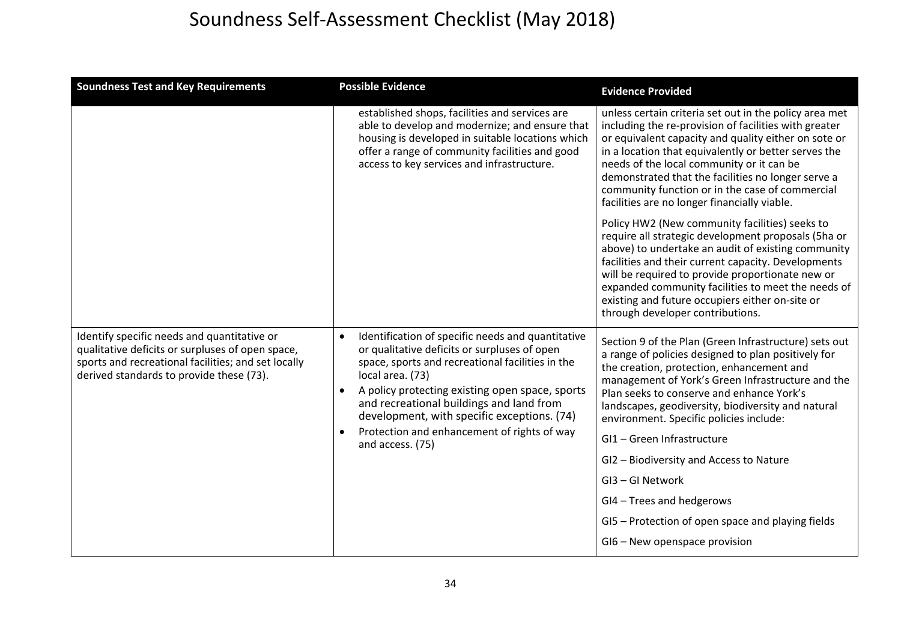| <b>Soundness Test and Key Requirements</b>                                                                                                                                                         | <b>Possible Evidence</b>                                                                                                                                                                                                                                                                                                                                                                                | <b>Evidence Provided</b>                                                                                                                                                                                                                                                                                                                                                                                                              |
|----------------------------------------------------------------------------------------------------------------------------------------------------------------------------------------------------|---------------------------------------------------------------------------------------------------------------------------------------------------------------------------------------------------------------------------------------------------------------------------------------------------------------------------------------------------------------------------------------------------------|---------------------------------------------------------------------------------------------------------------------------------------------------------------------------------------------------------------------------------------------------------------------------------------------------------------------------------------------------------------------------------------------------------------------------------------|
|                                                                                                                                                                                                    | established shops, facilities and services are<br>able to develop and modernize; and ensure that<br>housing is developed in suitable locations which<br>offer a range of community facilities and good<br>access to key services and infrastructure.                                                                                                                                                    | unless certain criteria set out in the policy area met<br>including the re-provision of facilities with greater<br>or equivalent capacity and quality either on sote or<br>in a location that equivalently or better serves the<br>needs of the local community or it can be<br>demonstrated that the facilities no longer serve a<br>community function or in the case of commercial<br>facilities are no longer financially viable. |
|                                                                                                                                                                                                    |                                                                                                                                                                                                                                                                                                                                                                                                         | Policy HW2 (New community facilities) seeks to<br>require all strategic development proposals (5ha or<br>above) to undertake an audit of existing community<br>facilities and their current capacity. Developments<br>will be required to provide proportionate new or<br>expanded community facilities to meet the needs of<br>existing and future occupiers either on-site or<br>through developer contributions.                   |
| Identify specific needs and quantitative or<br>qualitative deficits or surpluses of open space,<br>sports and recreational facilities; and set locally<br>derived standards to provide these (73). | Identification of specific needs and quantitative<br>$\bullet$<br>or qualitative deficits or surpluses of open<br>space, sports and recreational facilities in the<br>local area. (73)<br>A policy protecting existing open space, sports<br>and recreational buildings and land from<br>development, with specific exceptions. (74)<br>Protection and enhancement of rights of way<br>and access. (75) | Section 9 of the Plan (Green Infrastructure) sets out<br>a range of policies designed to plan positively for<br>the creation, protection, enhancement and<br>management of York's Green Infrastructure and the<br>Plan seeks to conserve and enhance York's<br>landscapes, geodiversity, biodiversity and natural<br>environment. Specific policies include:<br>GI1 - Green Infrastructure                                            |
|                                                                                                                                                                                                    |                                                                                                                                                                                                                                                                                                                                                                                                         | GI2 - Biodiversity and Access to Nature                                                                                                                                                                                                                                                                                                                                                                                               |
|                                                                                                                                                                                                    |                                                                                                                                                                                                                                                                                                                                                                                                         | GI3-GI Network                                                                                                                                                                                                                                                                                                                                                                                                                        |
|                                                                                                                                                                                                    |                                                                                                                                                                                                                                                                                                                                                                                                         | GI4 - Trees and hedgerows                                                                                                                                                                                                                                                                                                                                                                                                             |
|                                                                                                                                                                                                    |                                                                                                                                                                                                                                                                                                                                                                                                         | GI5 - Protection of open space and playing fields                                                                                                                                                                                                                                                                                                                                                                                     |
|                                                                                                                                                                                                    |                                                                                                                                                                                                                                                                                                                                                                                                         | GI6 - New openspace provision                                                                                                                                                                                                                                                                                                                                                                                                         |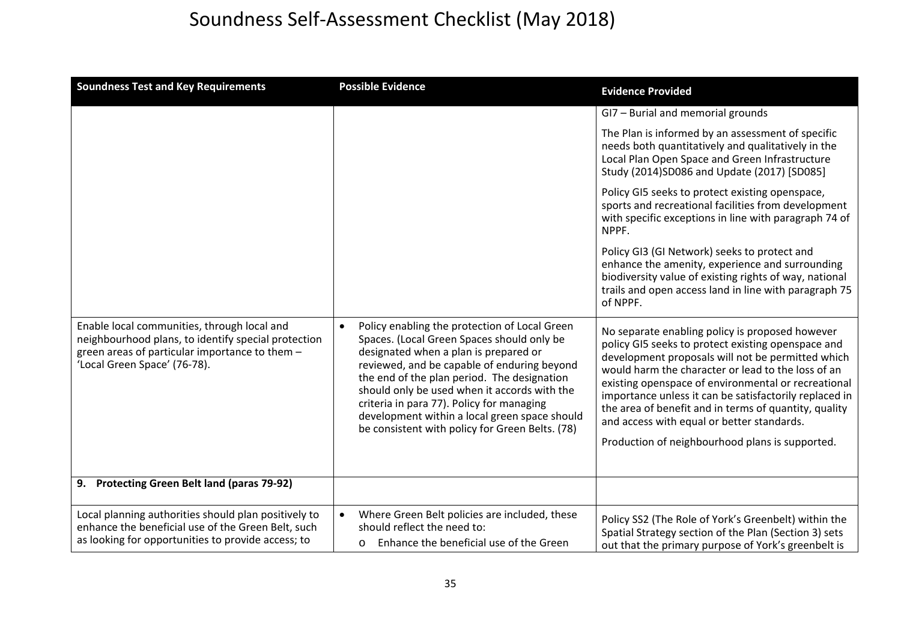| <b>Soundness Test and Key Requirements</b>                                                                                                                                           | <b>Possible Evidence</b>                                                                                                                                                                                                                                                                                                                                                                                                                         | <b>Evidence Provided</b>                                                                                                                                                                                                                                                                                                                                                                                                                                                                    |
|--------------------------------------------------------------------------------------------------------------------------------------------------------------------------------------|--------------------------------------------------------------------------------------------------------------------------------------------------------------------------------------------------------------------------------------------------------------------------------------------------------------------------------------------------------------------------------------------------------------------------------------------------|---------------------------------------------------------------------------------------------------------------------------------------------------------------------------------------------------------------------------------------------------------------------------------------------------------------------------------------------------------------------------------------------------------------------------------------------------------------------------------------------|
|                                                                                                                                                                                      |                                                                                                                                                                                                                                                                                                                                                                                                                                                  | GI7 - Burial and memorial grounds                                                                                                                                                                                                                                                                                                                                                                                                                                                           |
|                                                                                                                                                                                      |                                                                                                                                                                                                                                                                                                                                                                                                                                                  | The Plan is informed by an assessment of specific<br>needs both quantitatively and qualitatively in the<br>Local Plan Open Space and Green Infrastructure<br>Study (2014) SD086 and Update (2017) [SD085]                                                                                                                                                                                                                                                                                   |
|                                                                                                                                                                                      |                                                                                                                                                                                                                                                                                                                                                                                                                                                  | Policy GI5 seeks to protect existing openspace,<br>sports and recreational facilities from development<br>with specific exceptions in line with paragraph 74 of<br>NPPF.                                                                                                                                                                                                                                                                                                                    |
|                                                                                                                                                                                      |                                                                                                                                                                                                                                                                                                                                                                                                                                                  | Policy GI3 (GI Network) seeks to protect and<br>enhance the amenity, experience and surrounding<br>biodiversity value of existing rights of way, national<br>trails and open access land in line with paragraph 75<br>of NPPF.                                                                                                                                                                                                                                                              |
| Enable local communities, through local and<br>neighbourhood plans, to identify special protection<br>green areas of particular importance to them -<br>'Local Green Space' (76-78). | Policy enabling the protection of Local Green<br>$\bullet$<br>Spaces. (Local Green Spaces should only be<br>designated when a plan is prepared or<br>reviewed, and be capable of enduring beyond<br>the end of the plan period. The designation<br>should only be used when it accords with the<br>criteria in para 77). Policy for managing<br>development within a local green space should<br>be consistent with policy for Green Belts. (78) | No separate enabling policy is proposed however<br>policy GI5 seeks to protect existing openspace and<br>development proposals will not be permitted which<br>would harm the character or lead to the loss of an<br>existing openspace of environmental or recreational<br>importance unless it can be satisfactorily replaced in<br>the area of benefit and in terms of quantity, quality<br>and access with equal or better standards.<br>Production of neighbourhood plans is supported. |
| <b>Protecting Green Belt land (paras 79-92)</b><br>9.                                                                                                                                |                                                                                                                                                                                                                                                                                                                                                                                                                                                  |                                                                                                                                                                                                                                                                                                                                                                                                                                                                                             |
| Local planning authorities should plan positively to<br>enhance the beneficial use of the Green Belt, such<br>as looking for opportunities to provide access; to                     | Where Green Belt policies are included, these<br>$\bullet$<br>should reflect the need to:<br>Enhance the beneficial use of the Green<br>$\circ$                                                                                                                                                                                                                                                                                                  | Policy SS2 (The Role of York's Greenbelt) within the<br>Spatial Strategy section of the Plan (Section 3) sets<br>out that the primary purpose of York's greenbelt is                                                                                                                                                                                                                                                                                                                        |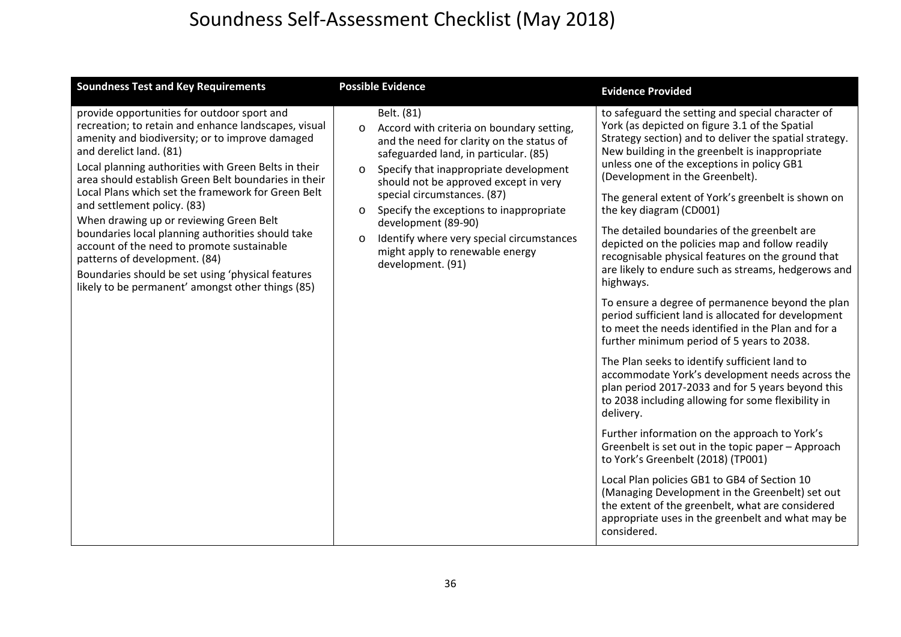| <b>Soundness Test and Key Requirements</b>                                                                                                                                                                                                                                                                                                                                                                                                                                                                                                                                                                                                                                      | <b>Possible Evidence</b>                                                                                                                                                                                                                                                                                                                                                                                                                                                           | <b>Evidence Provided</b>                                                                                                                                                                                                                                                                                                                                                                                                                                                                                                                                                                                                                                                                                                                                                                                                                                                                                                                                                                                                                                                                                                                                                                                                                                                                                                                                                                                                         |
|---------------------------------------------------------------------------------------------------------------------------------------------------------------------------------------------------------------------------------------------------------------------------------------------------------------------------------------------------------------------------------------------------------------------------------------------------------------------------------------------------------------------------------------------------------------------------------------------------------------------------------------------------------------------------------|------------------------------------------------------------------------------------------------------------------------------------------------------------------------------------------------------------------------------------------------------------------------------------------------------------------------------------------------------------------------------------------------------------------------------------------------------------------------------------|----------------------------------------------------------------------------------------------------------------------------------------------------------------------------------------------------------------------------------------------------------------------------------------------------------------------------------------------------------------------------------------------------------------------------------------------------------------------------------------------------------------------------------------------------------------------------------------------------------------------------------------------------------------------------------------------------------------------------------------------------------------------------------------------------------------------------------------------------------------------------------------------------------------------------------------------------------------------------------------------------------------------------------------------------------------------------------------------------------------------------------------------------------------------------------------------------------------------------------------------------------------------------------------------------------------------------------------------------------------------------------------------------------------------------------|
| provide opportunities for outdoor sport and<br>recreation; to retain and enhance landscapes, visual<br>amenity and biodiversity; or to improve damaged<br>and derelict land. (81)<br>Local planning authorities with Green Belts in their<br>area should establish Green Belt boundaries in their<br>Local Plans which set the framework for Green Belt<br>and settlement policy. (83)<br>When drawing up or reviewing Green Belt<br>boundaries local planning authorities should take<br>account of the need to promote sustainable<br>patterns of development. (84)<br>Boundaries should be set using 'physical features<br>likely to be permanent' amongst other things (85) | Belt. (81)<br>Accord with criteria on boundary setting,<br>$\circ$<br>and the need for clarity on the status of<br>safeguarded land, in particular. (85)<br>Specify that inappropriate development<br>$\circ$<br>should not be approved except in very<br>special circumstances. (87)<br>Specify the exceptions to inappropriate<br>$\circ$<br>development (89-90)<br>Identify where very special circumstances<br>$\circ$<br>might apply to renewable energy<br>development. (91) | to safeguard the setting and special character of<br>York (as depicted on figure 3.1 of the Spatial<br>Strategy section) and to deliver the spatial strategy.<br>New building in the greenbelt is inappropriate<br>unless one of the exceptions in policy GB1<br>(Development in the Greenbelt).<br>The general extent of York's greenbelt is shown on<br>the key diagram (CD001)<br>The detailed boundaries of the greenbelt are<br>depicted on the policies map and follow readily<br>recognisable physical features on the ground that<br>are likely to endure such as streams, hedgerows and<br>highways.<br>To ensure a degree of permanence beyond the plan<br>period sufficient land is allocated for development<br>to meet the needs identified in the Plan and for a<br>further minimum period of 5 years to 2038.<br>The Plan seeks to identify sufficient land to<br>accommodate York's development needs across the<br>plan period 2017-2033 and for 5 years beyond this<br>to 2038 including allowing for some flexibility in<br>delivery.<br>Further information on the approach to York's<br>Greenbelt is set out in the topic paper - Approach<br>to York's Greenbelt (2018) (TP001)<br>Local Plan policies GB1 to GB4 of Section 10<br>(Managing Development in the Greenbelt) set out<br>the extent of the greenbelt, what are considered<br>appropriate uses in the greenbelt and what may be<br>considered. |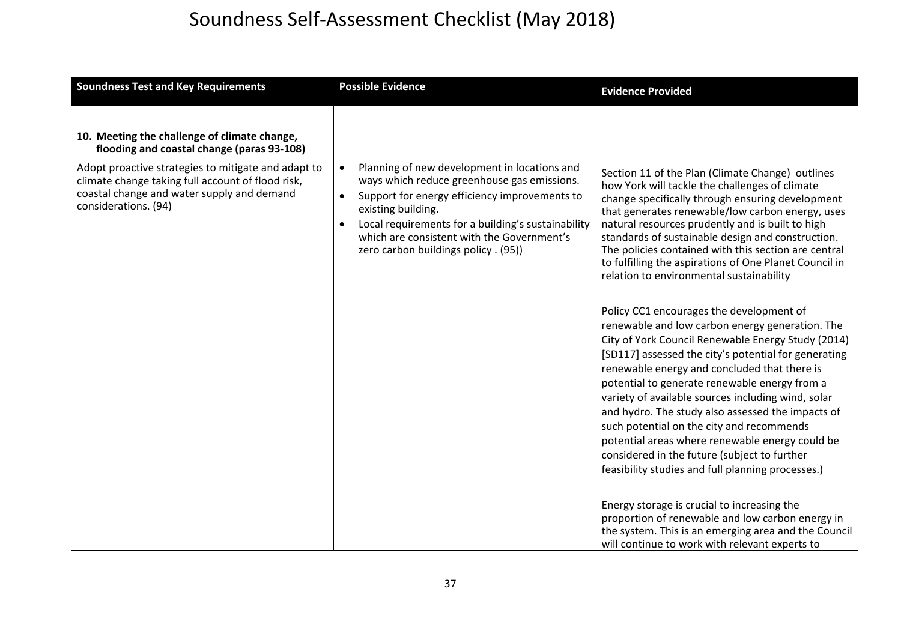| <b>Soundness Test and Key Requirements</b>                                                                                                                                     | <b>Possible Evidence</b>                                                                                                                                                                                                                                                                                                                              | <b>Evidence Provided</b>                                                                                                                                                                                                                                                                                                                                                                                                                                                                                                                                                                                                                                                                                                                                                                                                                                                                                                                                                                                                                                                                                                                                                                                                                                                   |
|--------------------------------------------------------------------------------------------------------------------------------------------------------------------------------|-------------------------------------------------------------------------------------------------------------------------------------------------------------------------------------------------------------------------------------------------------------------------------------------------------------------------------------------------------|----------------------------------------------------------------------------------------------------------------------------------------------------------------------------------------------------------------------------------------------------------------------------------------------------------------------------------------------------------------------------------------------------------------------------------------------------------------------------------------------------------------------------------------------------------------------------------------------------------------------------------------------------------------------------------------------------------------------------------------------------------------------------------------------------------------------------------------------------------------------------------------------------------------------------------------------------------------------------------------------------------------------------------------------------------------------------------------------------------------------------------------------------------------------------------------------------------------------------------------------------------------------------|
|                                                                                                                                                                                |                                                                                                                                                                                                                                                                                                                                                       |                                                                                                                                                                                                                                                                                                                                                                                                                                                                                                                                                                                                                                                                                                                                                                                                                                                                                                                                                                                                                                                                                                                                                                                                                                                                            |
| 10. Meeting the challenge of climate change,<br>flooding and coastal change (paras 93-108)                                                                                     |                                                                                                                                                                                                                                                                                                                                                       |                                                                                                                                                                                                                                                                                                                                                                                                                                                                                                                                                                                                                                                                                                                                                                                                                                                                                                                                                                                                                                                                                                                                                                                                                                                                            |
| Adopt proactive strategies to mitigate and adapt to<br>climate change taking full account of flood risk,<br>coastal change and water supply and demand<br>considerations. (94) | Planning of new development in locations and<br>$\bullet$<br>ways which reduce greenhouse gas emissions.<br>Support for energy efficiency improvements to<br>$\bullet$<br>existing building.<br>Local requirements for a building's sustainability<br>$\bullet$<br>which are consistent with the Government's<br>zero carbon buildings policy . (95)) | Section 11 of the Plan (Climate Change) outlines<br>how York will tackle the challenges of climate<br>change specifically through ensuring development<br>that generates renewable/low carbon energy, uses<br>natural resources prudently and is built to high<br>standards of sustainable design and construction.<br>The policies contained with this section are central<br>to fulfilling the aspirations of One Planet Council in<br>relation to environmental sustainability<br>Policy CC1 encourages the development of<br>renewable and low carbon energy generation. The<br>City of York Council Renewable Energy Study (2014)<br>[SD117] assessed the city's potential for generating<br>renewable energy and concluded that there is<br>potential to generate renewable energy from a<br>variety of available sources including wind, solar<br>and hydro. The study also assessed the impacts of<br>such potential on the city and recommends<br>potential areas where renewable energy could be<br>considered in the future (subject to further<br>feasibility studies and full planning processes.)<br>Energy storage is crucial to increasing the<br>proportion of renewable and low carbon energy in<br>the system. This is an emerging area and the Council |
|                                                                                                                                                                                |                                                                                                                                                                                                                                                                                                                                                       | will continue to work with relevant experts to                                                                                                                                                                                                                                                                                                                                                                                                                                                                                                                                                                                                                                                                                                                                                                                                                                                                                                                                                                                                                                                                                                                                                                                                                             |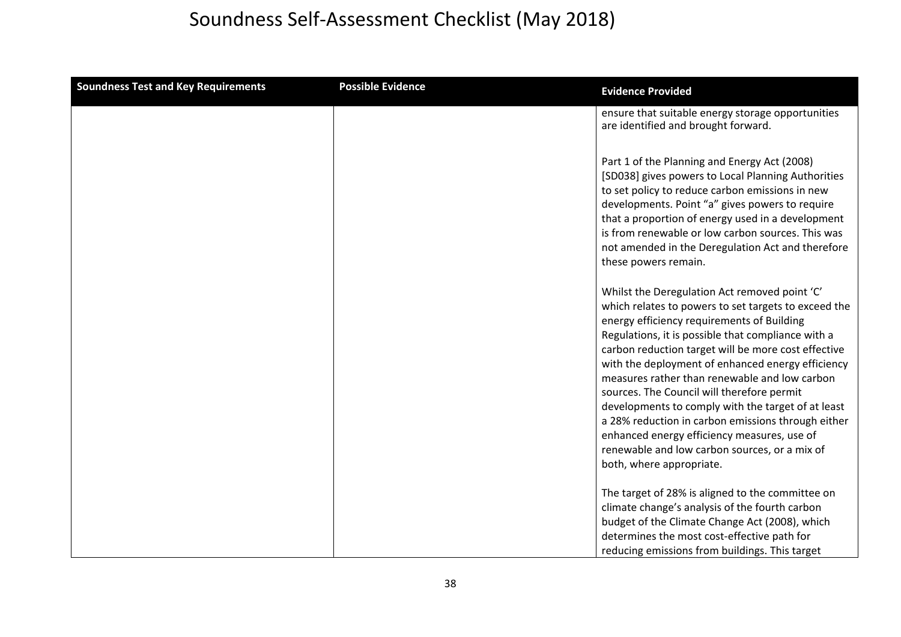| <b>Soundness Test and Key Requirements</b> | <b>Possible Evidence</b> | <b>Evidence Provided</b>                                                                                                                                                                                                                                                                                                                                                                                                                                                                                                                                                                                                                                     |
|--------------------------------------------|--------------------------|--------------------------------------------------------------------------------------------------------------------------------------------------------------------------------------------------------------------------------------------------------------------------------------------------------------------------------------------------------------------------------------------------------------------------------------------------------------------------------------------------------------------------------------------------------------------------------------------------------------------------------------------------------------|
|                                            |                          | ensure that suitable energy storage opportunities<br>are identified and brought forward.                                                                                                                                                                                                                                                                                                                                                                                                                                                                                                                                                                     |
|                                            |                          | Part 1 of the Planning and Energy Act (2008)<br>[SD038] gives powers to Local Planning Authorities<br>to set policy to reduce carbon emissions in new<br>developments. Point "a" gives powers to require<br>that a proportion of energy used in a development<br>is from renewable or low carbon sources. This was<br>not amended in the Deregulation Act and therefore<br>these powers remain.                                                                                                                                                                                                                                                              |
|                                            |                          | Whilst the Deregulation Act removed point 'C'<br>which relates to powers to set targets to exceed the<br>energy efficiency requirements of Building<br>Regulations, it is possible that compliance with a<br>carbon reduction target will be more cost effective<br>with the deployment of enhanced energy efficiency<br>measures rather than renewable and low carbon<br>sources. The Council will therefore permit<br>developments to comply with the target of at least<br>a 28% reduction in carbon emissions through either<br>enhanced energy efficiency measures, use of<br>renewable and low carbon sources, or a mix of<br>both, where appropriate. |
|                                            |                          | The target of 28% is aligned to the committee on<br>climate change's analysis of the fourth carbon<br>budget of the Climate Change Act (2008), which<br>determines the most cost-effective path for<br>reducing emissions from buildings. This target                                                                                                                                                                                                                                                                                                                                                                                                        |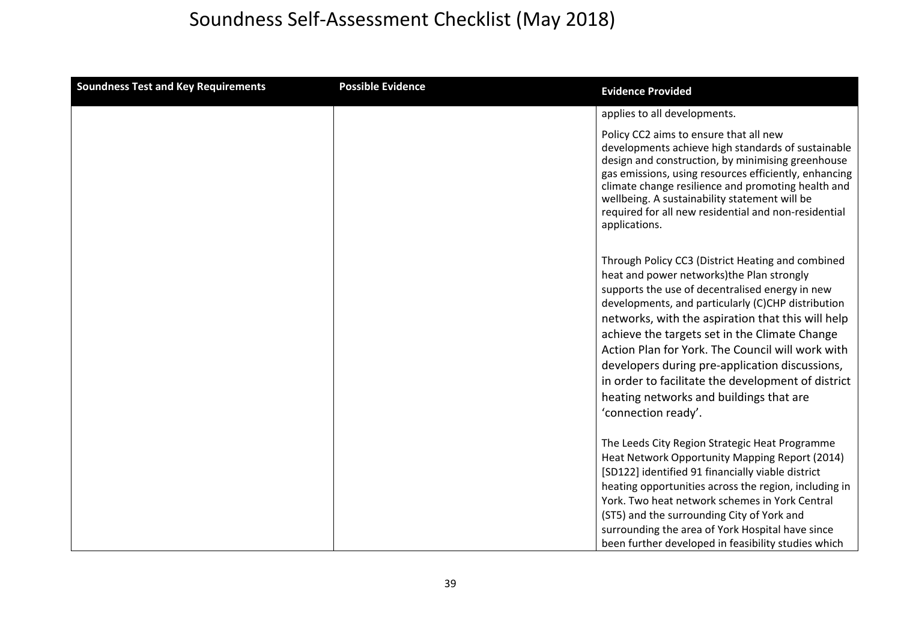| <b>Soundness Test and Key Requirements</b> | <b>Possible Evidence</b> | <b>Evidence Provided</b>                                                                                                                                                                                                                                                                                                                                                                                                                                                                                                                    |
|--------------------------------------------|--------------------------|---------------------------------------------------------------------------------------------------------------------------------------------------------------------------------------------------------------------------------------------------------------------------------------------------------------------------------------------------------------------------------------------------------------------------------------------------------------------------------------------------------------------------------------------|
|                                            |                          | applies to all developments.                                                                                                                                                                                                                                                                                                                                                                                                                                                                                                                |
|                                            |                          | Policy CC2 aims to ensure that all new<br>developments achieve high standards of sustainable<br>design and construction, by minimising greenhouse<br>gas emissions, using resources efficiently, enhancing<br>climate change resilience and promoting health and<br>wellbeing. A sustainability statement will be<br>required for all new residential and non-residential<br>applications.                                                                                                                                                  |
|                                            |                          | Through Policy CC3 (District Heating and combined<br>heat and power networks)the Plan strongly<br>supports the use of decentralised energy in new<br>developments, and particularly (C)CHP distribution<br>networks, with the aspiration that this will help<br>achieve the targets set in the Climate Change<br>Action Plan for York. The Council will work with<br>developers during pre-application discussions,<br>in order to facilitate the development of district<br>heating networks and buildings that are<br>'connection ready'. |
|                                            |                          | The Leeds City Region Strategic Heat Programme<br>Heat Network Opportunity Mapping Report (2014)<br>[SD122] identified 91 financially viable district<br>heating opportunities across the region, including in<br>York. Two heat network schemes in York Central<br>(ST5) and the surrounding City of York and<br>surrounding the area of York Hospital have since<br>been further developed in feasibility studies which                                                                                                                   |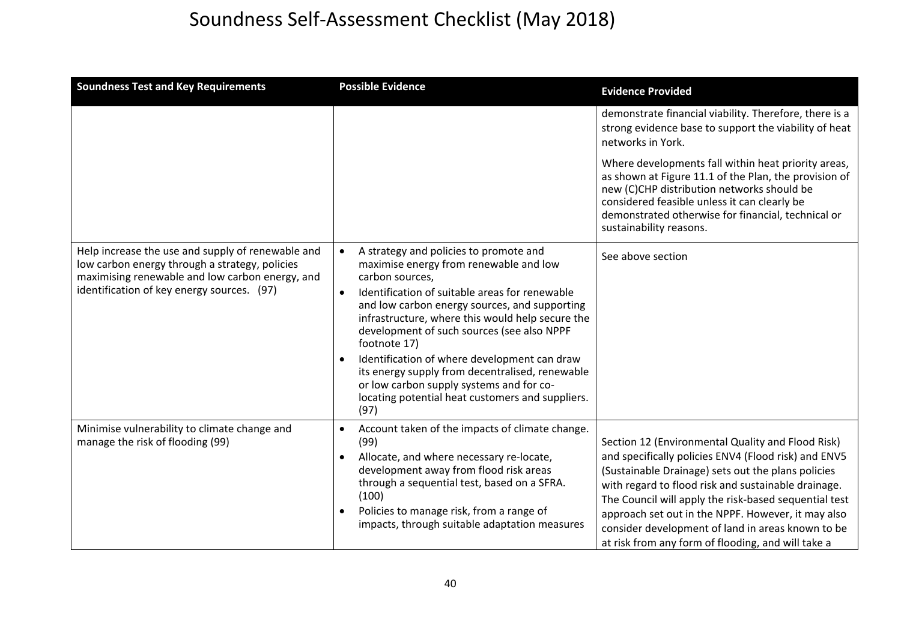| <b>Soundness Test and Key Requirements</b>                                                                                                                                                           | <b>Possible Evidence</b>                                                                                                                                                                                                                                                                                                                                                                                                                                                                                                                         | <b>Evidence Provided</b>                                                                                                                                                                                                                                                                                                                                                                                                                         |
|------------------------------------------------------------------------------------------------------------------------------------------------------------------------------------------------------|--------------------------------------------------------------------------------------------------------------------------------------------------------------------------------------------------------------------------------------------------------------------------------------------------------------------------------------------------------------------------------------------------------------------------------------------------------------------------------------------------------------------------------------------------|--------------------------------------------------------------------------------------------------------------------------------------------------------------------------------------------------------------------------------------------------------------------------------------------------------------------------------------------------------------------------------------------------------------------------------------------------|
|                                                                                                                                                                                                      |                                                                                                                                                                                                                                                                                                                                                                                                                                                                                                                                                  | demonstrate financial viability. Therefore, there is a<br>strong evidence base to support the viability of heat<br>networks in York.                                                                                                                                                                                                                                                                                                             |
|                                                                                                                                                                                                      |                                                                                                                                                                                                                                                                                                                                                                                                                                                                                                                                                  | Where developments fall within heat priority areas,<br>as shown at Figure 11.1 of the Plan, the provision of<br>new (C)CHP distribution networks should be<br>considered feasible unless it can clearly be<br>demonstrated otherwise for financial, technical or<br>sustainability reasons.                                                                                                                                                      |
| Help increase the use and supply of renewable and<br>low carbon energy through a strategy, policies<br>maximising renewable and low carbon energy, and<br>identification of key energy sources. (97) | A strategy and policies to promote and<br>$\bullet$<br>maximise energy from renewable and low<br>carbon sources,<br>Identification of suitable areas for renewable<br>and low carbon energy sources, and supporting<br>infrastructure, where this would help secure the<br>development of such sources (see also NPPF<br>footnote 17)<br>Identification of where development can draw<br>its energy supply from decentralised, renewable<br>or low carbon supply systems and for co-<br>locating potential heat customers and suppliers.<br>(97) | See above section                                                                                                                                                                                                                                                                                                                                                                                                                                |
| Minimise vulnerability to climate change and<br>manage the risk of flooding (99)                                                                                                                     | Account taken of the impacts of climate change.<br>$\bullet$<br>(99)<br>Allocate, and where necessary re-locate,<br>$\bullet$<br>development away from flood risk areas<br>through a sequential test, based on a SFRA.<br>(100)<br>Policies to manage risk, from a range of<br>impacts, through suitable adaptation measures                                                                                                                                                                                                                     | Section 12 (Environmental Quality and Flood Risk)<br>and specifically policies ENV4 (Flood risk) and ENV5<br>(Sustainable Drainage) sets out the plans policies<br>with regard to flood risk and sustainable drainage.<br>The Council will apply the risk-based sequential test<br>approach set out in the NPPF. However, it may also<br>consider development of land in areas known to be<br>at risk from any form of flooding, and will take a |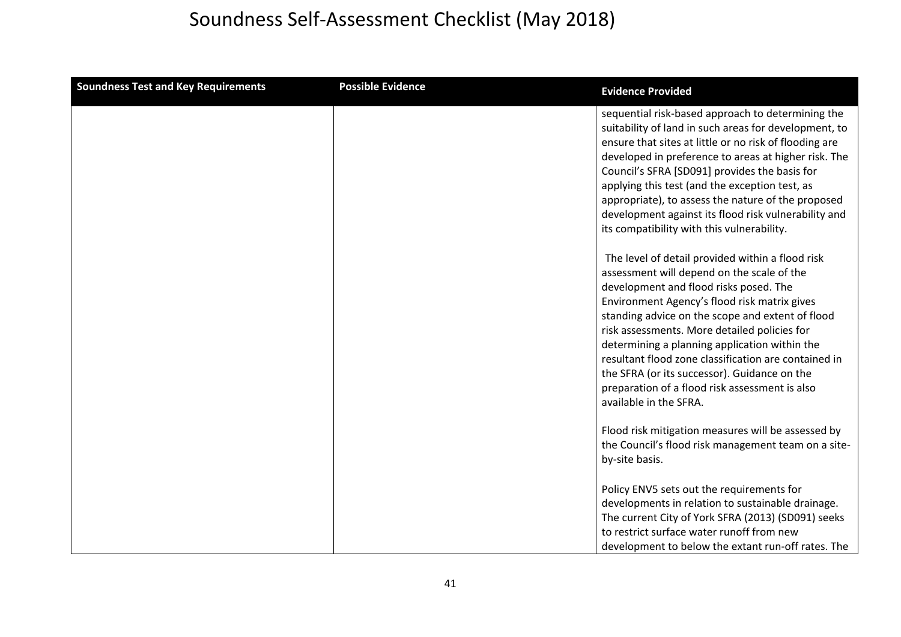| <b>Soundness Test and Key Requirements</b> | <b>Possible Evidence</b> | <b>Evidence Provided</b>                                                                                                                                                                                                                                                                                                                                                                                                                                                                                                          |
|--------------------------------------------|--------------------------|-----------------------------------------------------------------------------------------------------------------------------------------------------------------------------------------------------------------------------------------------------------------------------------------------------------------------------------------------------------------------------------------------------------------------------------------------------------------------------------------------------------------------------------|
|                                            |                          | sequential risk-based approach to determining the<br>suitability of land in such areas for development, to<br>ensure that sites at little or no risk of flooding are<br>developed in preference to areas at higher risk. The<br>Council's SFRA [SD091] provides the basis for<br>applying this test (and the exception test, as<br>appropriate), to assess the nature of the proposed<br>development against its flood risk vulnerability and<br>its compatibility with this vulnerability.                                       |
|                                            |                          | The level of detail provided within a flood risk<br>assessment will depend on the scale of the<br>development and flood risks posed. The<br>Environment Agency's flood risk matrix gives<br>standing advice on the scope and extent of flood<br>risk assessments. More detailed policies for<br>determining a planning application within the<br>resultant flood zone classification are contained in<br>the SFRA (or its successor). Guidance on the<br>preparation of a flood risk assessment is also<br>available in the SFRA. |
|                                            |                          | Flood risk mitigation measures will be assessed by<br>the Council's flood risk management team on a site-<br>by-site basis.                                                                                                                                                                                                                                                                                                                                                                                                       |
|                                            |                          | Policy ENV5 sets out the requirements for<br>developments in relation to sustainable drainage.<br>The current City of York SFRA (2013) (SD091) seeks<br>to restrict surface water runoff from new<br>development to below the extant run-off rates. The                                                                                                                                                                                                                                                                           |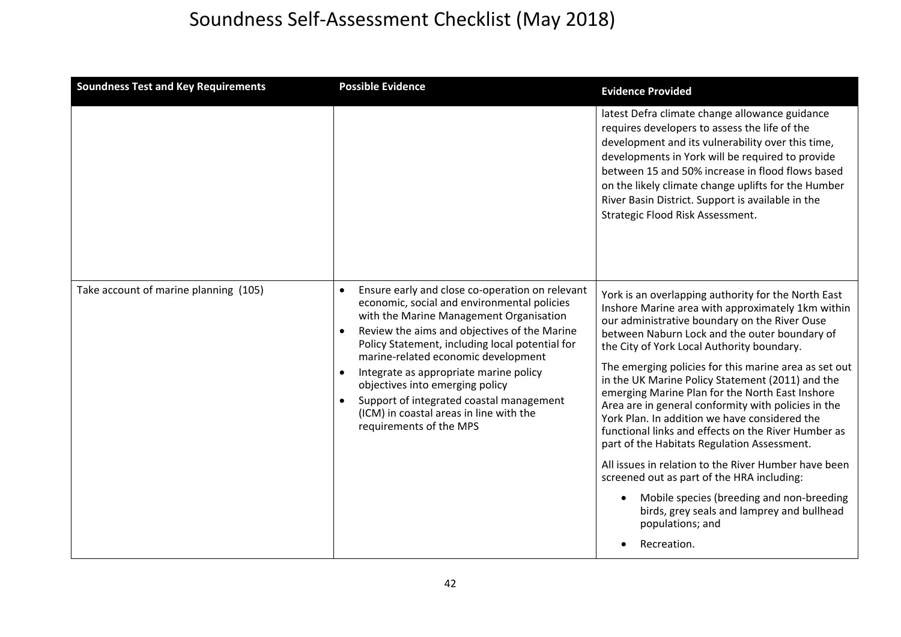| <b>Soundness Test and Key Requirements</b> | <b>Possible Evidence</b>                                                                                                                                                                                                                                                                                                                                                                                                                                                                                     | <b>Evidence Provided</b>                                                                                                                                                                                                                                                                                                                                                                                                                                                                                                                                                                                                                                                                                                                                                                                                                                                                |
|--------------------------------------------|--------------------------------------------------------------------------------------------------------------------------------------------------------------------------------------------------------------------------------------------------------------------------------------------------------------------------------------------------------------------------------------------------------------------------------------------------------------------------------------------------------------|-----------------------------------------------------------------------------------------------------------------------------------------------------------------------------------------------------------------------------------------------------------------------------------------------------------------------------------------------------------------------------------------------------------------------------------------------------------------------------------------------------------------------------------------------------------------------------------------------------------------------------------------------------------------------------------------------------------------------------------------------------------------------------------------------------------------------------------------------------------------------------------------|
|                                            |                                                                                                                                                                                                                                                                                                                                                                                                                                                                                                              | latest Defra climate change allowance guidance<br>requires developers to assess the life of the<br>development and its vulnerability over this time,<br>developments in York will be required to provide<br>between 15 and 50% increase in flood flows based<br>on the likely climate change uplifts for the Humber<br>River Basin District. Support is available in the<br>Strategic Flood Risk Assessment.                                                                                                                                                                                                                                                                                                                                                                                                                                                                            |
| Take account of marine planning (105)      | Ensure early and close co-operation on relevant<br>economic, social and environmental policies<br>with the Marine Management Organisation<br>Review the aims and objectives of the Marine<br>$\bullet$<br>Policy Statement, including local potential for<br>marine-related economic development<br>Integrate as appropriate marine policy<br>$\bullet$<br>objectives into emerging policy<br>Support of integrated coastal management<br>(ICM) in coastal areas in line with the<br>requirements of the MPS | York is an overlapping authority for the North East<br>Inshore Marine area with approximately 1km within<br>our administrative boundary on the River Ouse<br>between Naburn Lock and the outer boundary of<br>the City of York Local Authority boundary.<br>The emerging policies for this marine area as set out<br>in the UK Marine Policy Statement (2011) and the<br>emerging Marine Plan for the North East Inshore<br>Area are in general conformity with policies in the<br>York Plan. In addition we have considered the<br>functional links and effects on the River Humber as<br>part of the Habitats Regulation Assessment.<br>All issues in relation to the River Humber have been<br>screened out as part of the HRA including:<br>Mobile species (breeding and non-breeding<br>$\bullet$<br>birds, grey seals and lamprey and bullhead<br>populations; and<br>Recreation. |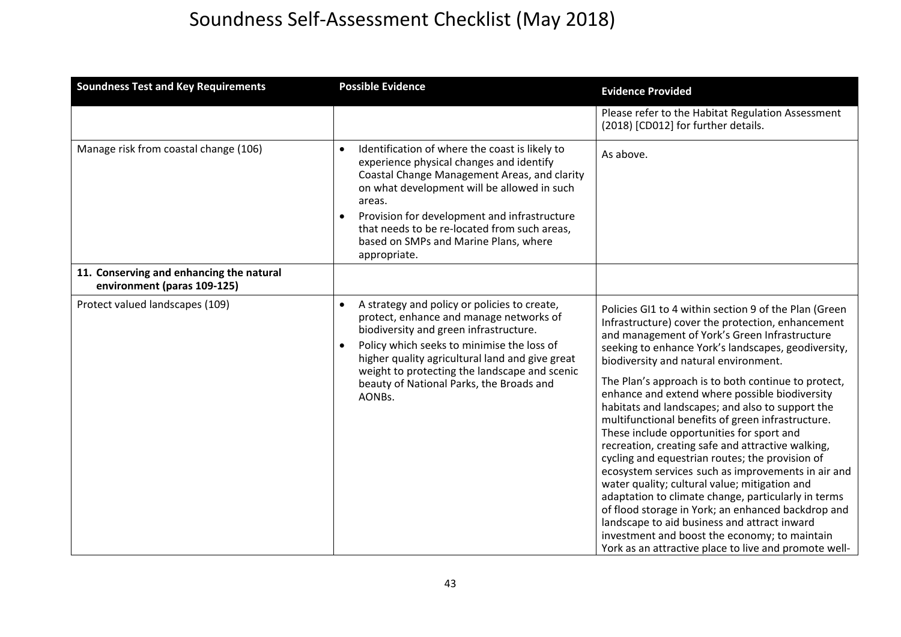| <b>Soundness Test and Key Requirements</b>                              | <b>Possible Evidence</b>                                                                                                                                                                                                                                                                                                                                     | <b>Evidence Provided</b>                                                                                                                                                                                                                                                                                                                                                                                                                                                                                                                                                                                                                                                                                                                                                                                                                                                                                                                                                                                         |
|-------------------------------------------------------------------------|--------------------------------------------------------------------------------------------------------------------------------------------------------------------------------------------------------------------------------------------------------------------------------------------------------------------------------------------------------------|------------------------------------------------------------------------------------------------------------------------------------------------------------------------------------------------------------------------------------------------------------------------------------------------------------------------------------------------------------------------------------------------------------------------------------------------------------------------------------------------------------------------------------------------------------------------------------------------------------------------------------------------------------------------------------------------------------------------------------------------------------------------------------------------------------------------------------------------------------------------------------------------------------------------------------------------------------------------------------------------------------------|
|                                                                         |                                                                                                                                                                                                                                                                                                                                                              | Please refer to the Habitat Regulation Assessment<br>(2018) [CD012] for further details.                                                                                                                                                                                                                                                                                                                                                                                                                                                                                                                                                                                                                                                                                                                                                                                                                                                                                                                         |
| Manage risk from coastal change (106)                                   | Identification of where the coast is likely to<br>experience physical changes and identify<br>Coastal Change Management Areas, and clarity<br>on what development will be allowed in such<br>areas.<br>Provision for development and infrastructure<br>that needs to be re-located from such areas,<br>based on SMPs and Marine Plans, where<br>appropriate. | As above.                                                                                                                                                                                                                                                                                                                                                                                                                                                                                                                                                                                                                                                                                                                                                                                                                                                                                                                                                                                                        |
| 11. Conserving and enhancing the natural<br>environment (paras 109-125) |                                                                                                                                                                                                                                                                                                                                                              |                                                                                                                                                                                                                                                                                                                                                                                                                                                                                                                                                                                                                                                                                                                                                                                                                                                                                                                                                                                                                  |
| Protect valued landscapes (109)                                         | A strategy and policy or policies to create,<br>protect, enhance and manage networks of<br>biodiversity and green infrastructure.<br>Policy which seeks to minimise the loss of<br>higher quality agricultural land and give great<br>weight to protecting the landscape and scenic<br>beauty of National Parks, the Broads and<br>AONBs.                    | Policies GI1 to 4 within section 9 of the Plan (Green<br>Infrastructure) cover the protection, enhancement<br>and management of York's Green Infrastructure<br>seeking to enhance York's landscapes, geodiversity,<br>biodiversity and natural environment.<br>The Plan's approach is to both continue to protect,<br>enhance and extend where possible biodiversity<br>habitats and landscapes; and also to support the<br>multifunctional benefits of green infrastructure.<br>These include opportunities for sport and<br>recreation, creating safe and attractive walking,<br>cycling and equestrian routes; the provision of<br>ecosystem services such as improvements in air and<br>water quality; cultural value; mitigation and<br>adaptation to climate change, particularly in terms<br>of flood storage in York; an enhanced backdrop and<br>landscape to aid business and attract inward<br>investment and boost the economy; to maintain<br>York as an attractive place to live and promote well- |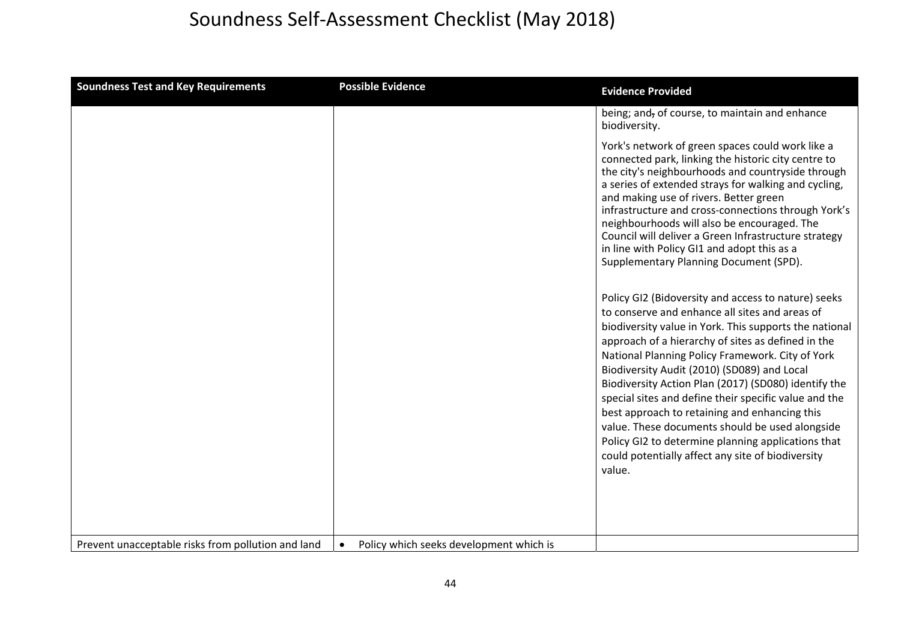| <b>Soundness Test and Key Requirements</b>         | <b>Possible Evidence</b>                             | <b>Evidence Provided</b>                                                                                                                                                                                                                                                                                                                                                                                                                                                                                                                                                                                                                                           |
|----------------------------------------------------|------------------------------------------------------|--------------------------------------------------------------------------------------------------------------------------------------------------------------------------------------------------------------------------------------------------------------------------------------------------------------------------------------------------------------------------------------------------------------------------------------------------------------------------------------------------------------------------------------------------------------------------------------------------------------------------------------------------------------------|
|                                                    |                                                      | being; and, of course, to maintain and enhance<br>biodiversity.                                                                                                                                                                                                                                                                                                                                                                                                                                                                                                                                                                                                    |
|                                                    |                                                      | York's network of green spaces could work like a<br>connected park, linking the historic city centre to<br>the city's neighbourhoods and countryside through<br>a series of extended strays for walking and cycling,<br>and making use of rivers. Better green<br>infrastructure and cross-connections through York's<br>neighbourhoods will also be encouraged. The<br>Council will deliver a Green Infrastructure strategy<br>in line with Policy GI1 and adopt this as a<br>Supplementary Planning Document (SPD).                                                                                                                                              |
|                                                    |                                                      | Policy GI2 (Bidoversity and access to nature) seeks<br>to conserve and enhance all sites and areas of<br>biodiversity value in York. This supports the national<br>approach of a hierarchy of sites as defined in the<br>National Planning Policy Framework. City of York<br>Biodiversity Audit (2010) (SD089) and Local<br>Biodiversity Action Plan (2017) (SD080) identify the<br>special sites and define their specific value and the<br>best approach to retaining and enhancing this<br>value. These documents should be used alongside<br>Policy GI2 to determine planning applications that<br>could potentially affect any site of biodiversity<br>value. |
| Prevent unacceptable risks from pollution and land | Policy which seeks development which is<br>$\bullet$ |                                                                                                                                                                                                                                                                                                                                                                                                                                                                                                                                                                                                                                                                    |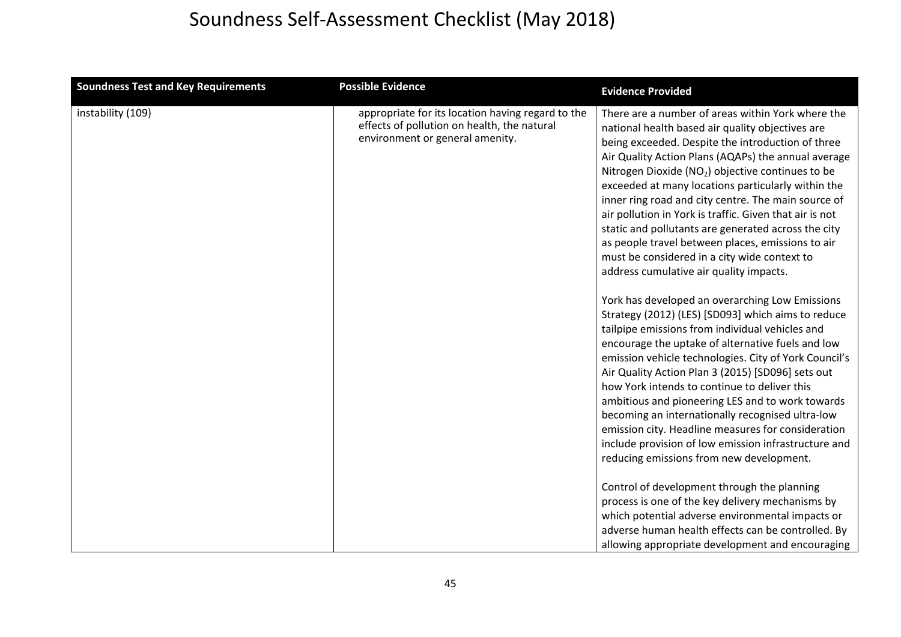| <b>Soundness Test and Key Requirements</b> | <b>Possible Evidence</b>                                                                                                            | <b>Evidence Provided</b>                                                                                                                                                                                                                                                                                                                                                                                                                                                                                                                                                                                                                                                                                                                                                                                                                                                                                                                                                                                                                                                                                                                                                                                                                                                                                           |
|--------------------------------------------|-------------------------------------------------------------------------------------------------------------------------------------|--------------------------------------------------------------------------------------------------------------------------------------------------------------------------------------------------------------------------------------------------------------------------------------------------------------------------------------------------------------------------------------------------------------------------------------------------------------------------------------------------------------------------------------------------------------------------------------------------------------------------------------------------------------------------------------------------------------------------------------------------------------------------------------------------------------------------------------------------------------------------------------------------------------------------------------------------------------------------------------------------------------------------------------------------------------------------------------------------------------------------------------------------------------------------------------------------------------------------------------------------------------------------------------------------------------------|
| instability (109)                          | appropriate for its location having regard to the<br>effects of pollution on health, the natural<br>environment or general amenity. | There are a number of areas within York where the<br>national health based air quality objectives are<br>being exceeded. Despite the introduction of three<br>Air Quality Action Plans (AQAPs) the annual average<br>Nitrogen Dioxide (NO <sub>2</sub> ) objective continues to be<br>exceeded at many locations particularly within the<br>inner ring road and city centre. The main source of<br>air pollution in York is traffic. Given that air is not<br>static and pollutants are generated across the city<br>as people travel between places, emissions to air<br>must be considered in a city wide context to<br>address cumulative air quality impacts.<br>York has developed an overarching Low Emissions<br>Strategy (2012) (LES) [SD093] which aims to reduce<br>tailpipe emissions from individual vehicles and<br>encourage the uptake of alternative fuels and low<br>emission vehicle technologies. City of York Council's<br>Air Quality Action Plan 3 (2015) [SD096] sets out<br>how York intends to continue to deliver this<br>ambitious and pioneering LES and to work towards<br>becoming an internationally recognised ultra-low<br>emission city. Headline measures for consideration<br>include provision of low emission infrastructure and<br>reducing emissions from new development. |
|                                            |                                                                                                                                     | Control of development through the planning<br>process is one of the key delivery mechanisms by<br>which potential adverse environmental impacts or<br>adverse human health effects can be controlled. By<br>allowing appropriate development and encouraging                                                                                                                                                                                                                                                                                                                                                                                                                                                                                                                                                                                                                                                                                                                                                                                                                                                                                                                                                                                                                                                      |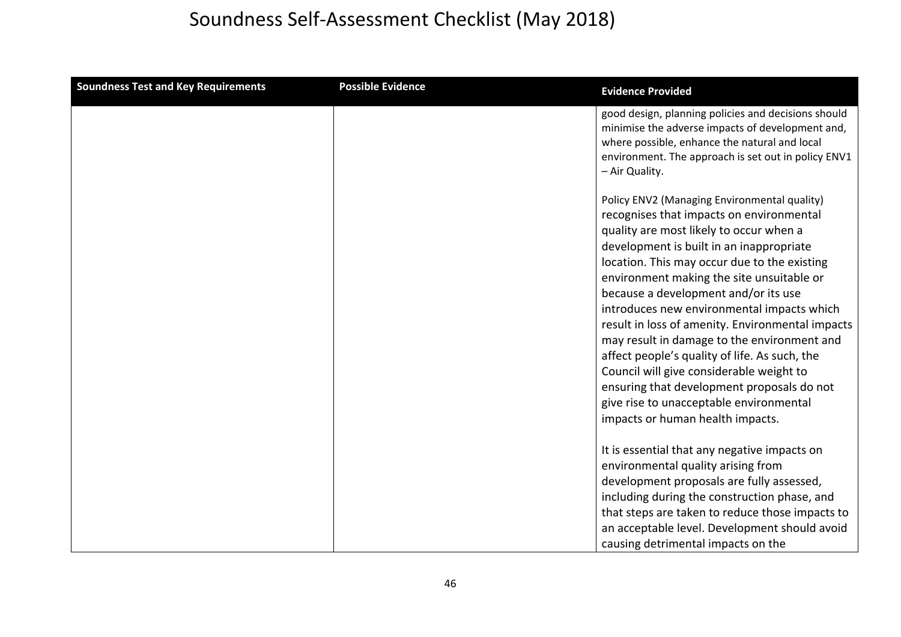| <b>Soundness Test and Key Requirements</b> | <b>Possible Evidence</b> | <b>Evidence Provided</b>                                                                                                                                                                                                                                                                                                                                                                                                                                                                                                                                                                                                                                                                        |
|--------------------------------------------|--------------------------|-------------------------------------------------------------------------------------------------------------------------------------------------------------------------------------------------------------------------------------------------------------------------------------------------------------------------------------------------------------------------------------------------------------------------------------------------------------------------------------------------------------------------------------------------------------------------------------------------------------------------------------------------------------------------------------------------|
|                                            |                          | good design, planning policies and decisions should<br>minimise the adverse impacts of development and,<br>where possible, enhance the natural and local<br>environment. The approach is set out in policy ENV1<br>- Air Quality.                                                                                                                                                                                                                                                                                                                                                                                                                                                               |
|                                            |                          | Policy ENV2 (Managing Environmental quality)<br>recognises that impacts on environmental<br>quality are most likely to occur when a<br>development is built in an inappropriate<br>location. This may occur due to the existing<br>environment making the site unsuitable or<br>because a development and/or its use<br>introduces new environmental impacts which<br>result in loss of amenity. Environmental impacts<br>may result in damage to the environment and<br>affect people's quality of life. As such, the<br>Council will give considerable weight to<br>ensuring that development proposals do not<br>give rise to unacceptable environmental<br>impacts or human health impacts. |
|                                            |                          | It is essential that any negative impacts on<br>environmental quality arising from<br>development proposals are fully assessed,<br>including during the construction phase, and<br>that steps are taken to reduce those impacts to<br>an acceptable level. Development should avoid<br>causing detrimental impacts on the                                                                                                                                                                                                                                                                                                                                                                       |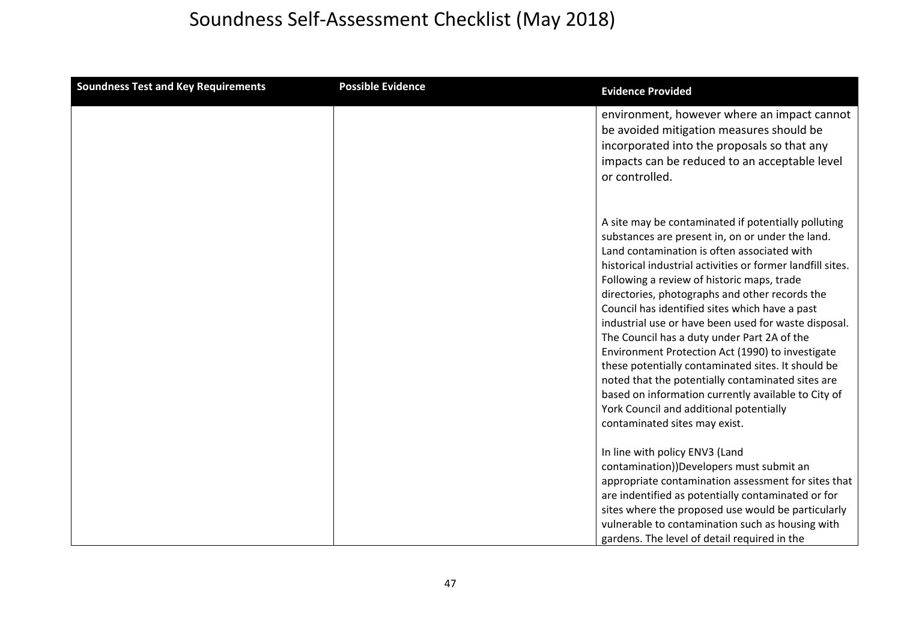| <b>Soundness Test and Key Requirements</b> | <b>Possible Evidence</b> | <b>Evidence Provided</b>                                                                                                                                                                                                                                                                                                                                                                                                                                                                                                                                                                                                                                                                                                                                                        |
|--------------------------------------------|--------------------------|---------------------------------------------------------------------------------------------------------------------------------------------------------------------------------------------------------------------------------------------------------------------------------------------------------------------------------------------------------------------------------------------------------------------------------------------------------------------------------------------------------------------------------------------------------------------------------------------------------------------------------------------------------------------------------------------------------------------------------------------------------------------------------|
|                                            |                          | environment, however where an impact cannot<br>be avoided mitigation measures should be<br>incorporated into the proposals so that any<br>impacts can be reduced to an acceptable level<br>or controlled.                                                                                                                                                                                                                                                                                                                                                                                                                                                                                                                                                                       |
|                                            |                          | A site may be contaminated if potentially polluting<br>substances are present in, on or under the land.<br>Land contamination is often associated with<br>historical industrial activities or former landfill sites.<br>Following a review of historic maps, trade<br>directories, photographs and other records the<br>Council has identified sites which have a past<br>industrial use or have been used for waste disposal.<br>The Council has a duty under Part 2A of the<br>Environment Protection Act (1990) to investigate<br>these potentially contaminated sites. It should be<br>noted that the potentially contaminated sites are<br>based on information currently available to City of<br>York Council and additional potentially<br>contaminated sites may exist. |
|                                            |                          | In line with policy ENV3 (Land<br>contamination))Developers must submit an<br>appropriate contamination assessment for sites that<br>are indentified as potentially contaminated or for<br>sites where the proposed use would be particularly<br>vulnerable to contamination such as housing with<br>gardens. The level of detail required in the                                                                                                                                                                                                                                                                                                                                                                                                                               |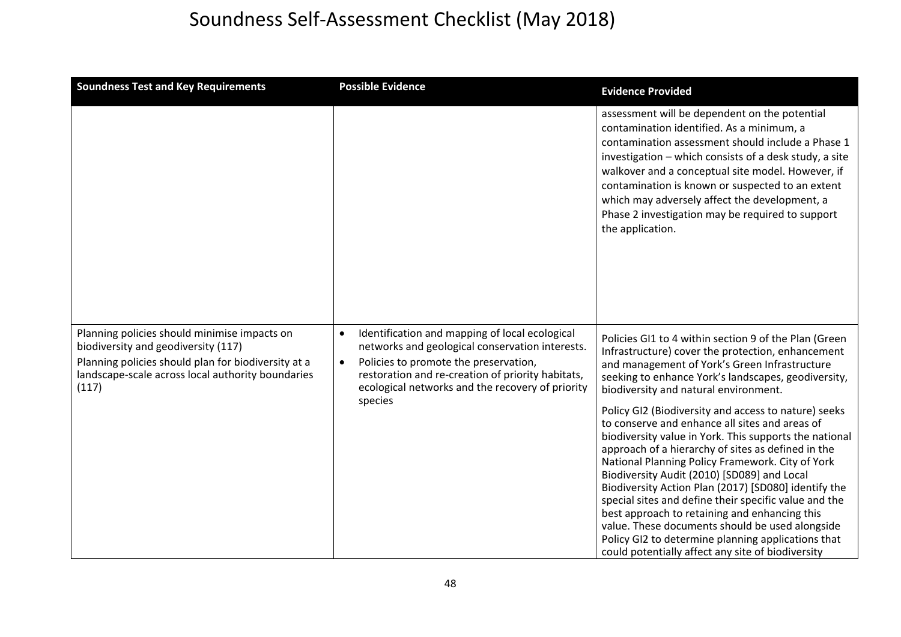| <b>Soundness Test and Key Requirements</b>                                                                                                                                                               | <b>Possible Evidence</b>                                                                                                                                                                                                                                                                 | <b>Evidence Provided</b>                                                                                                                                                                                                                                                                                                                                                                                                                                                                                                                                                                                                                                                                                                                                                                                                                                                                                                 |
|----------------------------------------------------------------------------------------------------------------------------------------------------------------------------------------------------------|------------------------------------------------------------------------------------------------------------------------------------------------------------------------------------------------------------------------------------------------------------------------------------------|--------------------------------------------------------------------------------------------------------------------------------------------------------------------------------------------------------------------------------------------------------------------------------------------------------------------------------------------------------------------------------------------------------------------------------------------------------------------------------------------------------------------------------------------------------------------------------------------------------------------------------------------------------------------------------------------------------------------------------------------------------------------------------------------------------------------------------------------------------------------------------------------------------------------------|
|                                                                                                                                                                                                          |                                                                                                                                                                                                                                                                                          | assessment will be dependent on the potential<br>contamination identified. As a minimum, a<br>contamination assessment should include a Phase 1<br>investigation - which consists of a desk study, a site<br>walkover and a conceptual site model. However, if<br>contamination is known or suspected to an extent<br>which may adversely affect the development, a<br>Phase 2 investigation may be required to support<br>the application.                                                                                                                                                                                                                                                                                                                                                                                                                                                                              |
| Planning policies should minimise impacts on<br>biodiversity and geodiversity (117)<br>Planning policies should plan for biodiversity at a<br>landscape-scale across local authority boundaries<br>(117) | Identification and mapping of local ecological<br>$\bullet$<br>networks and geological conservation interests.<br>Policies to promote the preservation,<br>$\bullet$<br>restoration and re-creation of priority habitats,<br>ecological networks and the recovery of priority<br>species | Policies GI1 to 4 within section 9 of the Plan (Green<br>Infrastructure) cover the protection, enhancement<br>and management of York's Green Infrastructure<br>seeking to enhance York's landscapes, geodiversity,<br>biodiversity and natural environment.<br>Policy GI2 (Biodiversity and access to nature) seeks<br>to conserve and enhance all sites and areas of<br>biodiversity value in York. This supports the national<br>approach of a hierarchy of sites as defined in the<br>National Planning Policy Framework. City of York<br>Biodiversity Audit (2010) [SD089] and Local<br>Biodiversity Action Plan (2017) [SD080] identify the<br>special sites and define their specific value and the<br>best approach to retaining and enhancing this<br>value. These documents should be used alongside<br>Policy GI2 to determine planning applications that<br>could potentially affect any site of biodiversity |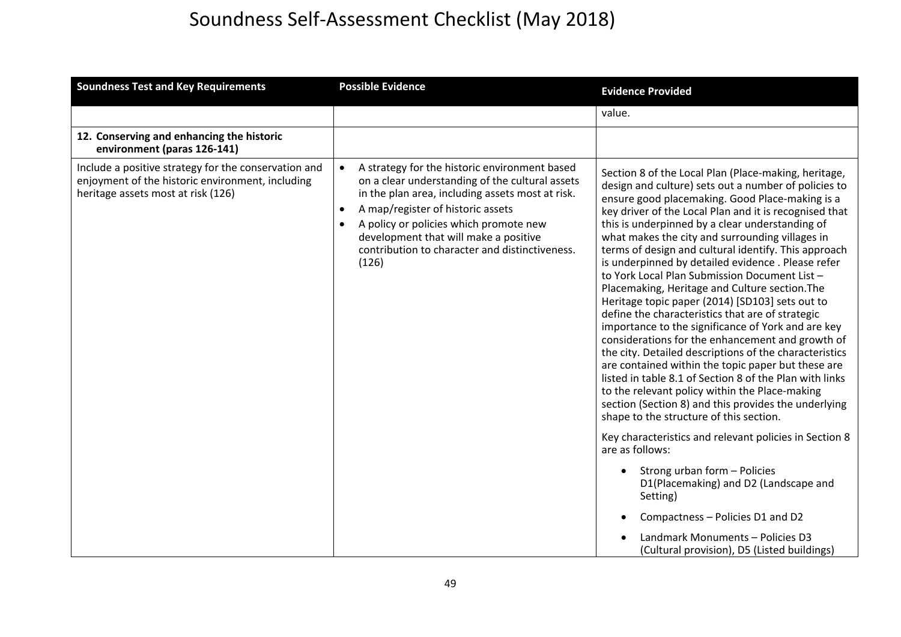| <b>Soundness Test and Key Requirements</b>                                                                                                     | <b>Possible Evidence</b>                                                                                                                                                                                                                                                                                                                                                       | <b>Evidence Provided</b>                                                                                                                                                                                                                                                                                                                                                                                                                                                                                                                                                                                                                                                                                                                                                                                                                                                                                                                                                                                                                                                                                                                                                                                                                                                                                                                                                                               |
|------------------------------------------------------------------------------------------------------------------------------------------------|--------------------------------------------------------------------------------------------------------------------------------------------------------------------------------------------------------------------------------------------------------------------------------------------------------------------------------------------------------------------------------|--------------------------------------------------------------------------------------------------------------------------------------------------------------------------------------------------------------------------------------------------------------------------------------------------------------------------------------------------------------------------------------------------------------------------------------------------------------------------------------------------------------------------------------------------------------------------------------------------------------------------------------------------------------------------------------------------------------------------------------------------------------------------------------------------------------------------------------------------------------------------------------------------------------------------------------------------------------------------------------------------------------------------------------------------------------------------------------------------------------------------------------------------------------------------------------------------------------------------------------------------------------------------------------------------------------------------------------------------------------------------------------------------------|
|                                                                                                                                                |                                                                                                                                                                                                                                                                                                                                                                                | value.                                                                                                                                                                                                                                                                                                                                                                                                                                                                                                                                                                                                                                                                                                                                                                                                                                                                                                                                                                                                                                                                                                                                                                                                                                                                                                                                                                                                 |
| 12. Conserving and enhancing the historic<br>environment (paras 126-141)                                                                       |                                                                                                                                                                                                                                                                                                                                                                                |                                                                                                                                                                                                                                                                                                                                                                                                                                                                                                                                                                                                                                                                                                                                                                                                                                                                                                                                                                                                                                                                                                                                                                                                                                                                                                                                                                                                        |
| Include a positive strategy for the conservation and<br>enjoyment of the historic environment, including<br>heritage assets most at risk (126) | A strategy for the historic environment based<br>$\bullet$<br>on a clear understanding of the cultural assets<br>in the plan area, including assets most at risk.<br>A map/register of historic assets<br>$\bullet$<br>A policy or policies which promote new<br>$\bullet$<br>development that will make a positive<br>contribution to character and distinctiveness.<br>(126) | Section 8 of the Local Plan (Place-making, heritage,<br>design and culture) sets out a number of policies to<br>ensure good placemaking. Good Place-making is a<br>key driver of the Local Plan and it is recognised that<br>this is underpinned by a clear understanding of<br>what makes the city and surrounding villages in<br>terms of design and cultural identify. This approach<br>is underpinned by detailed evidence. Please refer<br>to York Local Plan Submission Document List -<br>Placemaking, Heritage and Culture section. The<br>Heritage topic paper (2014) [SD103] sets out to<br>define the characteristics that are of strategic<br>importance to the significance of York and are key<br>considerations for the enhancement and growth of<br>the city. Detailed descriptions of the characteristics<br>are contained within the topic paper but these are<br>listed in table 8.1 of Section 8 of the Plan with links<br>to the relevant policy within the Place-making<br>section (Section 8) and this provides the underlying<br>shape to the structure of this section.<br>Key characteristics and relevant policies in Section 8<br>are as follows:<br>Strong urban form - Policies<br>$\bullet$<br>D1(Placemaking) and D2 (Landscape and<br>Setting)<br>Compactness - Policies D1 and D2<br>Landmark Monuments - Policies D3<br>(Cultural provision), D5 (Listed buildings) |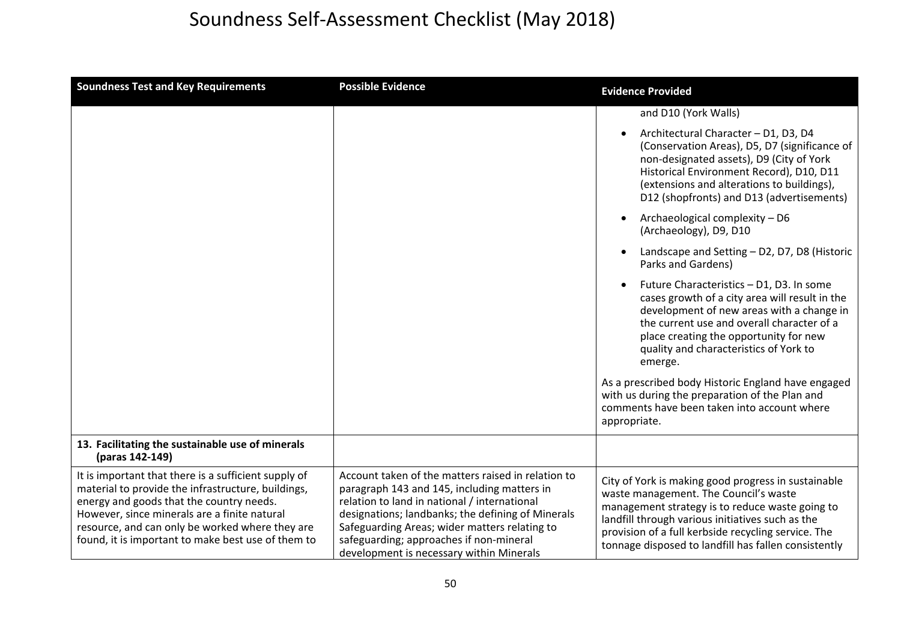| <b>Soundness Test and Key Requirements</b>                                                                                                                                                                                                                                                                      | <b>Possible Evidence</b>                                                                                                                                                                                                                                                                                                                       | <b>Evidence Provided</b>                                                                                                                                                                                                                                                                                           |
|-----------------------------------------------------------------------------------------------------------------------------------------------------------------------------------------------------------------------------------------------------------------------------------------------------------------|------------------------------------------------------------------------------------------------------------------------------------------------------------------------------------------------------------------------------------------------------------------------------------------------------------------------------------------------|--------------------------------------------------------------------------------------------------------------------------------------------------------------------------------------------------------------------------------------------------------------------------------------------------------------------|
|                                                                                                                                                                                                                                                                                                                 |                                                                                                                                                                                                                                                                                                                                                | and D10 (York Walls)                                                                                                                                                                                                                                                                                               |
|                                                                                                                                                                                                                                                                                                                 |                                                                                                                                                                                                                                                                                                                                                | Architectural Character - D1, D3, D4<br>$\bullet$<br>(Conservation Areas), D5, D7 (significance of<br>non-designated assets), D9 (City of York<br>Historical Environment Record), D10, D11<br>(extensions and alterations to buildings),<br>D12 (shopfronts) and D13 (advertisements)                              |
|                                                                                                                                                                                                                                                                                                                 |                                                                                                                                                                                                                                                                                                                                                | Archaeological complexity - D6<br>$\bullet$<br>(Archaeology), D9, D10                                                                                                                                                                                                                                              |
|                                                                                                                                                                                                                                                                                                                 |                                                                                                                                                                                                                                                                                                                                                | Landscape and Setting - D2, D7, D8 (Historic<br>$\bullet$<br>Parks and Gardens)                                                                                                                                                                                                                                    |
|                                                                                                                                                                                                                                                                                                                 |                                                                                                                                                                                                                                                                                                                                                | Future Characteristics - D1, D3. In some<br>$\bullet$<br>cases growth of a city area will result in the<br>development of new areas with a change in<br>the current use and overall character of a<br>place creating the opportunity for new<br>quality and characteristics of York to<br>emerge.                  |
|                                                                                                                                                                                                                                                                                                                 |                                                                                                                                                                                                                                                                                                                                                | As a prescribed body Historic England have engaged<br>with us during the preparation of the Plan and<br>comments have been taken into account where<br>appropriate.                                                                                                                                                |
| 13. Facilitating the sustainable use of minerals<br>(paras 142-149)                                                                                                                                                                                                                                             |                                                                                                                                                                                                                                                                                                                                                |                                                                                                                                                                                                                                                                                                                    |
| It is important that there is a sufficient supply of<br>material to provide the infrastructure, buildings,<br>energy and goods that the country needs.<br>However, since minerals are a finite natural<br>resource, and can only be worked where they are<br>found, it is important to make best use of them to | Account taken of the matters raised in relation to<br>paragraph 143 and 145, including matters in<br>relation to land in national / international<br>designations; landbanks; the defining of Minerals<br>Safeguarding Areas; wider matters relating to<br>safeguarding; approaches if non-mineral<br>development is necessary within Minerals | City of York is making good progress in sustainable<br>waste management. The Council's waste<br>management strategy is to reduce waste going to<br>landfill through various initiatives such as the<br>provision of a full kerbside recycling service. The<br>tonnage disposed to landfill has fallen consistently |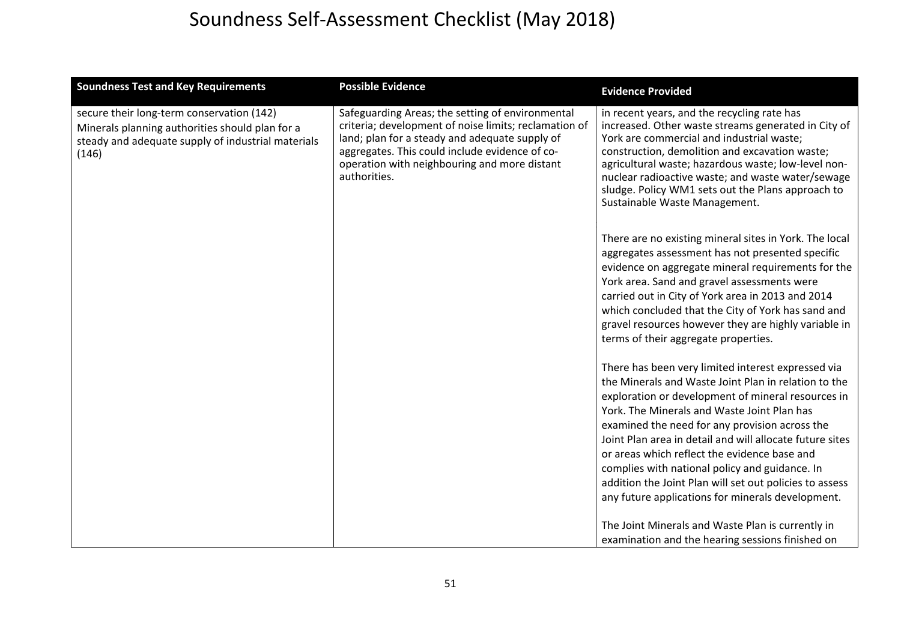| <b>Soundness Test and Key Requirements</b>                                                                                                                  | <b>Possible Evidence</b>                                                                                                                                                                                                                                                      | <b>Evidence Provided</b>                                                                                                                                                                                                                                                                                                                                                                                                                                                                                                                        |
|-------------------------------------------------------------------------------------------------------------------------------------------------------------|-------------------------------------------------------------------------------------------------------------------------------------------------------------------------------------------------------------------------------------------------------------------------------|-------------------------------------------------------------------------------------------------------------------------------------------------------------------------------------------------------------------------------------------------------------------------------------------------------------------------------------------------------------------------------------------------------------------------------------------------------------------------------------------------------------------------------------------------|
| secure their long-term conservation (142)<br>Minerals planning authorities should plan for a<br>steady and adequate supply of industrial materials<br>(146) | Safeguarding Areas; the setting of environmental<br>criteria; development of noise limits; reclamation of<br>land; plan for a steady and adequate supply of<br>aggregates. This could include evidence of co-<br>operation with neighbouring and more distant<br>authorities. | in recent years, and the recycling rate has<br>increased. Other waste streams generated in City of<br>York are commercial and industrial waste;<br>construction, demolition and excavation waste;<br>agricultural waste; hazardous waste; low-level non-<br>nuclear radioactive waste; and waste water/sewage<br>sludge. Policy WM1 sets out the Plans approach to<br>Sustainable Waste Management.                                                                                                                                             |
|                                                                                                                                                             |                                                                                                                                                                                                                                                                               | There are no existing mineral sites in York. The local<br>aggregates assessment has not presented specific<br>evidence on aggregate mineral requirements for the<br>York area. Sand and gravel assessments were<br>carried out in City of York area in 2013 and 2014<br>which concluded that the City of York has sand and<br>gravel resources however they are highly variable in<br>terms of their aggregate properties.                                                                                                                      |
|                                                                                                                                                             |                                                                                                                                                                                                                                                                               | There has been very limited interest expressed via<br>the Minerals and Waste Joint Plan in relation to the<br>exploration or development of mineral resources in<br>York. The Minerals and Waste Joint Plan has<br>examined the need for any provision across the<br>Joint Plan area in detail and will allocate future sites<br>or areas which reflect the evidence base and<br>complies with national policy and guidance. In<br>addition the Joint Plan will set out policies to assess<br>any future applications for minerals development. |
|                                                                                                                                                             |                                                                                                                                                                                                                                                                               | The Joint Minerals and Waste Plan is currently in<br>examination and the hearing sessions finished on                                                                                                                                                                                                                                                                                                                                                                                                                                           |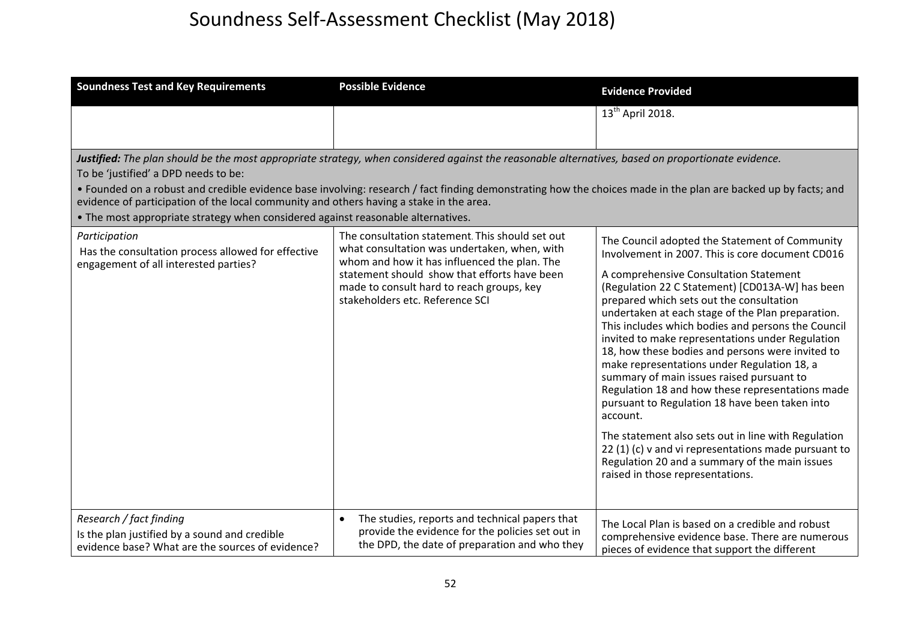| <b>Soundness Test and Key Requirements</b>                                                                                                                                                                                                                                                                                          | <b>Possible Evidence</b>                                                                                                                                                                                                                                                                                                                                                                                                                                                                                                                                                                                | <b>Evidence Provided</b>                                                                                                                                                                                                                                                                                                                                                                                                                                                                                                                                                                                                                                                                                                                                                                                                                                                          |
|-------------------------------------------------------------------------------------------------------------------------------------------------------------------------------------------------------------------------------------------------------------------------------------------------------------------------------------|---------------------------------------------------------------------------------------------------------------------------------------------------------------------------------------------------------------------------------------------------------------------------------------------------------------------------------------------------------------------------------------------------------------------------------------------------------------------------------------------------------------------------------------------------------------------------------------------------------|-----------------------------------------------------------------------------------------------------------------------------------------------------------------------------------------------------------------------------------------------------------------------------------------------------------------------------------------------------------------------------------------------------------------------------------------------------------------------------------------------------------------------------------------------------------------------------------------------------------------------------------------------------------------------------------------------------------------------------------------------------------------------------------------------------------------------------------------------------------------------------------|
|                                                                                                                                                                                                                                                                                                                                     |                                                                                                                                                                                                                                                                                                                                                                                                                                                                                                                                                                                                         | 13 <sup>th</sup> April 2018.                                                                                                                                                                                                                                                                                                                                                                                                                                                                                                                                                                                                                                                                                                                                                                                                                                                      |
| To be 'justified' a DPD needs to be:<br>evidence of participation of the local community and others having a stake in the area.<br>. The most appropriate strategy when considered against reasonable alternatives.<br>Participation<br>Has the consultation process allowed for effective<br>engagement of all interested parties? | Justified: The plan should be the most appropriate strategy, when considered against the reasonable alternatives, based on proportionate evidence.<br>• Founded on a robust and credible evidence base involving: research / fact finding demonstrating how the choices made in the plan are backed up by facts; and<br>The consultation statement. This should set out<br>what consultation was undertaken, when, with<br>whom and how it has influenced the plan. The<br>statement should show that efforts have been<br>made to consult hard to reach groups, key<br>stakeholders etc. Reference SCI | The Council adopted the Statement of Community<br>Involvement in 2007. This is core document CD016<br>A comprehensive Consultation Statement<br>(Regulation 22 C Statement) [CD013A-W] has been<br>prepared which sets out the consultation<br>undertaken at each stage of the Plan preparation.<br>This includes which bodies and persons the Council<br>invited to make representations under Regulation<br>18, how these bodies and persons were invited to<br>make representations under Regulation 18, a<br>summary of main issues raised pursuant to<br>Regulation 18 and how these representations made<br>pursuant to Regulation 18 have been taken into<br>account.<br>The statement also sets out in line with Regulation<br>22 (1) (c) v and vi representations made pursuant to<br>Regulation 20 and a summary of the main issues<br>raised in those representations. |
| Research / fact finding<br>Is the plan justified by a sound and credible<br>evidence base? What are the sources of evidence?                                                                                                                                                                                                        | The studies, reports and technical papers that<br>provide the evidence for the policies set out in<br>the DPD, the date of preparation and who they                                                                                                                                                                                                                                                                                                                                                                                                                                                     | The Local Plan is based on a credible and robust<br>comprehensive evidence base. There are numerous<br>pieces of evidence that support the different                                                                                                                                                                                                                                                                                                                                                                                                                                                                                                                                                                                                                                                                                                                              |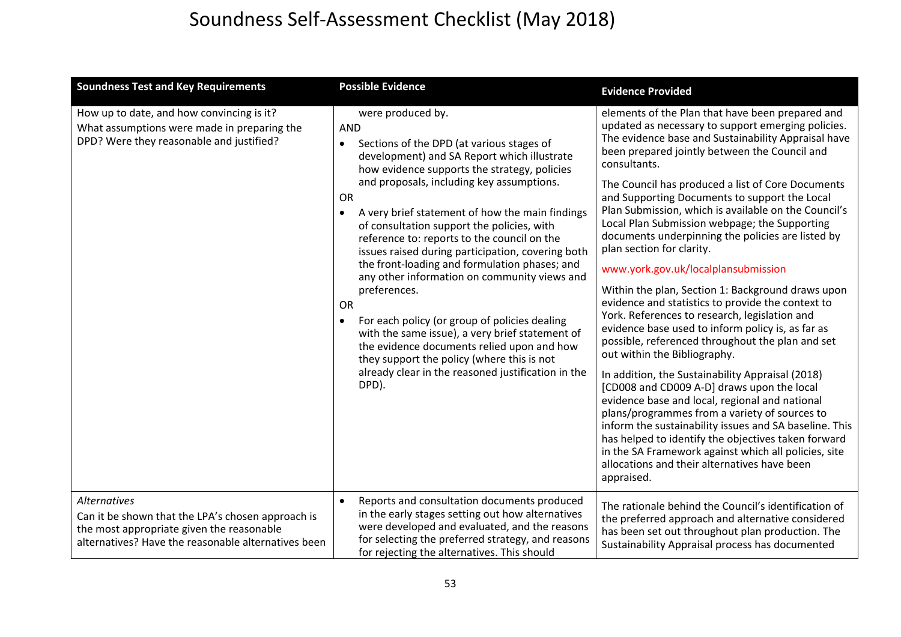| <b>Soundness Test and Key Requirements</b>                                                                                                                                   | <b>Possible Evidence</b>                                                                                                                                                                                                                                                                                                                                                                                                                                                                                                                                                                                                                                                                                                                                                                                                                                          | <b>Evidence Provided</b>                                                                                                                                                                                                                                                                                                                                                                                                                                                                                                                                                                                                                                                                                                                                                                                                                                                                                                                                                                                                                                                                                                                                                                                                                                                                                               |
|------------------------------------------------------------------------------------------------------------------------------------------------------------------------------|-------------------------------------------------------------------------------------------------------------------------------------------------------------------------------------------------------------------------------------------------------------------------------------------------------------------------------------------------------------------------------------------------------------------------------------------------------------------------------------------------------------------------------------------------------------------------------------------------------------------------------------------------------------------------------------------------------------------------------------------------------------------------------------------------------------------------------------------------------------------|------------------------------------------------------------------------------------------------------------------------------------------------------------------------------------------------------------------------------------------------------------------------------------------------------------------------------------------------------------------------------------------------------------------------------------------------------------------------------------------------------------------------------------------------------------------------------------------------------------------------------------------------------------------------------------------------------------------------------------------------------------------------------------------------------------------------------------------------------------------------------------------------------------------------------------------------------------------------------------------------------------------------------------------------------------------------------------------------------------------------------------------------------------------------------------------------------------------------------------------------------------------------------------------------------------------------|
| How up to date, and how convincing is it?<br>What assumptions were made in preparing the<br>DPD? Were they reasonable and justified?                                         | were produced by.<br><b>AND</b><br>Sections of the DPD (at various stages of<br>$\bullet$<br>development) and SA Report which illustrate<br>how evidence supports the strategy, policies<br>and proposals, including key assumptions.<br><b>OR</b><br>A very brief statement of how the main findings<br>of consultation support the policies, with<br>reference to: reports to the council on the<br>issues raised during participation, covering both<br>the front-loading and formulation phases; and<br>any other information on community views and<br>preferences.<br><b>OR</b><br>For each policy (or group of policies dealing<br>$\bullet$<br>with the same issue), a very brief statement of<br>the evidence documents relied upon and how<br>they support the policy (where this is not<br>already clear in the reasoned justification in the<br>DPD). | elements of the Plan that have been prepared and<br>updated as necessary to support emerging policies.<br>The evidence base and Sustainability Appraisal have<br>been prepared jointly between the Council and<br>consultants.<br>The Council has produced a list of Core Documents<br>and Supporting Documents to support the Local<br>Plan Submission, which is available on the Council's<br>Local Plan Submission webpage; the Supporting<br>documents underpinning the policies are listed by<br>plan section for clarity.<br>www.york.gov.uk/localplansubmission<br>Within the plan, Section 1: Background draws upon<br>evidence and statistics to provide the context to<br>York. References to research, legislation and<br>evidence base used to inform policy is, as far as<br>possible, referenced throughout the plan and set<br>out within the Bibliography.<br>In addition, the Sustainability Appraisal (2018)<br>[CD008 and CD009 A-D] draws upon the local<br>evidence base and local, regional and national<br>plans/programmes from a variety of sources to<br>inform the sustainability issues and SA baseline. This<br>has helped to identify the objectives taken forward<br>in the SA Framework against which all policies, site<br>allocations and their alternatives have been<br>appraised. |
| <b>Alternatives</b><br>Can it be shown that the LPA's chosen approach is<br>the most appropriate given the reasonable<br>alternatives? Have the reasonable alternatives been | Reports and consultation documents produced<br>$\bullet$<br>in the early stages setting out how alternatives<br>were developed and evaluated, and the reasons<br>for selecting the preferred strategy, and reasons<br>for rejecting the alternatives. This should                                                                                                                                                                                                                                                                                                                                                                                                                                                                                                                                                                                                 | The rationale behind the Council's identification of<br>the preferred approach and alternative considered<br>has been set out throughout plan production. The<br>Sustainability Appraisal process has documented                                                                                                                                                                                                                                                                                                                                                                                                                                                                                                                                                                                                                                                                                                                                                                                                                                                                                                                                                                                                                                                                                                       |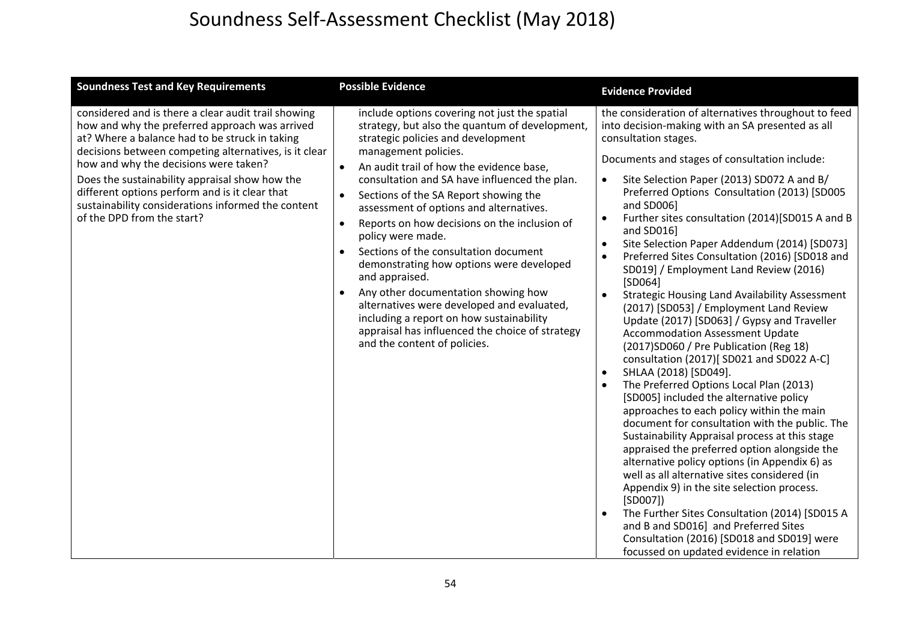| <b>Soundness Test and Key Requirements</b>                                                                                                                                                                                                                                                                                                                                                                                                        | <b>Possible Evidence</b>                                                                                                                                                                                                                                                                                                                                                                                                                                                                                                                                                                                                                                                                                                                                                                           | <b>Evidence Provided</b>                                                                                                                                                                                                                                                                                                                                                                                                                                                                                                                                                                                                                                                                                                                                                                                                                                                                                                                                                                                                                                                                                                                                                                                                                                                                                                                                                                                                                                                                                                                                                         |
|---------------------------------------------------------------------------------------------------------------------------------------------------------------------------------------------------------------------------------------------------------------------------------------------------------------------------------------------------------------------------------------------------------------------------------------------------|----------------------------------------------------------------------------------------------------------------------------------------------------------------------------------------------------------------------------------------------------------------------------------------------------------------------------------------------------------------------------------------------------------------------------------------------------------------------------------------------------------------------------------------------------------------------------------------------------------------------------------------------------------------------------------------------------------------------------------------------------------------------------------------------------|----------------------------------------------------------------------------------------------------------------------------------------------------------------------------------------------------------------------------------------------------------------------------------------------------------------------------------------------------------------------------------------------------------------------------------------------------------------------------------------------------------------------------------------------------------------------------------------------------------------------------------------------------------------------------------------------------------------------------------------------------------------------------------------------------------------------------------------------------------------------------------------------------------------------------------------------------------------------------------------------------------------------------------------------------------------------------------------------------------------------------------------------------------------------------------------------------------------------------------------------------------------------------------------------------------------------------------------------------------------------------------------------------------------------------------------------------------------------------------------------------------------------------------------------------------------------------------|
| considered and is there a clear audit trail showing<br>how and why the preferred approach was arrived<br>at? Where a balance had to be struck in taking<br>decisions between competing alternatives, is it clear<br>how and why the decisions were taken?<br>Does the sustainability appraisal show how the<br>different options perform and is it clear that<br>sustainability considerations informed the content<br>of the DPD from the start? | include options covering not just the spatial<br>strategy, but also the quantum of development,<br>strategic policies and development<br>management policies.<br>An audit trail of how the evidence base,<br>consultation and SA have influenced the plan.<br>Sections of the SA Report showing the<br>$\bullet$<br>assessment of options and alternatives.<br>Reports on how decisions on the inclusion of<br>$\bullet$<br>policy were made.<br>Sections of the consultation document<br>$\bullet$<br>demonstrating how options were developed<br>and appraised.<br>Any other documentation showing how<br>$\bullet$<br>alternatives were developed and evaluated,<br>including a report on how sustainability<br>appraisal has influenced the choice of strategy<br>and the content of policies. | the consideration of alternatives throughout to feed<br>into decision-making with an SA presented as all<br>consultation stages.<br>Documents and stages of consultation include:<br>Site Selection Paper (2013) SD072 A and B/<br>$\bullet$<br>Preferred Options Consultation (2013) [SD005<br>and SD006]<br>Further sites consultation (2014)[SD015 A and B<br>$\bullet$<br>and SD016]<br>Site Selection Paper Addendum (2014) [SD073]<br>$\bullet$<br>Preferred Sites Consultation (2016) [SD018 and<br>$\bullet$<br>SD019] / Employment Land Review (2016)<br>[SD064]<br>$\bullet$<br><b>Strategic Housing Land Availability Assessment</b><br>(2017) [SD053] / Employment Land Review<br>Update (2017) [SD063] / Gypsy and Traveller<br><b>Accommodation Assessment Update</b><br>(2017) SD060 / Pre Publication (Reg 18)<br>consultation (2017)[ SD021 and SD022 A-C]<br>SHLAA (2018) [SD049].<br>$\bullet$<br>The Preferred Options Local Plan (2013)<br>$\bullet$<br>[SD005] included the alternative policy<br>approaches to each policy within the main<br>document for consultation with the public. The<br>Sustainability Appraisal process at this stage<br>appraised the preferred option alongside the<br>alternative policy options (in Appendix 6) as<br>well as all alternative sites considered (in<br>Appendix 9) in the site selection process.<br>[SD007]<br>The Further Sites Consultation (2014) [SD015 A<br>$\bullet$<br>and B and SD016] and Preferred Sites<br>Consultation (2016) [SD018 and SD019] were<br>focussed on updated evidence in relation |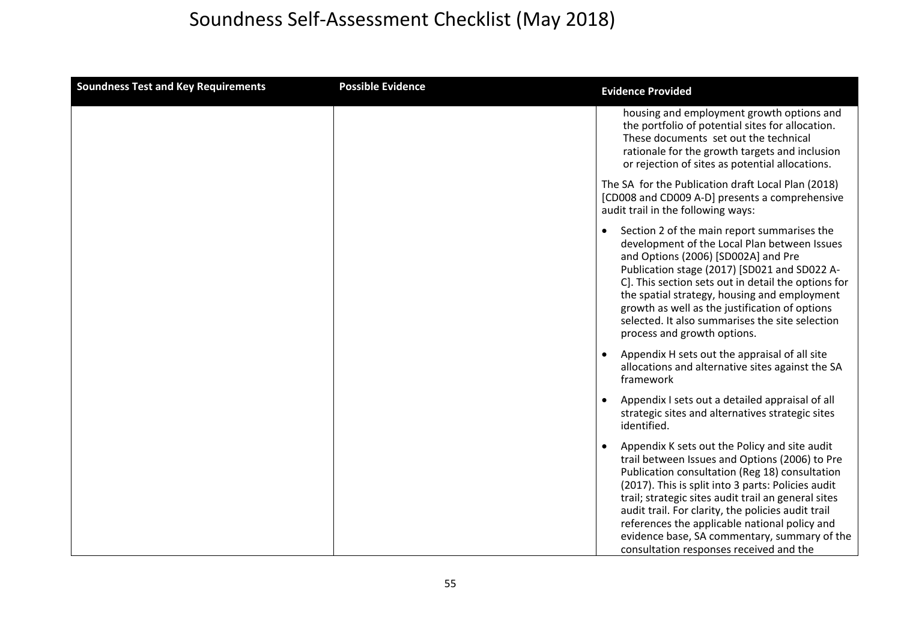| <b>Soundness Test and Key Requirements</b> | <b>Possible Evidence</b> | <b>Evidence Provided</b>                                                                                                                                                                                                                                                                                                                                                                                                                                         |
|--------------------------------------------|--------------------------|------------------------------------------------------------------------------------------------------------------------------------------------------------------------------------------------------------------------------------------------------------------------------------------------------------------------------------------------------------------------------------------------------------------------------------------------------------------|
|                                            |                          | housing and employment growth options and<br>the portfolio of potential sites for allocation.<br>These documents set out the technical<br>rationale for the growth targets and inclusion<br>or rejection of sites as potential allocations.                                                                                                                                                                                                                      |
|                                            |                          | The SA for the Publication draft Local Plan (2018)<br>[CD008 and CD009 A-D] presents a comprehensive<br>audit trail in the following ways:                                                                                                                                                                                                                                                                                                                       |
|                                            |                          | Section 2 of the main report summarises the<br>development of the Local Plan between Issues<br>and Options (2006) [SD002A] and Pre<br>Publication stage (2017) [SD021 and SD022 A-<br>C]. This section sets out in detail the options for<br>the spatial strategy, housing and employment<br>growth as well as the justification of options<br>selected. It also summarises the site selection<br>process and growth options.                                    |
|                                            |                          | Appendix H sets out the appraisal of all site<br>allocations and alternative sites against the SA<br>framework                                                                                                                                                                                                                                                                                                                                                   |
|                                            |                          | Appendix I sets out a detailed appraisal of all<br>strategic sites and alternatives strategic sites<br>identified.                                                                                                                                                                                                                                                                                                                                               |
|                                            |                          | Appendix K sets out the Policy and site audit<br>trail between Issues and Options (2006) to Pre<br>Publication consultation (Reg 18) consultation<br>(2017). This is split into 3 parts: Policies audit<br>trail; strategic sites audit trail an general sites<br>audit trail. For clarity, the policies audit trail<br>references the applicable national policy and<br>evidence base, SA commentary, summary of the<br>consultation responses received and the |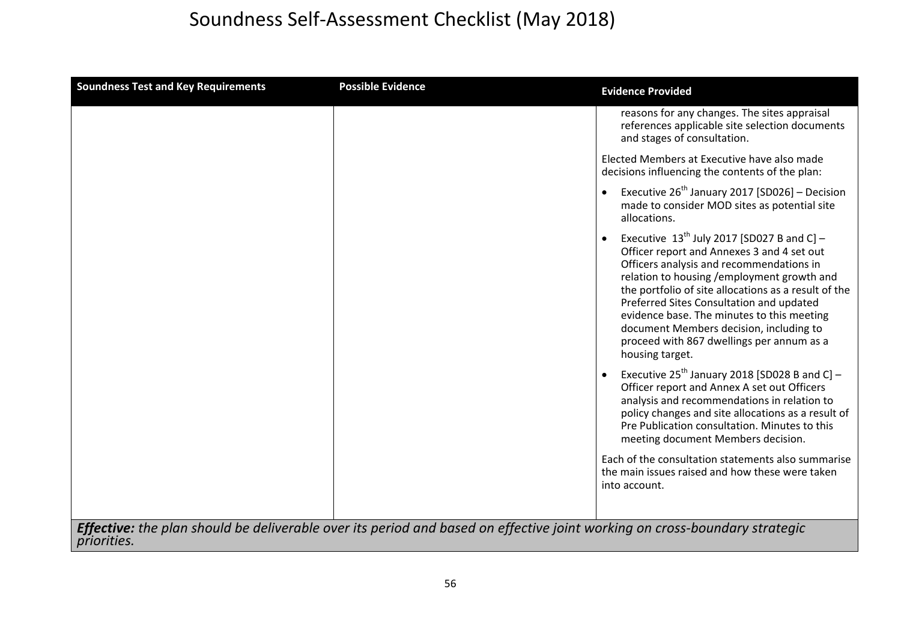| <b>Soundness Test and Key Requirements</b> | <b>Possible Evidence</b>                                                                                                   | <b>Evidence Provided</b>                                                                                                                                                                                                                                                                                                                                                                                                                             |
|--------------------------------------------|----------------------------------------------------------------------------------------------------------------------------|------------------------------------------------------------------------------------------------------------------------------------------------------------------------------------------------------------------------------------------------------------------------------------------------------------------------------------------------------------------------------------------------------------------------------------------------------|
|                                            |                                                                                                                            | reasons for any changes. The sites appraisal<br>references applicable site selection documents<br>and stages of consultation.                                                                                                                                                                                                                                                                                                                        |
|                                            |                                                                                                                            | Elected Members at Executive have also made<br>decisions influencing the contents of the plan:                                                                                                                                                                                                                                                                                                                                                       |
|                                            |                                                                                                                            | Executive $26^{th}$ January 2017 [SD026] - Decision<br>made to consider MOD sites as potential site<br>allocations.                                                                                                                                                                                                                                                                                                                                  |
|                                            |                                                                                                                            | Executive $13^{th}$ July 2017 [SD027 B and C] -<br>Officer report and Annexes 3 and 4 set out<br>Officers analysis and recommendations in<br>relation to housing /employment growth and<br>the portfolio of site allocations as a result of the<br>Preferred Sites Consultation and updated<br>evidence base. The minutes to this meeting<br>document Members decision, including to<br>proceed with 867 dwellings per annum as a<br>housing target. |
|                                            |                                                                                                                            | Executive $25^{th}$ January 2018 [SD028 B and C] –<br>Officer report and Annex A set out Officers<br>analysis and recommendations in relation to<br>policy changes and site allocations as a result of<br>Pre Publication consultation. Minutes to this<br>meeting document Members decision.                                                                                                                                                        |
|                                            |                                                                                                                            | Each of the consultation statements also summarise<br>the main issues raised and how these were taken<br>into account.                                                                                                                                                                                                                                                                                                                               |
| <i>priorities.</i>                         | Effective: the plan should be deliverable over its period and based on effective joint working on cross-boundary strategic |                                                                                                                                                                                                                                                                                                                                                                                                                                                      |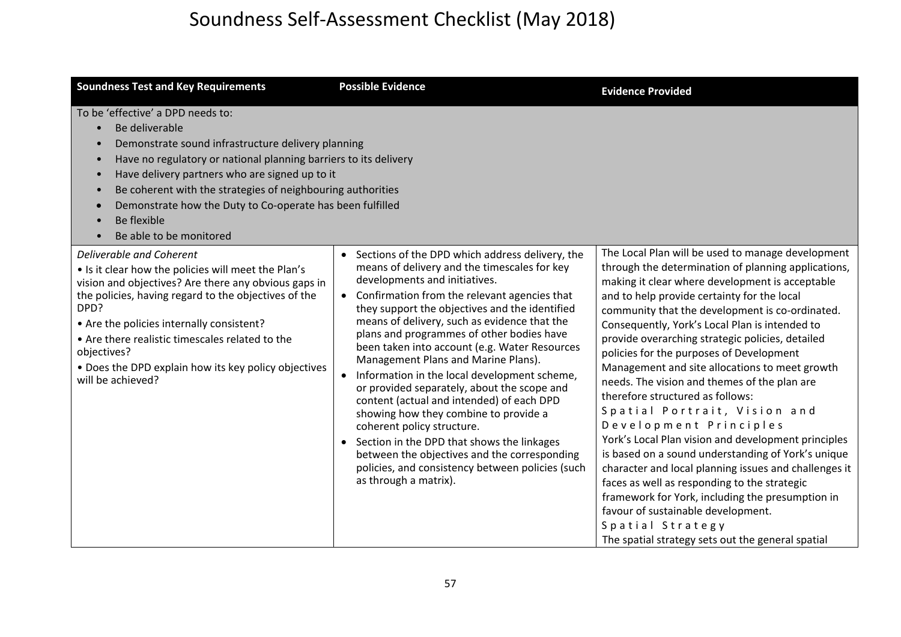| <b>Soundness Test and Key Requirements</b>                                                                                                                                                                                                                                                                                                                                                            | <b>Possible Evidence</b>                                                                                                                                                                                                                                                                                                                                                                                                                                                                                                                                                                                                                                                                                                                                                                                                      | <b>Evidence Provided</b>                                                                                                                                                                                                                                                                                                                                                                                                                                                                                                                                                                                                                                                                                                                                                                                                                                                                                                                                                                                 |
|-------------------------------------------------------------------------------------------------------------------------------------------------------------------------------------------------------------------------------------------------------------------------------------------------------------------------------------------------------------------------------------------------------|-------------------------------------------------------------------------------------------------------------------------------------------------------------------------------------------------------------------------------------------------------------------------------------------------------------------------------------------------------------------------------------------------------------------------------------------------------------------------------------------------------------------------------------------------------------------------------------------------------------------------------------------------------------------------------------------------------------------------------------------------------------------------------------------------------------------------------|----------------------------------------------------------------------------------------------------------------------------------------------------------------------------------------------------------------------------------------------------------------------------------------------------------------------------------------------------------------------------------------------------------------------------------------------------------------------------------------------------------------------------------------------------------------------------------------------------------------------------------------------------------------------------------------------------------------------------------------------------------------------------------------------------------------------------------------------------------------------------------------------------------------------------------------------------------------------------------------------------------|
| To be 'effective' a DPD needs to:<br>Be deliverable<br>Demonstrate sound infrastructure delivery planning<br>Have no regulatory or national planning barriers to its delivery<br>Have delivery partners who are signed up to it<br>Be coherent with the strategies of neighbouring authorities<br>Demonstrate how the Duty to Co-operate has been fulfilled<br>Be flexible<br>Be able to be monitored |                                                                                                                                                                                                                                                                                                                                                                                                                                                                                                                                                                                                                                                                                                                                                                                                                               |                                                                                                                                                                                                                                                                                                                                                                                                                                                                                                                                                                                                                                                                                                                                                                                                                                                                                                                                                                                                          |
| Deliverable and Coherent<br>. Is it clear how the policies will meet the Plan's<br>vision and objectives? Are there any obvious gaps in<br>the policies, having regard to the objectives of the<br>DPD?<br>• Are the policies internally consistent?<br>• Are there realistic timescales related to the<br>objectives?<br>• Does the DPD explain how its key policy objectives<br>will be achieved?   | • Sections of the DPD which address delivery, the<br>means of delivery and the timescales for key<br>developments and initiatives.<br>• Confirmation from the relevant agencies that<br>they support the objectives and the identified<br>means of delivery, such as evidence that the<br>plans and programmes of other bodies have<br>been taken into account (e.g. Water Resources<br>Management Plans and Marine Plans).<br>• Information in the local development scheme,<br>or provided separately, about the scope and<br>content (actual and intended) of each DPD<br>showing how they combine to provide a<br>coherent policy structure.<br>• Section in the DPD that shows the linkages<br>between the objectives and the corresponding<br>policies, and consistency between policies (such<br>as through a matrix). | The Local Plan will be used to manage development<br>through the determination of planning applications,<br>making it clear where development is acceptable<br>and to help provide certainty for the local<br>community that the development is co-ordinated.<br>Consequently, York's Local Plan is intended to<br>provide overarching strategic policies, detailed<br>policies for the purposes of Development<br>Management and site allocations to meet growth<br>needs. The vision and themes of the plan are<br>therefore structured as follows:<br>Spatial Portrait, Vision and<br>Development Principles<br>York's Local Plan vision and development principles<br>is based on a sound understanding of York's unique<br>character and local planning issues and challenges it<br>faces as well as responding to the strategic<br>framework for York, including the presumption in<br>favour of sustainable development.<br>Spatial Strategy<br>The spatial strategy sets out the general spatial |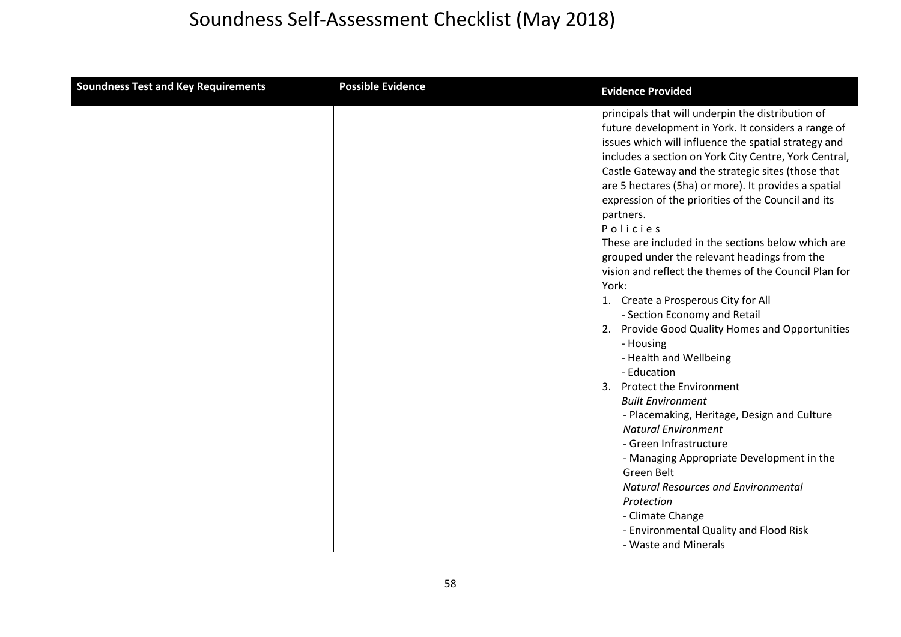| <b>Soundness Test and Key Requirements</b> | <b>Possible Evidence</b> | <b>Evidence Provided</b>                                                                                                                                                                                                                                                                                                                                                                                                                                                                                                                                                                                                                                                                                                                                                                                                                                                                                                                                                                                                                                                |
|--------------------------------------------|--------------------------|-------------------------------------------------------------------------------------------------------------------------------------------------------------------------------------------------------------------------------------------------------------------------------------------------------------------------------------------------------------------------------------------------------------------------------------------------------------------------------------------------------------------------------------------------------------------------------------------------------------------------------------------------------------------------------------------------------------------------------------------------------------------------------------------------------------------------------------------------------------------------------------------------------------------------------------------------------------------------------------------------------------------------------------------------------------------------|
|                                            |                          | principals that will underpin the distribution of<br>future development in York. It considers a range of<br>issues which will influence the spatial strategy and<br>includes a section on York City Centre, York Central,<br>Castle Gateway and the strategic sites (those that<br>are 5 hectares (5ha) or more). It provides a spatial<br>expression of the priorities of the Council and its<br>partners.<br>Policies<br>These are included in the sections below which are<br>grouped under the relevant headings from the<br>vision and reflect the themes of the Council Plan for<br>York:<br>1. Create a Prosperous City for All<br>- Section Economy and Retail<br>2. Provide Good Quality Homes and Opportunities<br>- Housing<br>- Health and Wellbeing<br>- Education<br>3. Protect the Environment<br><b>Built Environment</b><br>- Placemaking, Heritage, Design and Culture<br><b>Natural Environment</b><br>- Green Infrastructure<br>- Managing Appropriate Development in the<br>Green Belt<br><b>Natural Resources and Environmental</b><br>Protection |
|                                            |                          | - Climate Change<br>- Environmental Quality and Flood Risk                                                                                                                                                                                                                                                                                                                                                                                                                                                                                                                                                                                                                                                                                                                                                                                                                                                                                                                                                                                                              |
|                                            |                          | - Waste and Minerals                                                                                                                                                                                                                                                                                                                                                                                                                                                                                                                                                                                                                                                                                                                                                                                                                                                                                                                                                                                                                                                    |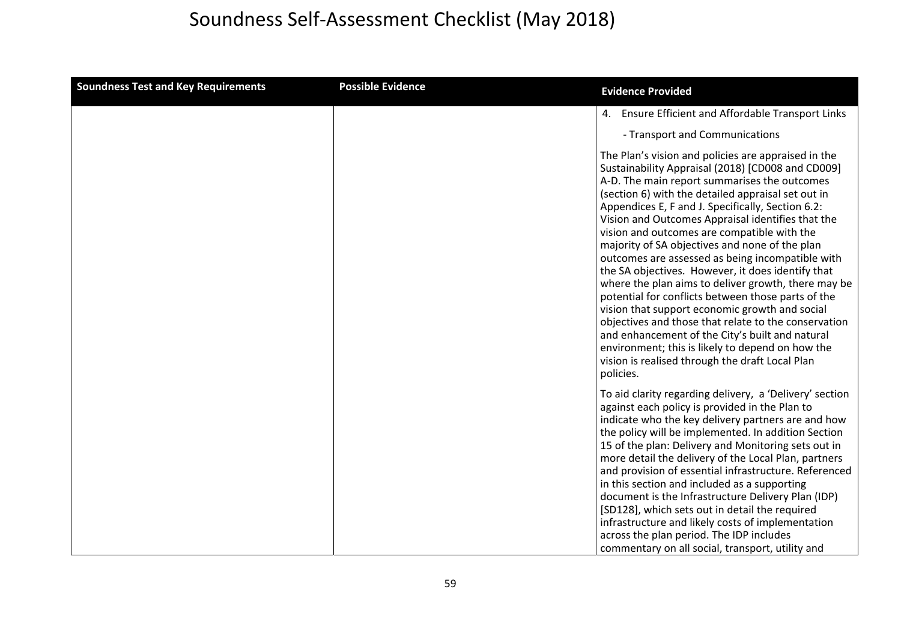| <b>Soundness Test and Key Requirements</b> | <b>Possible Evidence</b> | <b>Evidence Provided</b>                                                                                                                                                                                                                                                                                                                                                                                                                                                                                                                                                                                                                                                                                                                                                                                                                                                                                                         |
|--------------------------------------------|--------------------------|----------------------------------------------------------------------------------------------------------------------------------------------------------------------------------------------------------------------------------------------------------------------------------------------------------------------------------------------------------------------------------------------------------------------------------------------------------------------------------------------------------------------------------------------------------------------------------------------------------------------------------------------------------------------------------------------------------------------------------------------------------------------------------------------------------------------------------------------------------------------------------------------------------------------------------|
|                                            |                          | 4. Ensure Efficient and Affordable Transport Links<br>- Transport and Communications                                                                                                                                                                                                                                                                                                                                                                                                                                                                                                                                                                                                                                                                                                                                                                                                                                             |
|                                            |                          | The Plan's vision and policies are appraised in the<br>Sustainability Appraisal (2018) [CD008 and CD009]<br>A-D. The main report summarises the outcomes<br>(section 6) with the detailed appraisal set out in<br>Appendices E, F and J. Specifically, Section 6.2:<br>Vision and Outcomes Appraisal identifies that the<br>vision and outcomes are compatible with the<br>majority of SA objectives and none of the plan<br>outcomes are assessed as being incompatible with<br>the SA objectives. However, it does identify that<br>where the plan aims to deliver growth, there may be<br>potential for conflicts between those parts of the<br>vision that support economic growth and social<br>objectives and those that relate to the conservation<br>and enhancement of the City's built and natural<br>environment; this is likely to depend on how the<br>vision is realised through the draft Local Plan<br>policies. |
|                                            |                          | To aid clarity regarding delivery, a 'Delivery' section<br>against each policy is provided in the Plan to<br>indicate who the key delivery partners are and how<br>the policy will be implemented. In addition Section<br>15 of the plan: Delivery and Monitoring sets out in<br>more detail the delivery of the Local Plan, partners<br>and provision of essential infrastructure. Referenced<br>in this section and included as a supporting<br>document is the Infrastructure Delivery Plan (IDP)<br>[SD128], which sets out in detail the required<br>infrastructure and likely costs of implementation<br>across the plan period. The IDP includes<br>commentary on all social, transport, utility and                                                                                                                                                                                                                      |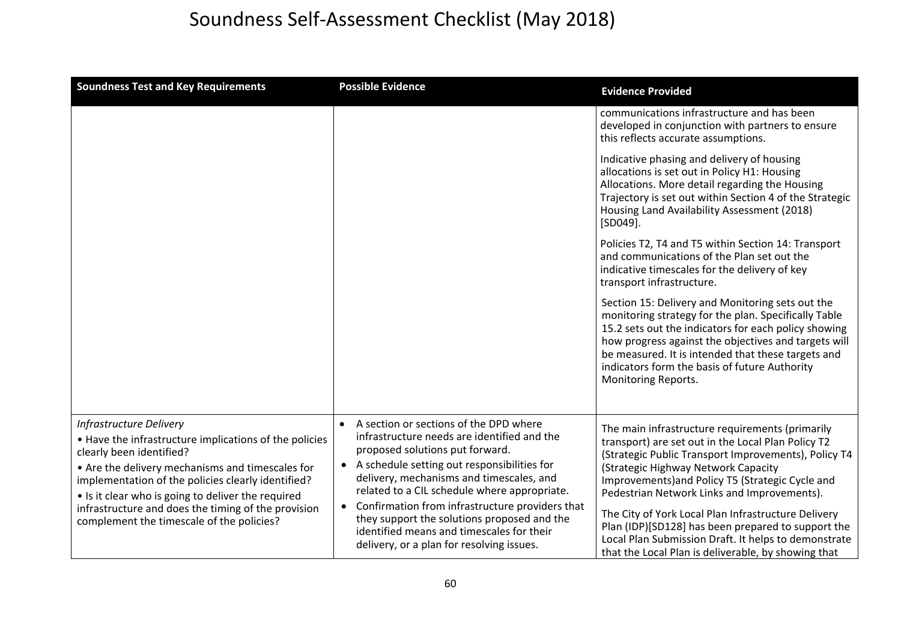| <b>Soundness Test and Key Requirements</b>                                                                                                                                                                                                                                                                                                                                               | <b>Possible Evidence</b>                                                                                                                                                                                                                                                                                                                                                                                                                                                         | <b>Evidence Provided</b>                                                                                                                                                                                                                                                                                                                                                                                                                                                                                                            |
|------------------------------------------------------------------------------------------------------------------------------------------------------------------------------------------------------------------------------------------------------------------------------------------------------------------------------------------------------------------------------------------|----------------------------------------------------------------------------------------------------------------------------------------------------------------------------------------------------------------------------------------------------------------------------------------------------------------------------------------------------------------------------------------------------------------------------------------------------------------------------------|-------------------------------------------------------------------------------------------------------------------------------------------------------------------------------------------------------------------------------------------------------------------------------------------------------------------------------------------------------------------------------------------------------------------------------------------------------------------------------------------------------------------------------------|
|                                                                                                                                                                                                                                                                                                                                                                                          |                                                                                                                                                                                                                                                                                                                                                                                                                                                                                  | communications infrastructure and has been<br>developed in conjunction with partners to ensure<br>this reflects accurate assumptions.                                                                                                                                                                                                                                                                                                                                                                                               |
|                                                                                                                                                                                                                                                                                                                                                                                          |                                                                                                                                                                                                                                                                                                                                                                                                                                                                                  | Indicative phasing and delivery of housing<br>allocations is set out in Policy H1: Housing<br>Allocations. More detail regarding the Housing<br>Trajectory is set out within Section 4 of the Strategic<br>Housing Land Availability Assessment (2018)<br>$[SD049]$ .                                                                                                                                                                                                                                                               |
|                                                                                                                                                                                                                                                                                                                                                                                          |                                                                                                                                                                                                                                                                                                                                                                                                                                                                                  | Policies T2, T4 and T5 within Section 14: Transport<br>and communications of the Plan set out the<br>indicative timescales for the delivery of key<br>transport infrastructure.                                                                                                                                                                                                                                                                                                                                                     |
|                                                                                                                                                                                                                                                                                                                                                                                          |                                                                                                                                                                                                                                                                                                                                                                                                                                                                                  | Section 15: Delivery and Monitoring sets out the<br>monitoring strategy for the plan. Specifically Table<br>15.2 sets out the indicators for each policy showing<br>how progress against the objectives and targets will<br>be measured. It is intended that these targets and<br>indicators form the basis of future Authority<br>Monitoring Reports.                                                                                                                                                                              |
| <b>Infrastructure Delivery</b><br>• Have the infrastructure implications of the policies<br>clearly been identified?<br>• Are the delivery mechanisms and timescales for<br>implementation of the policies clearly identified?<br>• Is it clear who is going to deliver the required<br>infrastructure and does the timing of the provision<br>complement the timescale of the policies? | • A section or sections of the DPD where<br>infrastructure needs are identified and the<br>proposed solutions put forward.<br>• A schedule setting out responsibilities for<br>delivery, mechanisms and timescales, and<br>related to a CIL schedule where appropriate.<br>Confirmation from infrastructure providers that<br>$\bullet$<br>they support the solutions proposed and the<br>identified means and timescales for their<br>delivery, or a plan for resolving issues. | The main infrastructure requirements (primarily<br>transport) are set out in the Local Plan Policy T2<br>(Strategic Public Transport Improvements), Policy T4<br>(Strategic Highway Network Capacity<br>Improvements) and Policy T5 (Strategic Cycle and<br>Pedestrian Network Links and Improvements).<br>The City of York Local Plan Infrastructure Delivery<br>Plan (IDP)[SD128] has been prepared to support the<br>Local Plan Submission Draft. It helps to demonstrate<br>that the Local Plan is deliverable, by showing that |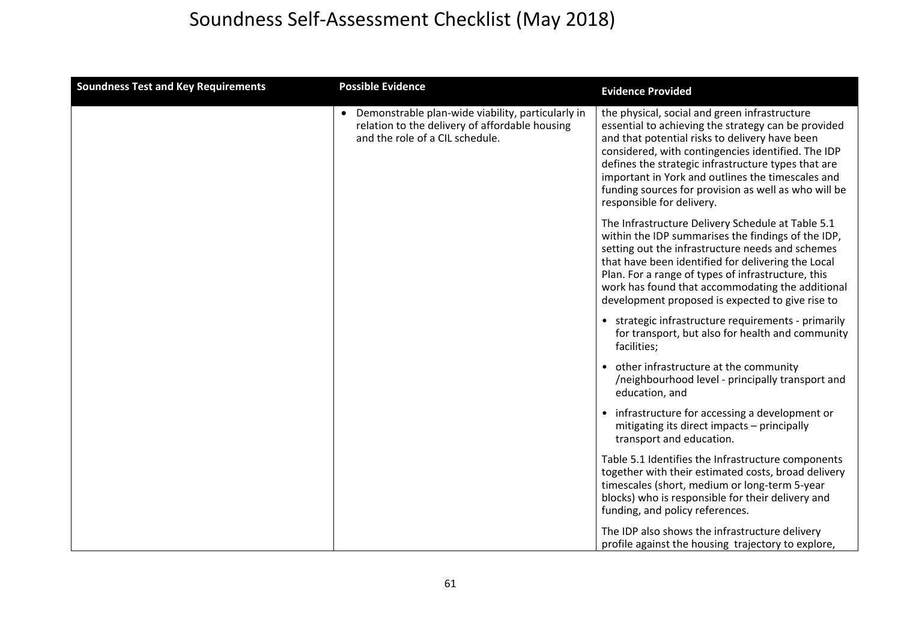| <b>Soundness Test and Key Requirements</b> | <b>Possible Evidence</b>                                                                                                                 | <b>Evidence Provided</b>                                                                                                                                                                                                                                                                                                                                                                                      |
|--------------------------------------------|------------------------------------------------------------------------------------------------------------------------------------------|---------------------------------------------------------------------------------------------------------------------------------------------------------------------------------------------------------------------------------------------------------------------------------------------------------------------------------------------------------------------------------------------------------------|
|                                            | • Demonstrable plan-wide viability, particularly in<br>relation to the delivery of affordable housing<br>and the role of a CIL schedule. | the physical, social and green infrastructure<br>essential to achieving the strategy can be provided<br>and that potential risks to delivery have been<br>considered, with contingencies identified. The IDP<br>defines the strategic infrastructure types that are<br>important in York and outlines the timescales and<br>funding sources for provision as well as who will be<br>responsible for delivery. |
|                                            |                                                                                                                                          | The Infrastructure Delivery Schedule at Table 5.1<br>within the IDP summarises the findings of the IDP,<br>setting out the infrastructure needs and schemes<br>that have been identified for delivering the Local<br>Plan. For a range of types of infrastructure, this<br>work has found that accommodating the additional<br>development proposed is expected to give rise to                               |
|                                            |                                                                                                                                          | • strategic infrastructure requirements - primarily<br>for transport, but also for health and community<br>facilities;                                                                                                                                                                                                                                                                                        |
|                                            |                                                                                                                                          | • other infrastructure at the community<br>/neighbourhood level - principally transport and<br>education, and                                                                                                                                                                                                                                                                                                 |
|                                            |                                                                                                                                          | • infrastructure for accessing a development or<br>mitigating its direct impacts - principally<br>transport and education.                                                                                                                                                                                                                                                                                    |
|                                            |                                                                                                                                          | Table 5.1 Identifies the Infrastructure components<br>together with their estimated costs, broad delivery<br>timescales (short, medium or long-term 5-year<br>blocks) who is responsible for their delivery and<br>funding, and policy references.                                                                                                                                                            |
|                                            |                                                                                                                                          | The IDP also shows the infrastructure delivery<br>profile against the housing trajectory to explore,                                                                                                                                                                                                                                                                                                          |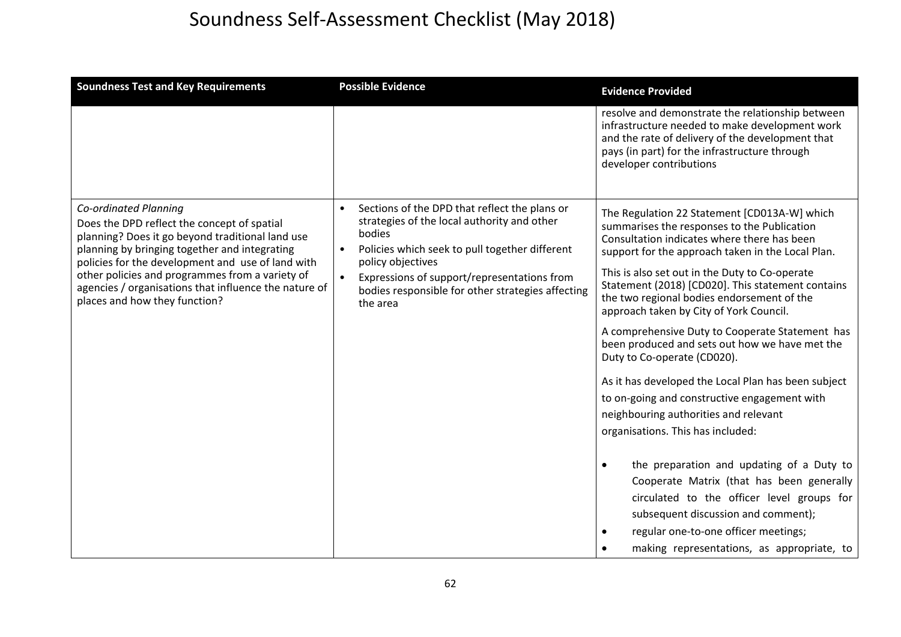| <b>Soundness Test and Key Requirements</b>                                                                                                                                                                                                                                                                                                                                  | <b>Possible Evidence</b>                                                                                                                                                                                                                                                                                                | <b>Evidence Provided</b>                                                                                                                                                                                                                                                                                                                                                                                                                                                                                                                                                                                                                                                                                                                                                                                                                                                                                                                                                                                   |
|-----------------------------------------------------------------------------------------------------------------------------------------------------------------------------------------------------------------------------------------------------------------------------------------------------------------------------------------------------------------------------|-------------------------------------------------------------------------------------------------------------------------------------------------------------------------------------------------------------------------------------------------------------------------------------------------------------------------|------------------------------------------------------------------------------------------------------------------------------------------------------------------------------------------------------------------------------------------------------------------------------------------------------------------------------------------------------------------------------------------------------------------------------------------------------------------------------------------------------------------------------------------------------------------------------------------------------------------------------------------------------------------------------------------------------------------------------------------------------------------------------------------------------------------------------------------------------------------------------------------------------------------------------------------------------------------------------------------------------------|
|                                                                                                                                                                                                                                                                                                                                                                             |                                                                                                                                                                                                                                                                                                                         | resolve and demonstrate the relationship between<br>infrastructure needed to make development work<br>and the rate of delivery of the development that<br>pays (in part) for the infrastructure through<br>developer contributions                                                                                                                                                                                                                                                                                                                                                                                                                                                                                                                                                                                                                                                                                                                                                                         |
| Co-ordinated Planning<br>Does the DPD reflect the concept of spatial<br>planning? Does it go beyond traditional land use<br>planning by bringing together and integrating<br>policies for the development and use of land with<br>other policies and programmes from a variety of<br>agencies / organisations that influence the nature of<br>places and how they function? | Sections of the DPD that reflect the plans or<br>strategies of the local authority and other<br>bodies<br>Policies which seek to pull together different<br>$\bullet$<br>policy objectives<br>Expressions of support/representations from<br>$\bullet$<br>bodies responsible for other strategies affecting<br>the area | The Regulation 22 Statement [CD013A-W] which<br>summarises the responses to the Publication<br>Consultation indicates where there has been<br>support for the approach taken in the Local Plan.<br>This is also set out in the Duty to Co-operate<br>Statement (2018) [CD020]. This statement contains<br>the two regional bodies endorsement of the<br>approach taken by City of York Council.<br>A comprehensive Duty to Cooperate Statement has<br>been produced and sets out how we have met the<br>Duty to Co-operate (CD020).<br>As it has developed the Local Plan has been subject<br>to on-going and constructive engagement with<br>neighbouring authorities and relevant<br>organisations. This has included:<br>the preparation and updating of a Duty to<br>$\bullet$<br>Cooperate Matrix (that has been generally<br>circulated to the officer level groups for<br>subsequent discussion and comment);<br>regular one-to-one officer meetings;<br>making representations, as appropriate, to |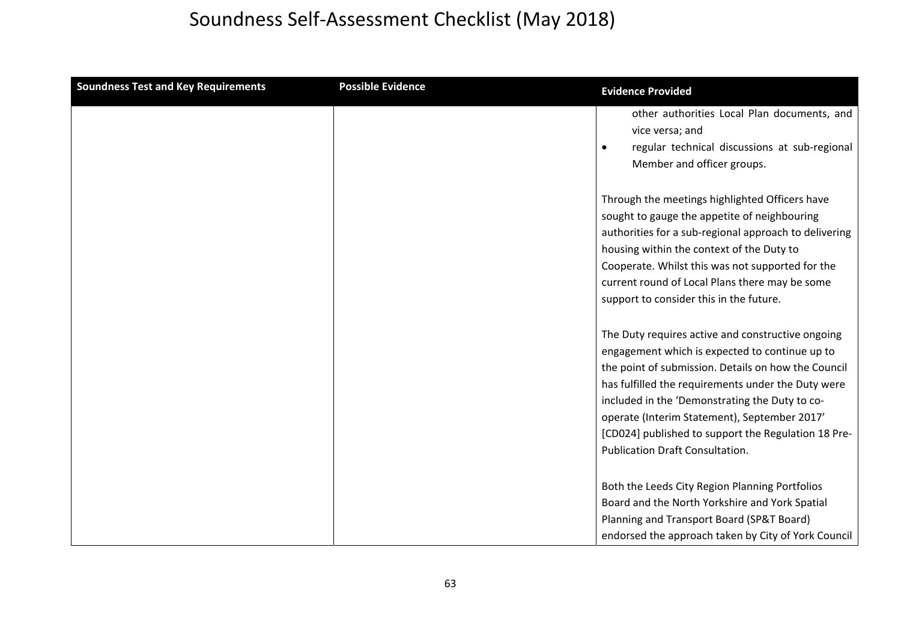| <b>Soundness Test and Key Requirements</b> | <b>Possible Evidence</b> | <b>Evidence Provided</b>                                                                                                                                                                                                                                                                                                                                                                                            |
|--------------------------------------------|--------------------------|---------------------------------------------------------------------------------------------------------------------------------------------------------------------------------------------------------------------------------------------------------------------------------------------------------------------------------------------------------------------------------------------------------------------|
|                                            |                          | other authorities Local Plan documents, and<br>vice versa; and<br>regular technical discussions at sub-regional<br>$\bullet$<br>Member and officer groups.                                                                                                                                                                                                                                                          |
|                                            |                          | Through the meetings highlighted Officers have<br>sought to gauge the appetite of neighbouring<br>authorities for a sub-regional approach to delivering<br>housing within the context of the Duty to<br>Cooperate. Whilst this was not supported for the<br>current round of Local Plans there may be some<br>support to consider this in the future.                                                               |
|                                            |                          | The Duty requires active and constructive ongoing<br>engagement which is expected to continue up to<br>the point of submission. Details on how the Council<br>has fulfilled the requirements under the Duty were<br>included in the 'Demonstrating the Duty to co-<br>operate (Interim Statement), September 2017'<br>[CD024] published to support the Regulation 18 Pre-<br><b>Publication Draft Consultation.</b> |
|                                            |                          | Both the Leeds City Region Planning Portfolios<br>Board and the North Yorkshire and York Spatial<br>Planning and Transport Board (SP&T Board)<br>endorsed the approach taken by City of York Council                                                                                                                                                                                                                |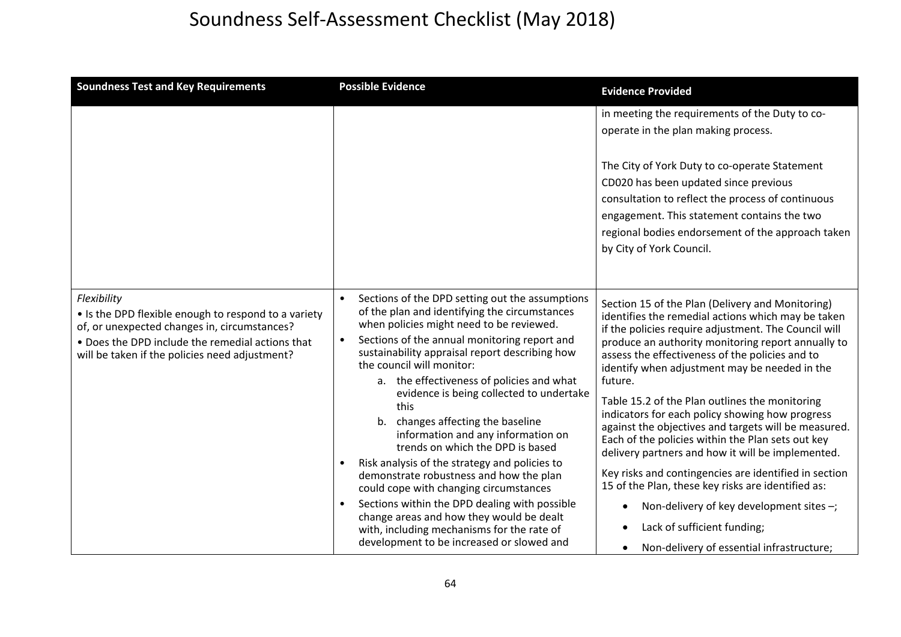| <b>Soundness Test and Key Requirements</b>                                                                                                                                                                                | <b>Possible Evidence</b>                                                                                                                                                                                                                                                                                                                                                                                                                                                                                                                                                                                                                                                                                                                                                                                                  | <b>Evidence Provided</b>                                                                                                                                                                                                                                                                                                                                                                                                                                                                                                                                                                                                                                                                                                                                                                                                                                                    |
|---------------------------------------------------------------------------------------------------------------------------------------------------------------------------------------------------------------------------|---------------------------------------------------------------------------------------------------------------------------------------------------------------------------------------------------------------------------------------------------------------------------------------------------------------------------------------------------------------------------------------------------------------------------------------------------------------------------------------------------------------------------------------------------------------------------------------------------------------------------------------------------------------------------------------------------------------------------------------------------------------------------------------------------------------------------|-----------------------------------------------------------------------------------------------------------------------------------------------------------------------------------------------------------------------------------------------------------------------------------------------------------------------------------------------------------------------------------------------------------------------------------------------------------------------------------------------------------------------------------------------------------------------------------------------------------------------------------------------------------------------------------------------------------------------------------------------------------------------------------------------------------------------------------------------------------------------------|
|                                                                                                                                                                                                                           |                                                                                                                                                                                                                                                                                                                                                                                                                                                                                                                                                                                                                                                                                                                                                                                                                           | in meeting the requirements of the Duty to co-<br>operate in the plan making process.<br>The City of York Duty to co-operate Statement<br>CD020 has been updated since previous<br>consultation to reflect the process of continuous<br>engagement. This statement contains the two<br>regional bodies endorsement of the approach taken<br>by City of York Council.                                                                                                                                                                                                                                                                                                                                                                                                                                                                                                        |
| Flexibility<br>• Is the DPD flexible enough to respond to a variety<br>of, or unexpected changes in, circumstances?<br>• Does the DPD include the remedial actions that<br>will be taken if the policies need adjustment? | Sections of the DPD setting out the assumptions<br>of the plan and identifying the circumstances<br>when policies might need to be reviewed.<br>Sections of the annual monitoring report and<br>sustainability appraisal report describing how<br>the council will monitor:<br>a. the effectiveness of policies and what<br>evidence is being collected to undertake<br>this<br>b. changes affecting the baseline<br>information and any information on<br>trends on which the DPD is based<br>Risk analysis of the strategy and policies to<br>demonstrate robustness and how the plan<br>could cope with changing circumstances<br>Sections within the DPD dealing with possible<br>change areas and how they would be dealt<br>with, including mechanisms for the rate of<br>development to be increased or slowed and | Section 15 of the Plan (Delivery and Monitoring)<br>identifies the remedial actions which may be taken<br>if the policies require adjustment. The Council will<br>produce an authority monitoring report annually to<br>assess the effectiveness of the policies and to<br>identify when adjustment may be needed in the<br>future.<br>Table 15.2 of the Plan outlines the monitoring<br>indicators for each policy showing how progress<br>against the objectives and targets will be measured.<br>Each of the policies within the Plan sets out key<br>delivery partners and how it will be implemented.<br>Key risks and contingencies are identified in section<br>15 of the Plan, these key risks are identified as:<br>Non-delivery of key development sites -;<br>$\bullet$<br>Lack of sufficient funding;<br>$\bullet$<br>Non-delivery of essential infrastructure; |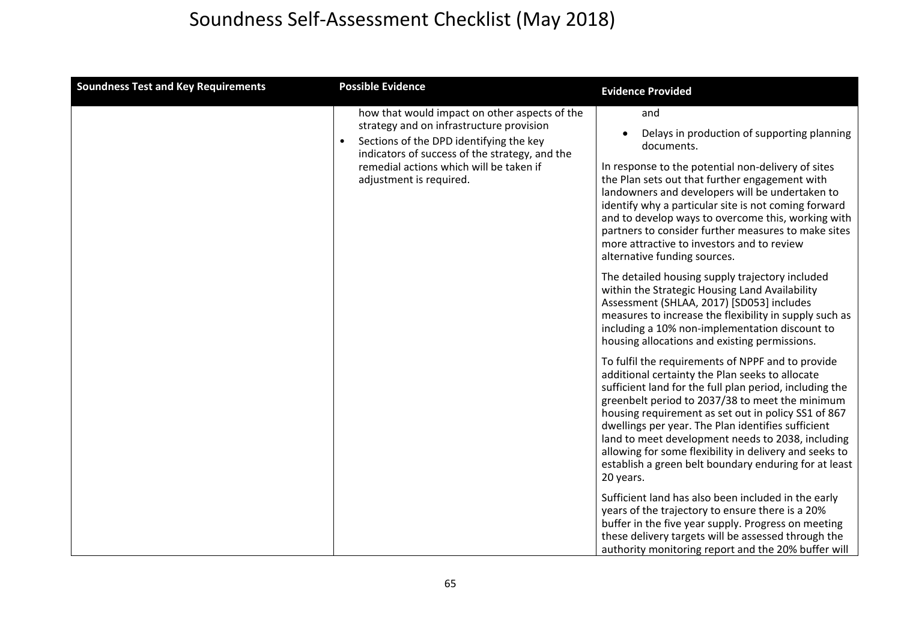| <b>Soundness Test and Key Requirements</b> | <b>Possible Evidence</b>                                                                                                                                                               | <b>Evidence Provided</b>                                                                                                                                                                                                                                                                                                                                                                                                                                                                                             |
|--------------------------------------------|----------------------------------------------------------------------------------------------------------------------------------------------------------------------------------------|----------------------------------------------------------------------------------------------------------------------------------------------------------------------------------------------------------------------------------------------------------------------------------------------------------------------------------------------------------------------------------------------------------------------------------------------------------------------------------------------------------------------|
|                                            | how that would impact on other aspects of the<br>strategy and on infrastructure provision<br>Sections of the DPD identifying the key<br>indicators of success of the strategy, and the | and<br>Delays in production of supporting planning<br>documents.                                                                                                                                                                                                                                                                                                                                                                                                                                                     |
|                                            | remedial actions which will be taken if<br>adjustment is required.                                                                                                                     | In response to the potential non-delivery of sites<br>the Plan sets out that further engagement with<br>landowners and developers will be undertaken to<br>identify why a particular site is not coming forward<br>and to develop ways to overcome this, working with<br>partners to consider further measures to make sites<br>more attractive to investors and to review<br>alternative funding sources.                                                                                                           |
|                                            |                                                                                                                                                                                        | The detailed housing supply trajectory included<br>within the Strategic Housing Land Availability<br>Assessment (SHLAA, 2017) [SD053] includes<br>measures to increase the flexibility in supply such as<br>including a 10% non-implementation discount to<br>housing allocations and existing permissions.                                                                                                                                                                                                          |
|                                            |                                                                                                                                                                                        | To fulfil the requirements of NPPF and to provide<br>additional certainty the Plan seeks to allocate<br>sufficient land for the full plan period, including the<br>greenbelt period to 2037/38 to meet the minimum<br>housing requirement as set out in policy SS1 of 867<br>dwellings per year. The Plan identifies sufficient<br>land to meet development needs to 2038, including<br>allowing for some flexibility in delivery and seeks to<br>establish a green belt boundary enduring for at least<br>20 years. |
|                                            |                                                                                                                                                                                        | Sufficient land has also been included in the early<br>years of the trajectory to ensure there is a 20%<br>buffer in the five year supply. Progress on meeting<br>these delivery targets will be assessed through the<br>authority monitoring report and the 20% buffer will                                                                                                                                                                                                                                         |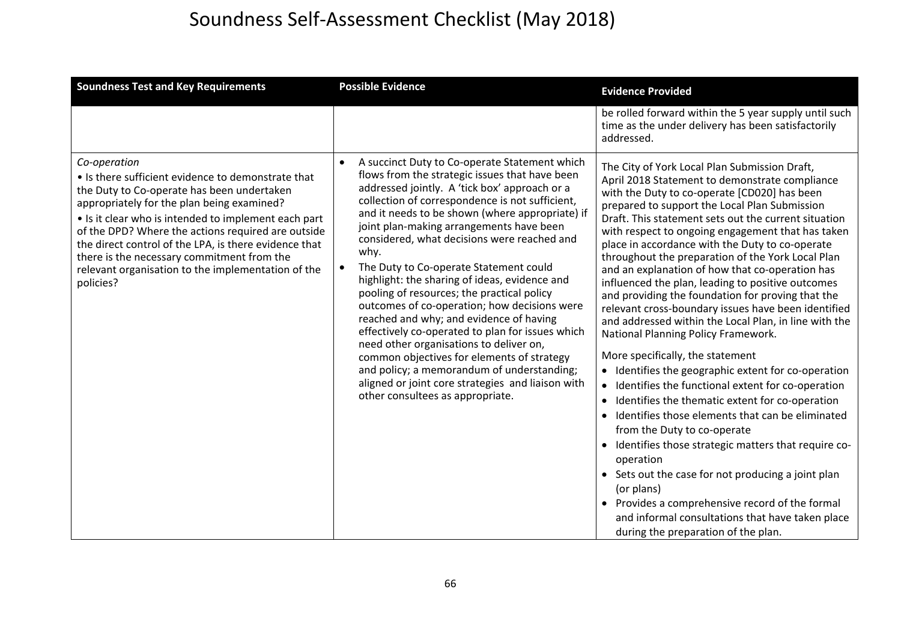| <b>Soundness Test and Key Requirements</b>                                                                                                                                                                                                                                                                                                                                                                                                             | <b>Possible Evidence</b>                                                                                                                                                                                                                                                                                                                                                                                                                                                                                                                                                                                                                                                                                                                                                                                                                                                          | <b>Evidence Provided</b>                                                                                                                                                                                                                                                                                                                                                                                                                                                                                                                                                                                                                                                                                                                                                                                                                                                                                                                                                                                                                                                                                                                                                                                                                                                                                                                                                |
|--------------------------------------------------------------------------------------------------------------------------------------------------------------------------------------------------------------------------------------------------------------------------------------------------------------------------------------------------------------------------------------------------------------------------------------------------------|-----------------------------------------------------------------------------------------------------------------------------------------------------------------------------------------------------------------------------------------------------------------------------------------------------------------------------------------------------------------------------------------------------------------------------------------------------------------------------------------------------------------------------------------------------------------------------------------------------------------------------------------------------------------------------------------------------------------------------------------------------------------------------------------------------------------------------------------------------------------------------------|-------------------------------------------------------------------------------------------------------------------------------------------------------------------------------------------------------------------------------------------------------------------------------------------------------------------------------------------------------------------------------------------------------------------------------------------------------------------------------------------------------------------------------------------------------------------------------------------------------------------------------------------------------------------------------------------------------------------------------------------------------------------------------------------------------------------------------------------------------------------------------------------------------------------------------------------------------------------------------------------------------------------------------------------------------------------------------------------------------------------------------------------------------------------------------------------------------------------------------------------------------------------------------------------------------------------------------------------------------------------------|
|                                                                                                                                                                                                                                                                                                                                                                                                                                                        |                                                                                                                                                                                                                                                                                                                                                                                                                                                                                                                                                                                                                                                                                                                                                                                                                                                                                   | be rolled forward within the 5 year supply until such<br>time as the under delivery has been satisfactorily<br>addressed.                                                                                                                                                                                                                                                                                                                                                                                                                                                                                                                                                                                                                                                                                                                                                                                                                                                                                                                                                                                                                                                                                                                                                                                                                                               |
| Co-operation<br>• Is there sufficient evidence to demonstrate that<br>the Duty to Co-operate has been undertaken<br>appropriately for the plan being examined?<br>• Is it clear who is intended to implement each part<br>of the DPD? Where the actions required are outside<br>the direct control of the LPA, is there evidence that<br>there is the necessary commitment from the<br>relevant organisation to the implementation of the<br>policies? | A succinct Duty to Co-operate Statement which<br>flows from the strategic issues that have been<br>addressed jointly. A 'tick box' approach or a<br>collection of correspondence is not sufficient,<br>and it needs to be shown (where appropriate) if<br>joint plan-making arrangements have been<br>considered, what decisions were reached and<br>why.<br>The Duty to Co-operate Statement could<br>highlight: the sharing of ideas, evidence and<br>pooling of resources; the practical policy<br>outcomes of co-operation; how decisions were<br>reached and why; and evidence of having<br>effectively co-operated to plan for issues which<br>need other organisations to deliver on,<br>common objectives for elements of strategy<br>and policy; a memorandum of understanding;<br>aligned or joint core strategies and liaison with<br>other consultees as appropriate. | The City of York Local Plan Submission Draft,<br>April 2018 Statement to demonstrate compliance<br>with the Duty to co-operate [CD020] has been<br>prepared to support the Local Plan Submission<br>Draft. This statement sets out the current situation<br>with respect to ongoing engagement that has taken<br>place in accordance with the Duty to co-operate<br>throughout the preparation of the York Local Plan<br>and an explanation of how that co-operation has<br>influenced the plan, leading to positive outcomes<br>and providing the foundation for proving that the<br>relevant cross-boundary issues have been identified<br>and addressed within the Local Plan, in line with the<br>National Planning Policy Framework.<br>More specifically, the statement<br>• Identifies the geographic extent for co-operation<br>Identifies the functional extent for co-operation<br>$\bullet$<br>Identifies the thematic extent for co-operation<br>$\bullet$<br>Identifies those elements that can be eliminated<br>$\bullet$<br>from the Duty to co-operate<br>Identifies those strategic matters that require co-<br>$\bullet$<br>operation<br>• Sets out the case for not producing a joint plan<br>(or plans)<br>Provides a comprehensive record of the formal<br>and informal consultations that have taken place<br>during the preparation of the plan. |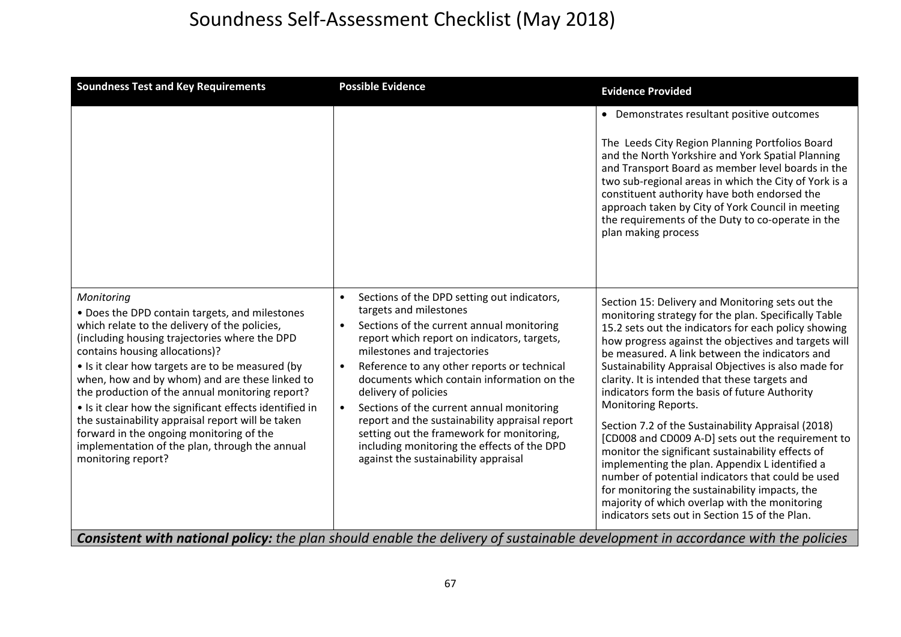| <b>Soundness Test and Key Requirements</b>                                                                                                                                                                                                                                                                                                                                                                                                                                                                                                                                                    | <b>Possible Evidence</b>                                                                                                                                                                                                                                                                                                                                                                                                                                                                                                                                                                                                                                                                                                          | <b>Evidence Provided</b>                                                                                                                                                                                                                                                                                                                                                                                                                                                                                                                                                                                                                                                                                                                                                                                                                                                                 |
|-----------------------------------------------------------------------------------------------------------------------------------------------------------------------------------------------------------------------------------------------------------------------------------------------------------------------------------------------------------------------------------------------------------------------------------------------------------------------------------------------------------------------------------------------------------------------------------------------|-----------------------------------------------------------------------------------------------------------------------------------------------------------------------------------------------------------------------------------------------------------------------------------------------------------------------------------------------------------------------------------------------------------------------------------------------------------------------------------------------------------------------------------------------------------------------------------------------------------------------------------------------------------------------------------------------------------------------------------|------------------------------------------------------------------------------------------------------------------------------------------------------------------------------------------------------------------------------------------------------------------------------------------------------------------------------------------------------------------------------------------------------------------------------------------------------------------------------------------------------------------------------------------------------------------------------------------------------------------------------------------------------------------------------------------------------------------------------------------------------------------------------------------------------------------------------------------------------------------------------------------|
|                                                                                                                                                                                                                                                                                                                                                                                                                                                                                                                                                                                               |                                                                                                                                                                                                                                                                                                                                                                                                                                                                                                                                                                                                                                                                                                                                   | • Demonstrates resultant positive outcomes<br>The Leeds City Region Planning Portfolios Board<br>and the North Yorkshire and York Spatial Planning<br>and Transport Board as member level boards in the<br>two sub-regional areas in which the City of York is a<br>constituent authority have both endorsed the<br>approach taken by City of York Council in meeting<br>the requirements of the Duty to co-operate in the<br>plan making process                                                                                                                                                                                                                                                                                                                                                                                                                                        |
| Monitoring<br>• Does the DPD contain targets, and milestones<br>which relate to the delivery of the policies,<br>(including housing trajectories where the DPD<br>contains housing allocations)?<br>• Is it clear how targets are to be measured (by<br>when, how and by whom) and are these linked to<br>the production of the annual monitoring report?<br>• Is it clear how the significant effects identified in<br>the sustainability appraisal report will be taken<br>forward in the ongoing monitoring of the<br>implementation of the plan, through the annual<br>monitoring report? | Sections of the DPD setting out indicators,<br>targets and milestones<br>Sections of the current annual monitoring<br>$\bullet$<br>report which report on indicators, targets,<br>milestones and trajectories<br>Reference to any other reports or technical<br>$\bullet$<br>documents which contain information on the<br>delivery of policies<br>Sections of the current annual monitoring<br>$\bullet$<br>report and the sustainability appraisal report<br>setting out the framework for monitoring,<br>including monitoring the effects of the DPD<br>against the sustainability appraisal<br>Consistent with national valieu the plan chould enable the delivery of systematele development in acceptance with the neligies | Section 15: Delivery and Monitoring sets out the<br>monitoring strategy for the plan. Specifically Table<br>15.2 sets out the indicators for each policy showing<br>how progress against the objectives and targets will<br>be measured. A link between the indicators and<br>Sustainability Appraisal Objectives is also made for<br>clarity. It is intended that these targets and<br>indicators form the basis of future Authority<br>Monitoring Reports.<br>Section 7.2 of the Sustainability Appraisal (2018)<br>[CD008 and CD009 A-D] sets out the requirement to<br>monitor the significant sustainability effects of<br>implementing the plan. Appendix L identified a<br>number of potential indicators that could be used<br>for monitoring the sustainability impacts, the<br>majority of which overlap with the monitoring<br>indicators sets out in Section 15 of the Plan. |

**Consistent with national policy:** the plan should enable the delivery of sustainable development in accordance with the policies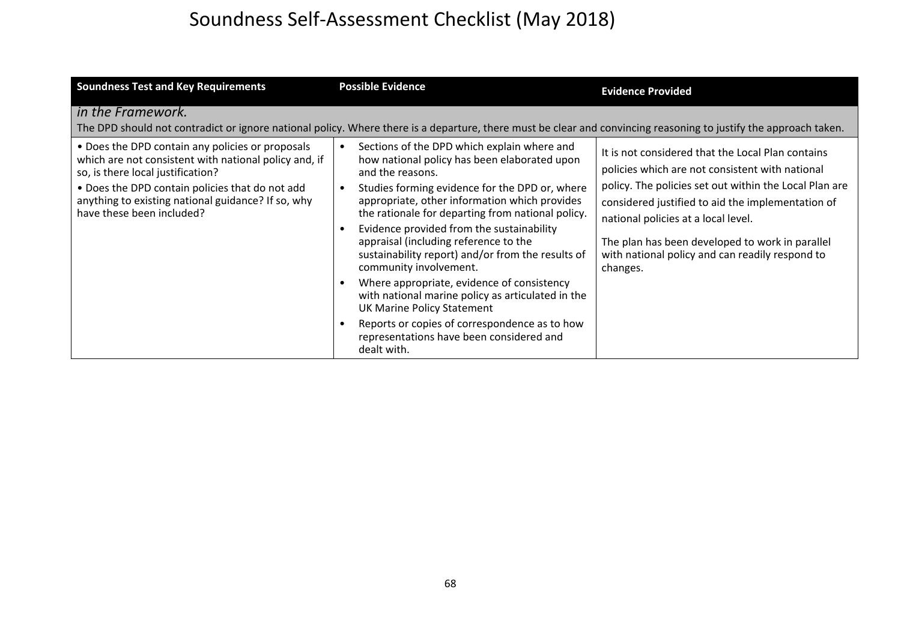| <b>Soundness Test and Key Requirements</b>                                                                                                                                                                                                                                           | <b>Possible Evidence</b>                                                                                                                                                                                                                                                                                                                                                                                                                                                                                                                                                                                                                                                                         | <b>Evidence Provided</b>                                                                                                                                                                                                                                                                                                                                                     |
|--------------------------------------------------------------------------------------------------------------------------------------------------------------------------------------------------------------------------------------------------------------------------------------|--------------------------------------------------------------------------------------------------------------------------------------------------------------------------------------------------------------------------------------------------------------------------------------------------------------------------------------------------------------------------------------------------------------------------------------------------------------------------------------------------------------------------------------------------------------------------------------------------------------------------------------------------------------------------------------------------|------------------------------------------------------------------------------------------------------------------------------------------------------------------------------------------------------------------------------------------------------------------------------------------------------------------------------------------------------------------------------|
| in the Framework.                                                                                                                                                                                                                                                                    | The DPD should not contradict or ignore national policy. Where there is a departure, there must be clear and convincing reasoning to justify the approach taken.                                                                                                                                                                                                                                                                                                                                                                                                                                                                                                                                 |                                                                                                                                                                                                                                                                                                                                                                              |
| • Does the DPD contain any policies or proposals<br>which are not consistent with national policy and, if<br>so, is there local justification?<br>• Does the DPD contain policies that do not add<br>anything to existing national guidance? If so, why<br>have these been included? | Sections of the DPD which explain where and<br>how national policy has been elaborated upon<br>and the reasons.<br>Studies forming evidence for the DPD or, where<br>appropriate, other information which provides<br>the rationale for departing from national policy.<br>Evidence provided from the sustainability<br>appraisal (including reference to the<br>sustainability report) and/or from the results of<br>community involvement.<br>Where appropriate, evidence of consistency<br>with national marine policy as articulated in the<br><b>UK Marine Policy Statement</b><br>Reports or copies of correspondence as to how<br>representations have been considered and<br>dealt with. | It is not considered that the Local Plan contains<br>policies which are not consistent with national<br>policy. The policies set out within the Local Plan are<br>considered justified to aid the implementation of<br>national policies at a local level.<br>The plan has been developed to work in parallel<br>with national policy and can readily respond to<br>changes. |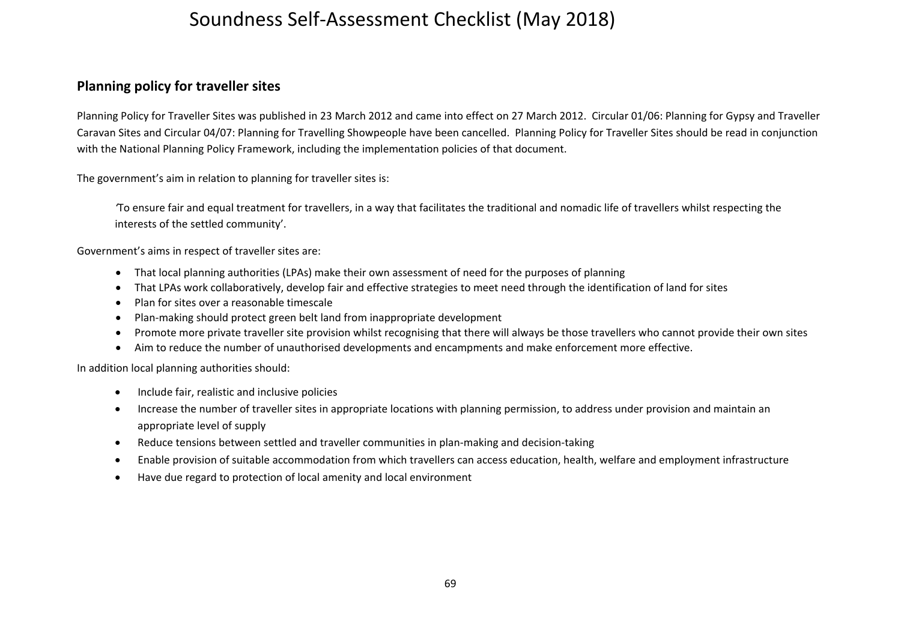#### **Planning policy for traveller sites**

Planning Policy for Traveller Sites was published in 23 March 2012 and came into effect on 27 March 2012. Circular 01/06: Planning for Gypsy and Traveller Caravan Sites and Circular 04/07: Planning for Travelling Showpeople have been cancelled. Planning Policy for Traveller Sites should be read in conjunction with the National Planning Policy Framework, including the implementation policies of that document.

The government's aim in relation to planning for traveller sites is:

*'*To ensure fair and equal treatment for travellers, in <sup>a</sup> way that facilitates the traditional and nomadic life of travellers whilst respecting the interests of the settled community'.

Government's aims in respect of traveller sites are:

- $\bullet$ That local planning authorities (LPAs) make their own assessment of need for the purposes of planning
- $\bullet$ That LPAs work collaboratively, develop fair and effective strategies to meet need through the identification of land for sites
- $\bullet$ Plan for sites over <sup>a</sup> reasonable timescale
- $\bullet$ Plan‐making should protect green belt land from inappropriate development
- $\bullet$ • Promote more private traveller site provision whilst recognising that there will always be those travellers who cannot provide their own sites
- $\bullet$ Aim to reduce the number of unauthorised developments and encampments and make enforcement more effective.

In addition local planning authorities should:

- $\bullet$ **•** Include fair, realistic and inclusive policies
- $\bullet$  Increase the number of traveller sites in appropriate locations with planning permission, to address under provision and maintain an appropriate level of supply
- $\bullet$ ● Reduce tensions between settled and traveller communities in plan-making and decision-taking
- $\bullet$ Enable provision of suitable accommodation from which travellers can access education, health, welfare and employment infrastructure
- $\bullet$ Have due regard to protection of local amenity and local environment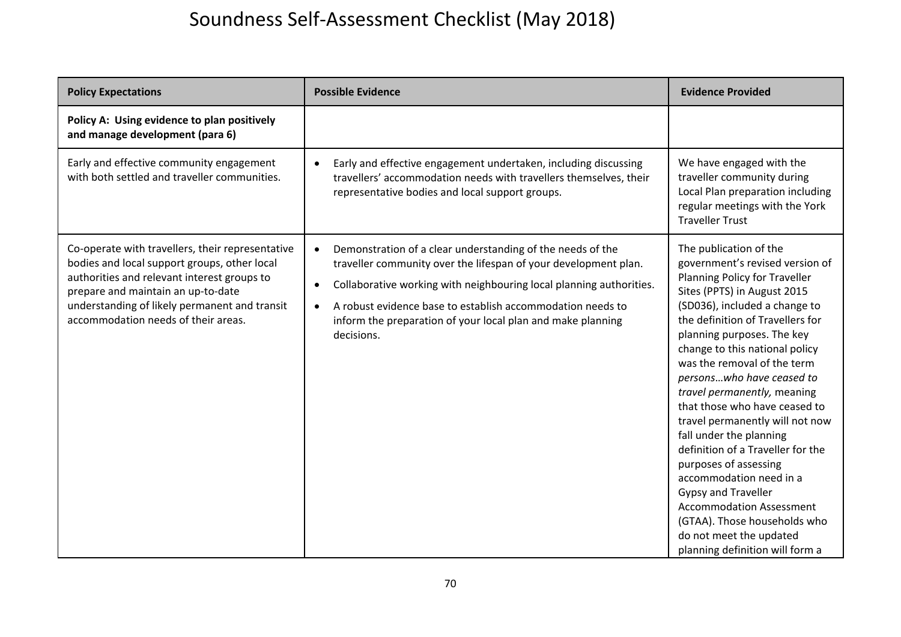| <b>Policy Expectations</b>                                                                                                                                                                                                                                                    | <b>Possible Evidence</b>                                                                                                                                                                                                                                                                                                                                                               | <b>Evidence Provided</b>                                                                                                                                                                                                                                                                                                                                                                                                                                                                                                                                                                                                                                                                                         |
|-------------------------------------------------------------------------------------------------------------------------------------------------------------------------------------------------------------------------------------------------------------------------------|----------------------------------------------------------------------------------------------------------------------------------------------------------------------------------------------------------------------------------------------------------------------------------------------------------------------------------------------------------------------------------------|------------------------------------------------------------------------------------------------------------------------------------------------------------------------------------------------------------------------------------------------------------------------------------------------------------------------------------------------------------------------------------------------------------------------------------------------------------------------------------------------------------------------------------------------------------------------------------------------------------------------------------------------------------------------------------------------------------------|
| Policy A: Using evidence to plan positively<br>and manage development (para 6)                                                                                                                                                                                                |                                                                                                                                                                                                                                                                                                                                                                                        |                                                                                                                                                                                                                                                                                                                                                                                                                                                                                                                                                                                                                                                                                                                  |
| Early and effective community engagement<br>with both settled and traveller communities.                                                                                                                                                                                      | Early and effective engagement undertaken, including discussing<br>$\bullet$<br>travellers' accommodation needs with travellers themselves, their<br>representative bodies and local support groups.                                                                                                                                                                                   | We have engaged with the<br>traveller community during<br>Local Plan preparation including<br>regular meetings with the York<br><b>Traveller Trust</b>                                                                                                                                                                                                                                                                                                                                                                                                                                                                                                                                                           |
| Co-operate with travellers, their representative<br>bodies and local support groups, other local<br>authorities and relevant interest groups to<br>prepare and maintain an up-to-date<br>understanding of likely permanent and transit<br>accommodation needs of their areas. | Demonstration of a clear understanding of the needs of the<br>$\bullet$<br>traveller community over the lifespan of your development plan.<br>Collaborative working with neighbouring local planning authorities.<br>$\bullet$<br>A robust evidence base to establish accommodation needs to<br>$\bullet$<br>inform the preparation of your local plan and make planning<br>decisions. | The publication of the<br>government's revised version of<br>Planning Policy for Traveller<br>Sites (PPTS) in August 2015<br>(SD036), included a change to<br>the definition of Travellers for<br>planning purposes. The key<br>change to this national policy<br>was the removal of the term<br>personswho have ceased to<br>travel permanently, meaning<br>that those who have ceased to<br>travel permanently will not now<br>fall under the planning<br>definition of a Traveller for the<br>purposes of assessing<br>accommodation need in a<br><b>Gypsy and Traveller</b><br><b>Accommodation Assessment</b><br>(GTAA). Those households who<br>do not meet the updated<br>planning definition will form a |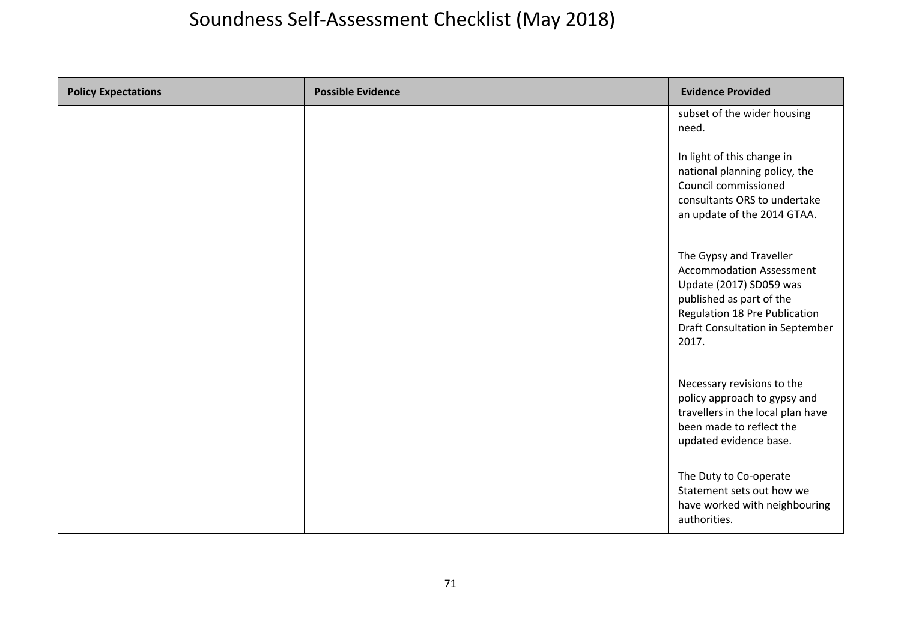| <b>Policy Expectations</b> | <b>Possible Evidence</b> | <b>Evidence Provided</b>                                                                                                                                                                       |
|----------------------------|--------------------------|------------------------------------------------------------------------------------------------------------------------------------------------------------------------------------------------|
|                            |                          | subset of the wider housing<br>need.                                                                                                                                                           |
|                            |                          | In light of this change in<br>national planning policy, the<br>Council commissioned<br>consultants ORS to undertake<br>an update of the 2014 GTAA.                                             |
|                            |                          | The Gypsy and Traveller<br><b>Accommodation Assessment</b><br>Update (2017) SD059 was<br>published as part of the<br>Regulation 18 Pre Publication<br>Draft Consultation in September<br>2017. |
|                            |                          | Necessary revisions to the<br>policy approach to gypsy and<br>travellers in the local plan have<br>been made to reflect the<br>updated evidence base.                                          |
|                            |                          | The Duty to Co-operate<br>Statement sets out how we<br>have worked with neighbouring<br>authorities.                                                                                           |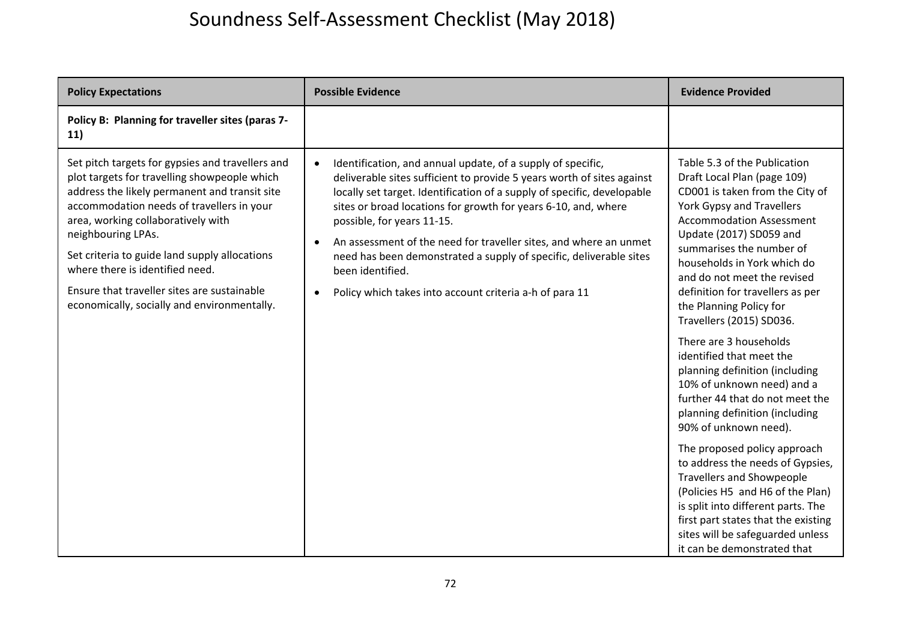| <b>Policy Expectations</b>                                                                                                                                                                                                                                                                                                                                                                                                                   | <b>Possible Evidence</b>                                                                                                                                                                                                                                                                                                                                                                                                                                                                                                                                                          | <b>Evidence Provided</b>                                                                                                                                                                                                                                                                                                                                                                                                                                                                                                                                                                                                                                                                                                                                                                                                                                                                       |
|----------------------------------------------------------------------------------------------------------------------------------------------------------------------------------------------------------------------------------------------------------------------------------------------------------------------------------------------------------------------------------------------------------------------------------------------|-----------------------------------------------------------------------------------------------------------------------------------------------------------------------------------------------------------------------------------------------------------------------------------------------------------------------------------------------------------------------------------------------------------------------------------------------------------------------------------------------------------------------------------------------------------------------------------|------------------------------------------------------------------------------------------------------------------------------------------------------------------------------------------------------------------------------------------------------------------------------------------------------------------------------------------------------------------------------------------------------------------------------------------------------------------------------------------------------------------------------------------------------------------------------------------------------------------------------------------------------------------------------------------------------------------------------------------------------------------------------------------------------------------------------------------------------------------------------------------------|
| Policy B: Planning for traveller sites (paras 7-<br>11)                                                                                                                                                                                                                                                                                                                                                                                      |                                                                                                                                                                                                                                                                                                                                                                                                                                                                                                                                                                                   |                                                                                                                                                                                                                                                                                                                                                                                                                                                                                                                                                                                                                                                                                                                                                                                                                                                                                                |
| Set pitch targets for gypsies and travellers and<br>plot targets for travelling showpeople which<br>address the likely permanent and transit site<br>accommodation needs of travellers in your<br>area, working collaboratively with<br>neighbouring LPAs.<br>Set criteria to guide land supply allocations<br>where there is identified need.<br>Ensure that traveller sites are sustainable<br>economically, socially and environmentally. | Identification, and annual update, of a supply of specific,<br>$\bullet$<br>deliverable sites sufficient to provide 5 years worth of sites against<br>locally set target. Identification of a supply of specific, developable<br>sites or broad locations for growth for years 6-10, and, where<br>possible, for years 11-15.<br>An assessment of the need for traveller sites, and where an unmet<br>$\bullet$<br>need has been demonstrated a supply of specific, deliverable sites<br>been identified.<br>Policy which takes into account criteria a-h of para 11<br>$\bullet$ | Table 5.3 of the Publication<br>Draft Local Plan (page 109)<br>CD001 is taken from the City of<br>York Gypsy and Travellers<br><b>Accommodation Assessment</b><br>Update (2017) SD059 and<br>summarises the number of<br>households in York which do<br>and do not meet the revised<br>definition for travellers as per<br>the Planning Policy for<br>Travellers (2015) SD036.<br>There are 3 households<br>identified that meet the<br>planning definition (including<br>10% of unknown need) and a<br>further 44 that do not meet the<br>planning definition (including<br>90% of unknown need).<br>The proposed policy approach<br>to address the needs of Gypsies,<br><b>Travellers and Showpeople</b><br>(Policies H5 and H6 of the Plan)<br>is split into different parts. The<br>first part states that the existing<br>sites will be safeguarded unless<br>it can be demonstrated that |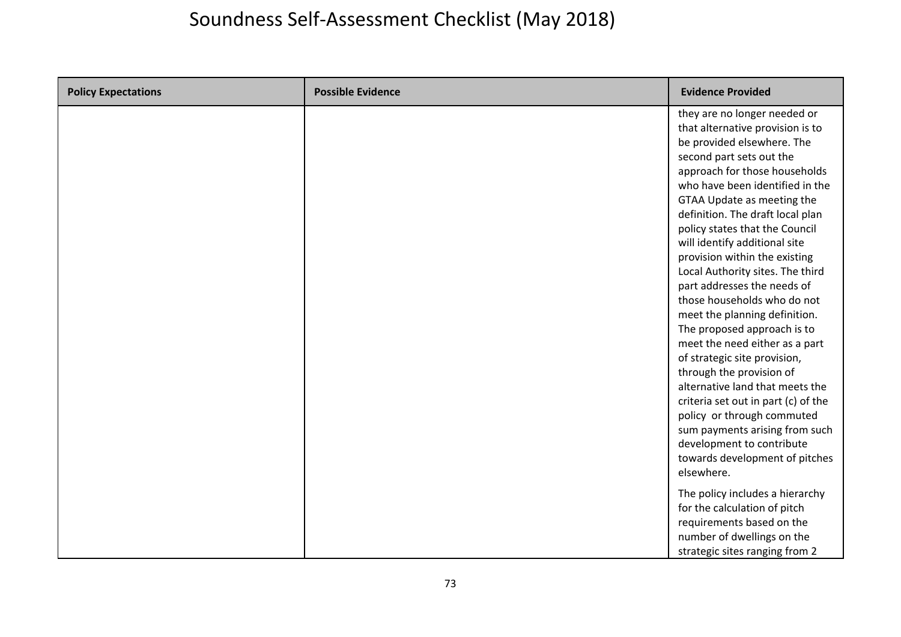| <b>Policy Expectations</b> | <b>Possible Evidence</b> | <b>Evidence Provided</b>                                                                                                                                                                                                                                                                                                                                                                                                                                                                                                                                                                                                                                                                                                                                                                                                                                    |
|----------------------------|--------------------------|-------------------------------------------------------------------------------------------------------------------------------------------------------------------------------------------------------------------------------------------------------------------------------------------------------------------------------------------------------------------------------------------------------------------------------------------------------------------------------------------------------------------------------------------------------------------------------------------------------------------------------------------------------------------------------------------------------------------------------------------------------------------------------------------------------------------------------------------------------------|
|                            |                          | they are no longer needed or<br>that alternative provision is to<br>be provided elsewhere. The<br>second part sets out the<br>approach for those households<br>who have been identified in the<br>GTAA Update as meeting the<br>definition. The draft local plan<br>policy states that the Council<br>will identify additional site<br>provision within the existing<br>Local Authority sites. The third<br>part addresses the needs of<br>those households who do not<br>meet the planning definition.<br>The proposed approach is to<br>meet the need either as a part<br>of strategic site provision,<br>through the provision of<br>alternative land that meets the<br>criteria set out in part (c) of the<br>policy or through commuted<br>sum payments arising from such<br>development to contribute<br>towards development of pitches<br>elsewhere. |
|                            |                          | The policy includes a hierarchy<br>for the calculation of pitch<br>requirements based on the<br>number of dwellings on the<br>strategic sites ranging from 2                                                                                                                                                                                                                                                                                                                                                                                                                                                                                                                                                                                                                                                                                                |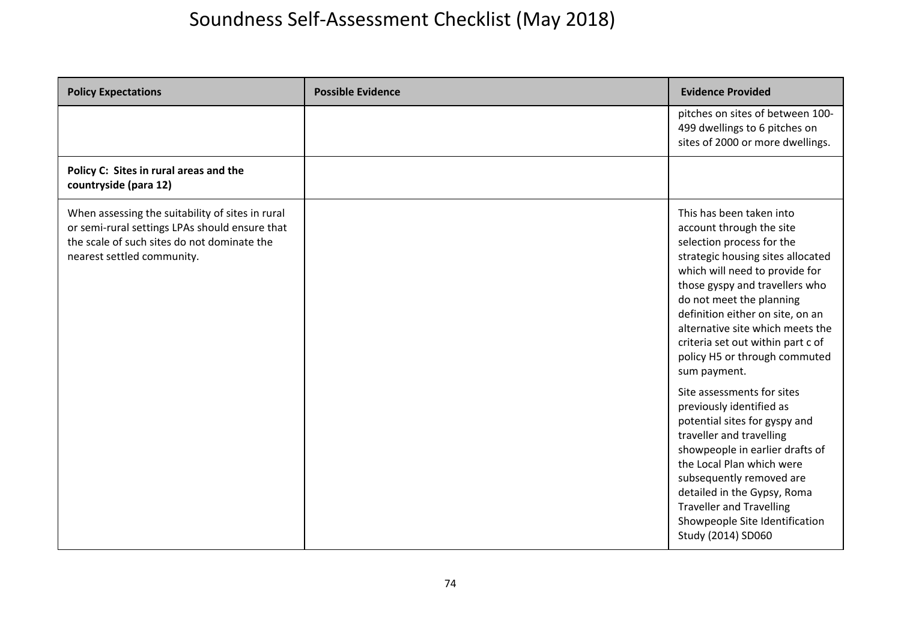| <b>Policy Expectations</b>                                                                                                                                                      | <b>Possible Evidence</b> | <b>Evidence Provided</b>                                                                                                                                                                                                                                                                                                                                                             |
|---------------------------------------------------------------------------------------------------------------------------------------------------------------------------------|--------------------------|--------------------------------------------------------------------------------------------------------------------------------------------------------------------------------------------------------------------------------------------------------------------------------------------------------------------------------------------------------------------------------------|
|                                                                                                                                                                                 |                          | pitches on sites of between 100-<br>499 dwellings to 6 pitches on<br>sites of 2000 or more dwellings.                                                                                                                                                                                                                                                                                |
| Policy C: Sites in rural areas and the<br>countryside (para 12)                                                                                                                 |                          |                                                                                                                                                                                                                                                                                                                                                                                      |
| When assessing the suitability of sites in rural<br>or semi-rural settings LPAs should ensure that<br>the scale of such sites do not dominate the<br>nearest settled community. |                          | This has been taken into<br>account through the site<br>selection process for the<br>strategic housing sites allocated<br>which will need to provide for<br>those gyspy and travellers who<br>do not meet the planning<br>definition either on site, on an<br>alternative site which meets the<br>criteria set out within part c of<br>policy H5 or through commuted<br>sum payment. |
|                                                                                                                                                                                 |                          | Site assessments for sites<br>previously identified as<br>potential sites for gyspy and<br>traveller and travelling<br>showpeople in earlier drafts of<br>the Local Plan which were<br>subsequently removed are<br>detailed in the Gypsy, Roma<br><b>Traveller and Travelling</b><br>Showpeople Site Identification<br>Study (2014) SD060                                            |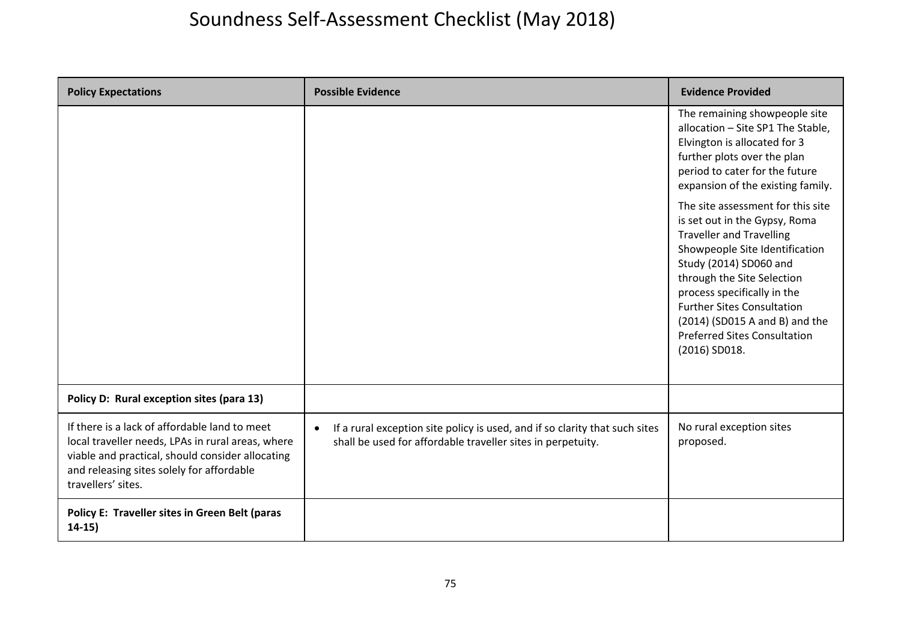| <b>Policy Expectations</b>                                                                                                                                                                                                | <b>Possible Evidence</b>                                                                                                                                | <b>Evidence Provided</b>                                                                                                                                                                                                                                                                                                                                      |
|---------------------------------------------------------------------------------------------------------------------------------------------------------------------------------------------------------------------------|---------------------------------------------------------------------------------------------------------------------------------------------------------|---------------------------------------------------------------------------------------------------------------------------------------------------------------------------------------------------------------------------------------------------------------------------------------------------------------------------------------------------------------|
|                                                                                                                                                                                                                           |                                                                                                                                                         | The remaining showpeople site<br>allocation - Site SP1 The Stable,<br>Elvington is allocated for 3<br>further plots over the plan<br>period to cater for the future<br>expansion of the existing family.                                                                                                                                                      |
|                                                                                                                                                                                                                           |                                                                                                                                                         | The site assessment for this site<br>is set out in the Gypsy, Roma<br><b>Traveller and Travelling</b><br>Showpeople Site Identification<br>Study (2014) SD060 and<br>through the Site Selection<br>process specifically in the<br><b>Further Sites Consultation</b><br>(2014) (SD015 A and B) and the<br><b>Preferred Sites Consultation</b><br>(2016) SD018. |
| Policy D: Rural exception sites (para 13)                                                                                                                                                                                 |                                                                                                                                                         |                                                                                                                                                                                                                                                                                                                                                               |
| If there is a lack of affordable land to meet<br>local traveller needs, LPAs in rural areas, where<br>viable and practical, should consider allocating<br>and releasing sites solely for affordable<br>travellers' sites. | If a rural exception site policy is used, and if so clarity that such sites<br>$\bullet$<br>shall be used for affordable traveller sites in perpetuity. | No rural exception sites<br>proposed.                                                                                                                                                                                                                                                                                                                         |
| Policy E: Traveller sites in Green Belt (paras<br>$14-15)$                                                                                                                                                                |                                                                                                                                                         |                                                                                                                                                                                                                                                                                                                                                               |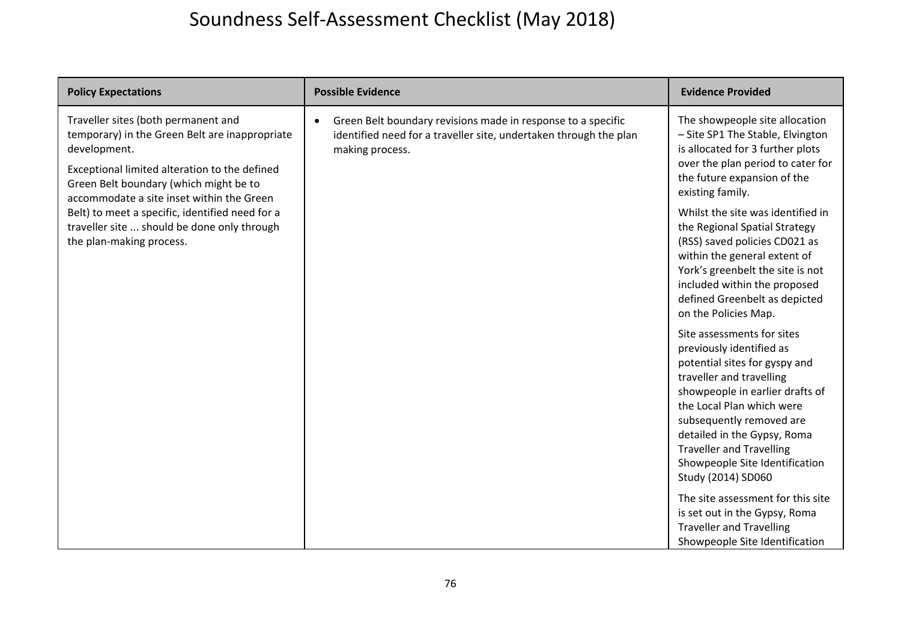| <b>Policy Expectations</b>                                                                                                                                                                                                                    | <b>Possible Evidence</b>                                                                                                                                          | <b>Evidence Provided</b>                                                                                                                                                                                                                                                                                                                  |
|-----------------------------------------------------------------------------------------------------------------------------------------------------------------------------------------------------------------------------------------------|-------------------------------------------------------------------------------------------------------------------------------------------------------------------|-------------------------------------------------------------------------------------------------------------------------------------------------------------------------------------------------------------------------------------------------------------------------------------------------------------------------------------------|
| Traveller sites (both permanent and<br>temporary) in the Green Belt are inappropriate<br>development.<br>Exceptional limited alteration to the defined<br>Green Belt boundary (which might be to<br>accommodate a site inset within the Green | Green Belt boundary revisions made in response to a specific<br>$\bullet$<br>identified need for a traveller site, undertaken through the plan<br>making process. | The showpeople site allocation<br>- Site SP1 The Stable, Elvington<br>is allocated for 3 further plots<br>over the plan period to cater for<br>the future expansion of the<br>existing family.                                                                                                                                            |
| Belt) to meet a specific, identified need for a<br>traveller site  should be done only through<br>the plan-making process.                                                                                                                    |                                                                                                                                                                   | Whilst the site was identified in<br>the Regional Spatial Strategy<br>(RSS) saved policies CD021 as<br>within the general extent of<br>York's greenbelt the site is not<br>included within the proposed<br>defined Greenbelt as depicted<br>on the Policies Map.                                                                          |
|                                                                                                                                                                                                                                               |                                                                                                                                                                   | Site assessments for sites<br>previously identified as<br>potential sites for gyspy and<br>traveller and travelling<br>showpeople in earlier drafts of<br>the Local Plan which were<br>subsequently removed are<br>detailed in the Gypsy, Roma<br><b>Traveller and Travelling</b><br>Showpeople Site Identification<br>Study (2014) SD060 |
|                                                                                                                                                                                                                                               |                                                                                                                                                                   | The site assessment for this site<br>is set out in the Gypsy, Roma<br><b>Traveller and Travelling</b><br>Showpeople Site Identification                                                                                                                                                                                                   |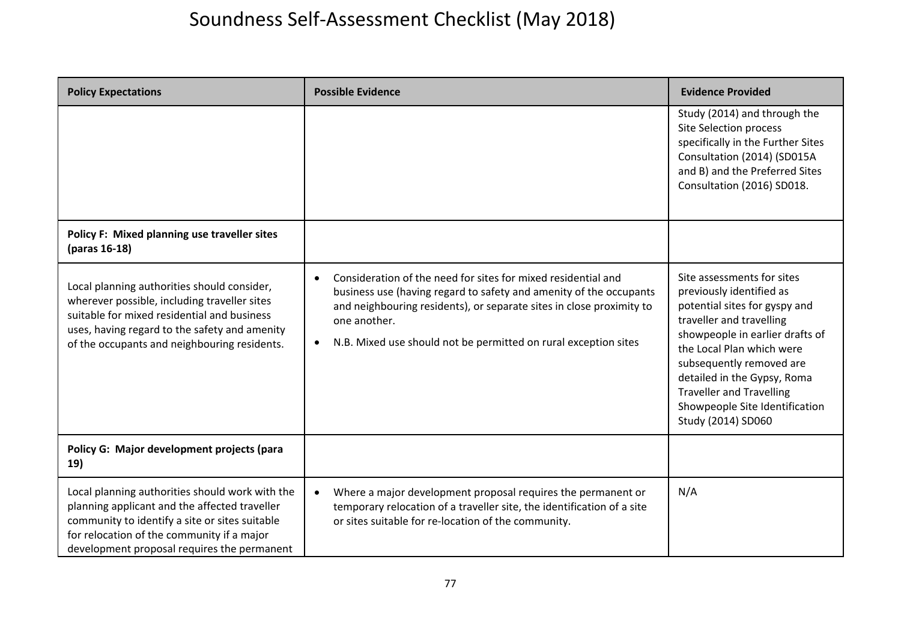| <b>Policy Expectations</b>                                                                                                                                                                                                                      | <b>Possible Evidence</b>                                                                                                                                                                                                                                                                                                 | <b>Evidence Provided</b>                                                                                                                                                                                                                                                                                                                  |
|-------------------------------------------------------------------------------------------------------------------------------------------------------------------------------------------------------------------------------------------------|--------------------------------------------------------------------------------------------------------------------------------------------------------------------------------------------------------------------------------------------------------------------------------------------------------------------------|-------------------------------------------------------------------------------------------------------------------------------------------------------------------------------------------------------------------------------------------------------------------------------------------------------------------------------------------|
|                                                                                                                                                                                                                                                 |                                                                                                                                                                                                                                                                                                                          | Study (2014) and through the<br>Site Selection process<br>specifically in the Further Sites<br>Consultation (2014) (SD015A<br>and B) and the Preferred Sites<br>Consultation (2016) SD018.                                                                                                                                                |
| Policy F: Mixed planning use traveller sites<br>(paras 16-18)                                                                                                                                                                                   |                                                                                                                                                                                                                                                                                                                          |                                                                                                                                                                                                                                                                                                                                           |
| Local planning authorities should consider,<br>wherever possible, including traveller sites<br>suitable for mixed residential and business<br>uses, having regard to the safety and amenity<br>of the occupants and neighbouring residents.     | Consideration of the need for sites for mixed residential and<br>$\bullet$<br>business use (having regard to safety and amenity of the occupants<br>and neighbouring residents), or separate sites in close proximity to<br>one another.<br>N.B. Mixed use should not be permitted on rural exception sites<br>$\bullet$ | Site assessments for sites<br>previously identified as<br>potential sites for gyspy and<br>traveller and travelling<br>showpeople in earlier drafts of<br>the Local Plan which were<br>subsequently removed are<br>detailed in the Gypsy, Roma<br><b>Traveller and Travelling</b><br>Showpeople Site Identification<br>Study (2014) SD060 |
| Policy G: Major development projects (para<br>19)                                                                                                                                                                                               |                                                                                                                                                                                                                                                                                                                          |                                                                                                                                                                                                                                                                                                                                           |
| Local planning authorities should work with the<br>planning applicant and the affected traveller<br>community to identify a site or sites suitable<br>for relocation of the community if a major<br>development proposal requires the permanent | Where a major development proposal requires the permanent or<br>$\bullet$<br>temporary relocation of a traveller site, the identification of a site<br>or sites suitable for re-location of the community.                                                                                                               | N/A                                                                                                                                                                                                                                                                                                                                       |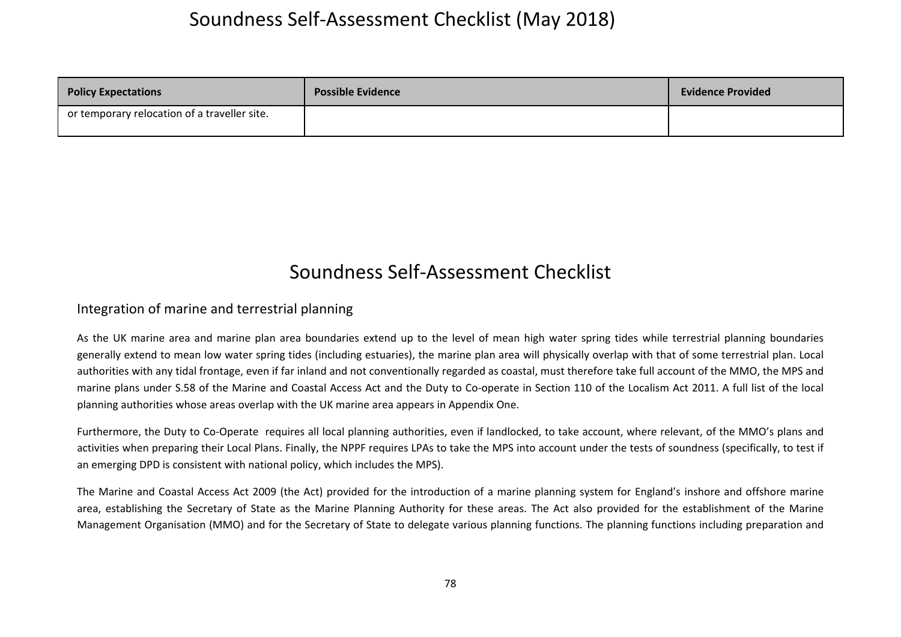| <b>Policy Expectations</b>                   | <b>Possible Evidence</b> | <b>Evidence Provided</b> |
|----------------------------------------------|--------------------------|--------------------------|
| or temporary relocation of a traveller site. |                          |                          |

### Soundness Self‐Assessment Checklist

#### Integration of marine and terrestrial planning

As the UK marine area and marine plan area boundaries extend up to the level of mean high water spring tides while terrestrial planning boundaries generally extend to mean low water spring tides (including estuaries), the marine plan area will physically overlap with that of some terrestrial plan. Local authorities with any tidal frontage, even if far inland and not conventionally regarded as coastal, must therefore take full account of the MMO, the MPS and marine plans under S.58 of the Marine and Coastal Access Act and the Duty to Co-operate in Section 110 of the Localism Act 2011. A full list of the local planning authorities whose areas overlap with the UK marine area appears in Appendix One.

Furthermore, the Duty to Co-Operate requires all local planning authorities, even if landlocked, to take account, where relevant, of the MMO's plans and activities when preparing their Local Plans. Finally, the NPPF requires LPAs to take the MPS into account under the tests of soundness (specifically, to test if an emerging DPD is consistent with national policy, which includes the MPS).

The Marine and Coastal Access Act 2009 (the Act) provided for the introduction of <sup>a</sup> marine planning system for England's inshore and offshore marine area, establishing the Secretary of State as the Marine Planning Authority for these areas. The Act also provided for the establishment of the Marine Management Organisation (MMO) and for the Secretary of State to delegate various planning functions. The planning functions including preparation and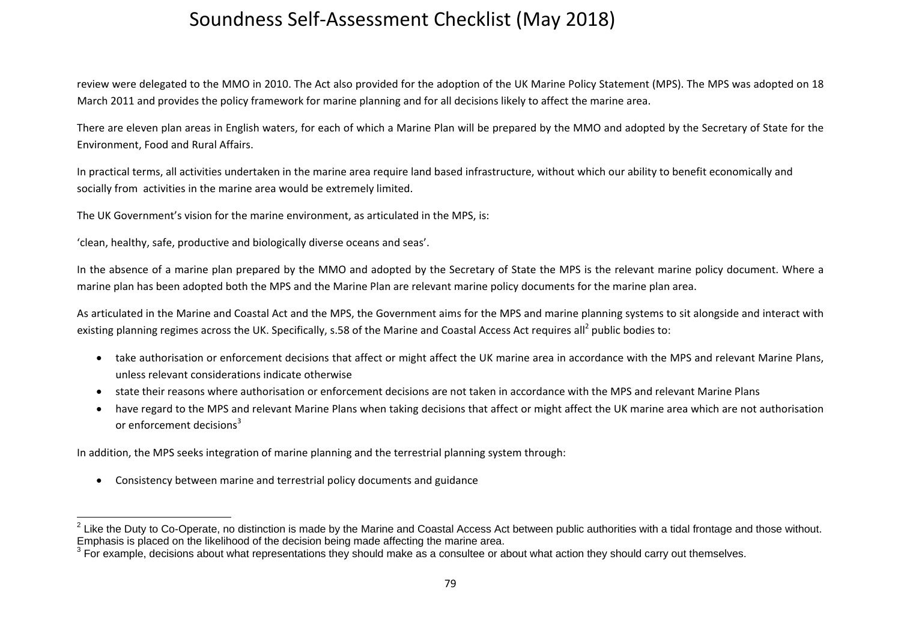review were delegated to the MMO in 2010. The Act also provided for the adoption of the UK Marine Policy Statement (MPS). The MPS was adopted on 18 March 2011 and provides the policy framework for marine planning and for all decisions likely to affect the marine area.

There are eleven plan areas in English waters, for each of which <sup>a</sup> Marine Plan will be prepared by the MMO and adopted by the Secretary of State for the Environment, Food and Rural Affairs.

In practical terms, all activities undertaken in the marine area require land based infrastructure, without which our ability to benefit economically and socially from activities in the marine area would be extremely limited.

The UK Government's vision for the marine environment, as articulated in the MPS, is:

'clean, healthy, safe, productive and biologically diverse oceans and seas'.

In the absence of <sup>a</sup> marine plan prepared by the MMO and adopted by the Secretary of State the MPS is the relevant marine policy document. Where <sup>a</sup> marine plan has been adopted both the MPS and the Marine Plan are relevant marine policy documents for the marine plan area.

As articulated in the Marine and Coastal Act and the MPS, the Government aims for the MPS and marine planning systems to sit alongside and interact with existing planning regimes across the UK. Specifically, s.58 of the Marine and Coastal Access Act requires all<sup>2</sup> public bodies to:

- take authorisation or enforcement decisions that affect or might affect the UK marine area in accordance with the MPS and relevant Marine Plans, unless relevant considerations indicate otherwise
- $\bullet$ • state their reasons where authorisation or enforcement decisions are not taken in accordance with the MPS and relevant Marine Plans
- $\bullet$  have regard to the MPS and relevant Marine Plans when taking decisions that affect or might affect the UK marine area which are not authorisation or enforcement decisions $^3$

In addition, the MPS seeks integration of marine planning and the terrestrial planning system through:

Consistency between marine and terrestrial policy documents and guidance

 $^{2}$  Like the Duty to Co-Operate, no distinction is made by the Marine and Coastal Access Act between public authorities with a tidal frontage and those without. Emphasis is placed on the likelihood of the decision being made affecting the marine area.<br><sup>3</sup> For example, decisions about what representations they should make as a consultee or about what action they should carry out th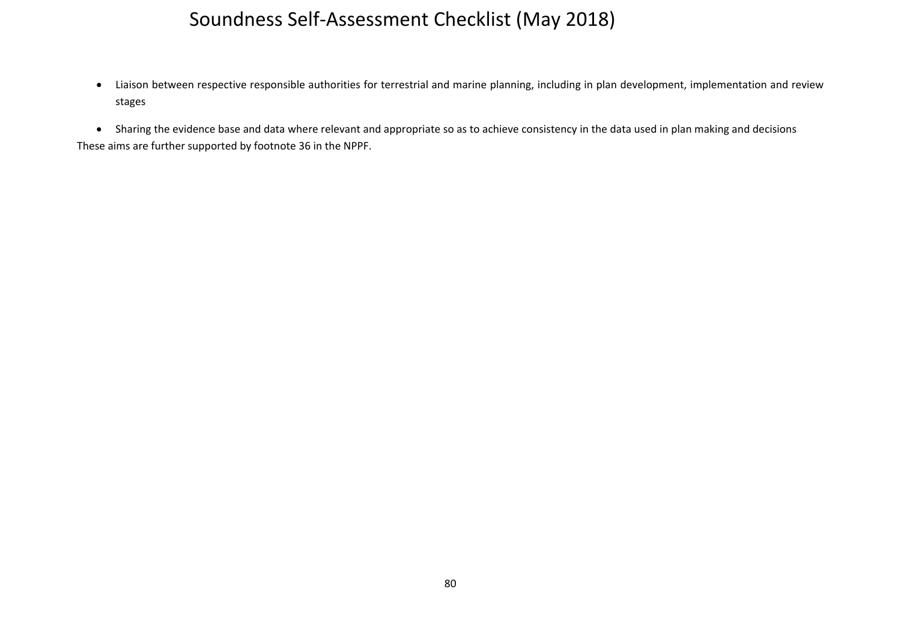$\bullet$  Liaison between respective responsible authorities for terrestrial and marine planning, including in plan development, implementation and review stages

 Sharing the evidence base and data where relevant and appropriate so as to achieve consistency in the data used in plan making and decisions These aims are further supported by footnote 36 in the NPPF.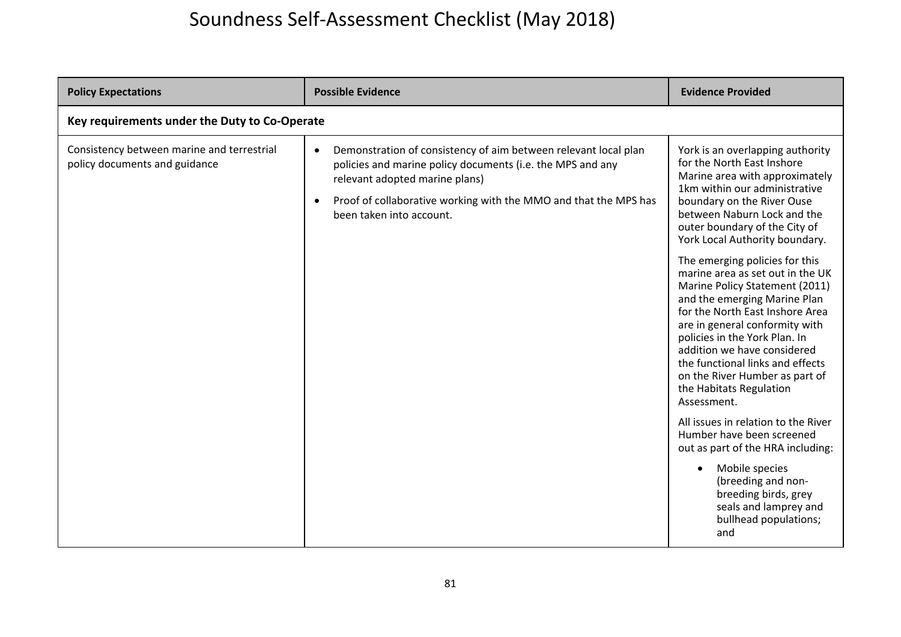| <b>Policy Expectations</b>                                                  | <b>Possible Evidence</b>                                                                                                                                                                                                                                                                  | <b>Evidence Provided</b>                                                                                                                                                                                                                                                                                                                                                                  |  |
|-----------------------------------------------------------------------------|-------------------------------------------------------------------------------------------------------------------------------------------------------------------------------------------------------------------------------------------------------------------------------------------|-------------------------------------------------------------------------------------------------------------------------------------------------------------------------------------------------------------------------------------------------------------------------------------------------------------------------------------------------------------------------------------------|--|
|                                                                             | Key requirements under the Duty to Co-Operate                                                                                                                                                                                                                                             |                                                                                                                                                                                                                                                                                                                                                                                           |  |
| Consistency between marine and terrestrial<br>policy documents and guidance | Demonstration of consistency of aim between relevant local plan<br>$\bullet$<br>policies and marine policy documents (i.e. the MPS and any<br>relevant adopted marine plans)<br>Proof of collaborative working with the MMO and that the MPS has<br>$\bullet$<br>been taken into account. | York is an overlapping authority<br>for the North East Inshore<br>Marine area with approximately<br>1km within our administrative<br>boundary on the River Ouse<br>between Naburn Lock and the<br>outer boundary of the City of<br>York Local Authority boundary.                                                                                                                         |  |
|                                                                             |                                                                                                                                                                                                                                                                                           | The emerging policies for this<br>marine area as set out in the UK<br>Marine Policy Statement (2011)<br>and the emerging Marine Plan<br>for the North East Inshore Area<br>are in general conformity with<br>policies in the York Plan. In<br>addition we have considered<br>the functional links and effects<br>on the River Humber as part of<br>the Habitats Regulation<br>Assessment. |  |
|                                                                             |                                                                                                                                                                                                                                                                                           | All issues in relation to the River<br>Humber have been screened<br>out as part of the HRA including:                                                                                                                                                                                                                                                                                     |  |
|                                                                             |                                                                                                                                                                                                                                                                                           | Mobile species<br>(breeding and non-<br>breeding birds, grey<br>seals and lamprey and<br>bullhead populations;<br>and                                                                                                                                                                                                                                                                     |  |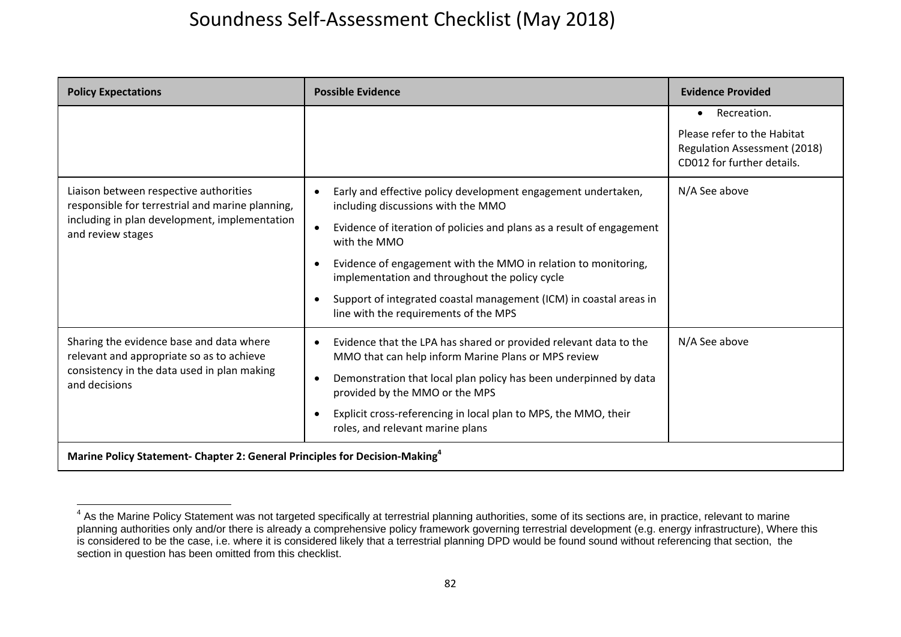| <b>Policy Expectations</b>                                                                                                                                       | <b>Possible Evidence</b>                                                                                                                                                                                                                                                                                                                                                                                                                                                    | <b>Evidence Provided</b>                                                                                              |
|------------------------------------------------------------------------------------------------------------------------------------------------------------------|-----------------------------------------------------------------------------------------------------------------------------------------------------------------------------------------------------------------------------------------------------------------------------------------------------------------------------------------------------------------------------------------------------------------------------------------------------------------------------|-----------------------------------------------------------------------------------------------------------------------|
|                                                                                                                                                                  |                                                                                                                                                                                                                                                                                                                                                                                                                                                                             | Recreation.<br>$\bullet$<br>Please refer to the Habitat<br>Regulation Assessment (2018)<br>CD012 for further details. |
| Liaison between respective authorities<br>responsible for terrestrial and marine planning,<br>including in plan development, implementation<br>and review stages | Early and effective policy development engagement undertaken,<br>$\bullet$<br>including discussions with the MMO<br>Evidence of iteration of policies and plans as a result of engagement<br>$\bullet$<br>with the MMO<br>Evidence of engagement with the MMO in relation to monitoring,<br>-<br>implementation and throughout the policy cycle<br>Support of integrated coastal management (ICM) in coastal areas in<br>$\bullet$<br>line with the requirements of the MPS | N/A See above                                                                                                         |
| Sharing the evidence base and data where<br>relevant and appropriate so as to achieve<br>consistency in the data used in plan making<br>and decisions            | Evidence that the LPA has shared or provided relevant data to the<br>$\bullet$<br>MMO that can help inform Marine Plans or MPS review<br>Demonstration that local plan policy has been underpinned by data<br>- 0<br>provided by the MMO or the MPS<br>Explicit cross-referencing in local plan to MPS, the MMO, their<br>$\bullet$<br>roles, and relevant marine plans                                                                                                     | N/A See above                                                                                                         |
| Marine Policy Statement- Chapter 2: General Principles for Decision-Making <sup>4</sup>                                                                          |                                                                                                                                                                                                                                                                                                                                                                                                                                                                             |                                                                                                                       |

<sup>&</sup>lt;sup>4</sup> As the Marine Policy Statement was not targeted specifically at terrestrial planning authorities, some of its sections are, in practice, relevant to marine planning authorities only and/or there is already a comprehensive policy framework governing terrestrial development (e.g. energy infrastructure), Where this is considered to be the case, i.e. where it is considered likely that a terrestrial planning DPD would be found sound without referencing that section, the section in question has been omitted from this checklist.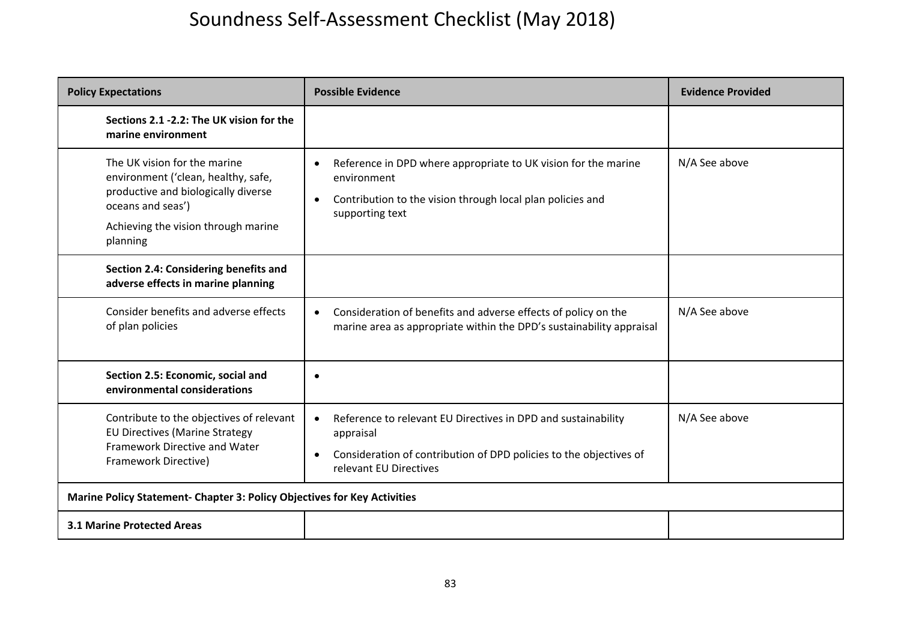| <b>Policy Expectations</b>                                                                                                                                                         | <b>Possible Evidence</b>                                                                                                                                                                 | <b>Evidence Provided</b> |
|------------------------------------------------------------------------------------------------------------------------------------------------------------------------------------|------------------------------------------------------------------------------------------------------------------------------------------------------------------------------------------|--------------------------|
| Sections 2.1 -2.2: The UK vision for the<br>marine environment                                                                                                                     |                                                                                                                                                                                          |                          |
| The UK vision for the marine<br>environment ('clean, healthy, safe,<br>productive and biologically diverse<br>oceans and seas')<br>Achieving the vision through marine<br>planning | Reference in DPD where appropriate to UK vision for the marine<br>$\bullet$<br>environment<br>Contribution to the vision through local plan policies and<br>$\bullet$<br>supporting text | N/A See above            |
| Section 2.4: Considering benefits and<br>adverse effects in marine planning                                                                                                        |                                                                                                                                                                                          |                          |
| Consider benefits and adverse effects<br>of plan policies                                                                                                                          | Consideration of benefits and adverse effects of policy on the<br>marine area as appropriate within the DPD's sustainability appraisal                                                   | N/A See above            |
| Section 2.5: Economic, social and<br>environmental considerations                                                                                                                  | $\bullet$                                                                                                                                                                                |                          |
| Contribute to the objectives of relevant<br><b>EU Directives (Marine Strategy</b><br>Framework Directive and Water<br>Framework Directive)                                         | Reference to relevant EU Directives in DPD and sustainability<br>appraisal<br>Consideration of contribution of DPD policies to the objectives of<br>$\bullet$<br>relevant EU Directives  | N/A See above            |
| Marine Policy Statement- Chapter 3: Policy Objectives for Key Activities                                                                                                           |                                                                                                                                                                                          |                          |
| <b>3.1 Marine Protected Areas</b>                                                                                                                                                  |                                                                                                                                                                                          |                          |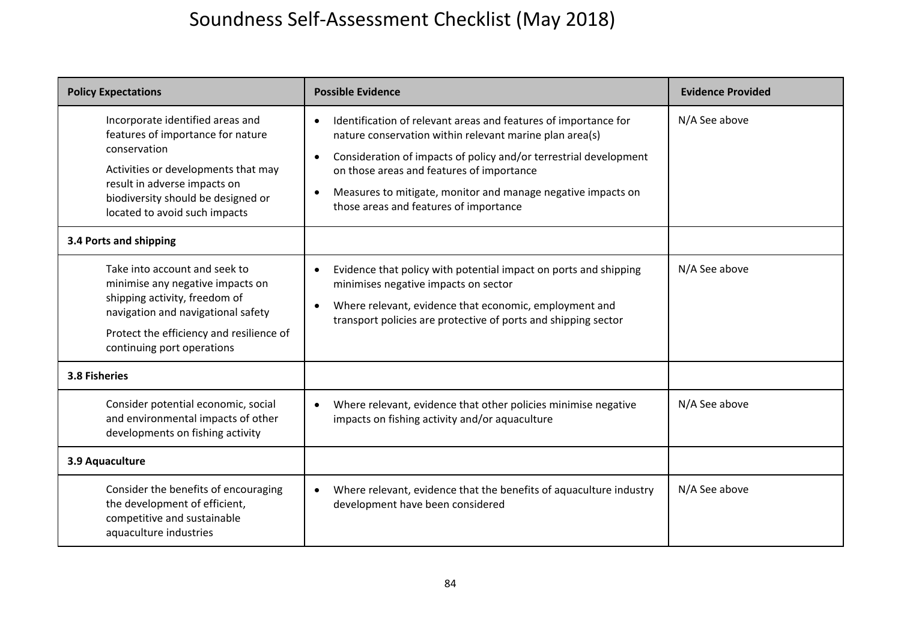| <b>Policy Expectations</b>                                                                                                                                                                                                          | <b>Possible Evidence</b>                                                                                                                                                                                                                                                                                                                                            | <b>Evidence Provided</b> |
|-------------------------------------------------------------------------------------------------------------------------------------------------------------------------------------------------------------------------------------|---------------------------------------------------------------------------------------------------------------------------------------------------------------------------------------------------------------------------------------------------------------------------------------------------------------------------------------------------------------------|--------------------------|
| Incorporate identified areas and<br>features of importance for nature<br>conservation<br>Activities or developments that may<br>result in adverse impacts on<br>biodiversity should be designed or<br>located to avoid such impacts | Identification of relevant areas and features of importance for<br>nature conservation within relevant marine plan area(s)<br>Consideration of impacts of policy and/or terrestrial development<br>$\bullet$<br>on those areas and features of importance<br>Measures to mitigate, monitor and manage negative impacts on<br>those areas and features of importance | N/A See above            |
| 3.4 Ports and shipping                                                                                                                                                                                                              |                                                                                                                                                                                                                                                                                                                                                                     |                          |
| Take into account and seek to<br>minimise any negative impacts on<br>shipping activity, freedom of<br>navigation and navigational safety<br>Protect the efficiency and resilience of<br>continuing port operations                  | Evidence that policy with potential impact on ports and shipping<br>minimises negative impacts on sector<br>Where relevant, evidence that economic, employment and<br>$\bullet$<br>transport policies are protective of ports and shipping sector                                                                                                                   | N/A See above            |
| 3.8 Fisheries                                                                                                                                                                                                                       |                                                                                                                                                                                                                                                                                                                                                                     |                          |
| Consider potential economic, social<br>and environmental impacts of other<br>developments on fishing activity                                                                                                                       | Where relevant, evidence that other policies minimise negative<br>impacts on fishing activity and/or aquaculture                                                                                                                                                                                                                                                    | N/A See above            |
| 3.9 Aquaculture                                                                                                                                                                                                                     |                                                                                                                                                                                                                                                                                                                                                                     |                          |
| Consider the benefits of encouraging<br>the development of efficient,<br>competitive and sustainable<br>aquaculture industries                                                                                                      | Where relevant, evidence that the benefits of aquaculture industry<br>development have been considered                                                                                                                                                                                                                                                              | N/A See above            |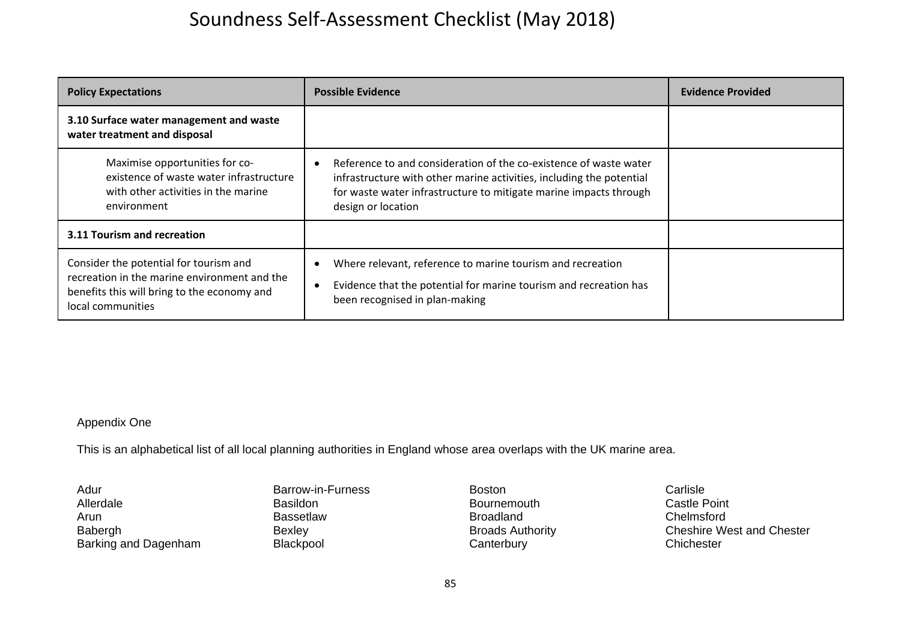| <b>Policy Expectations</b>                                                                                                                                 | <b>Possible Evidence</b>                                                                                                                                                                                                             | <b>Evidence Provided</b> |
|------------------------------------------------------------------------------------------------------------------------------------------------------------|--------------------------------------------------------------------------------------------------------------------------------------------------------------------------------------------------------------------------------------|--------------------------|
| 3.10 Surface water management and waste<br>water treatment and disposal                                                                                    |                                                                                                                                                                                                                                      |                          |
| Maximise opportunities for co-<br>existence of waste water infrastructure<br>with other activities in the marine<br>environment                            | Reference to and consideration of the co-existence of waste water<br>infrastructure with other marine activities, including the potential<br>for waste water infrastructure to mitigate marine impacts through<br>design or location |                          |
| 3.11 Tourism and recreation                                                                                                                                |                                                                                                                                                                                                                                      |                          |
| Consider the potential for tourism and<br>recreation in the marine environment and the<br>benefits this will bring to the economy and<br>local communities | Where relevant, reference to marine tourism and recreation<br>Evidence that the potential for marine tourism and recreation has<br>$\epsilon$<br>been recognised in plan-making                                                      |                          |

#### Appendix One

This is an alphabetical list of all local planning authorities in England whose area overlaps with the UK marine area.

Adur Allerdale Arun Babergh Barking and Dagenham

Barrow-in-Furness Basildon Bassetlaw Bexley Blackpool

Boston Bournemouth Broadland Broads Authority **Canterbury** 

Carlisle Castle Point Chelmsford Cheshire West and Chester **Chichester**